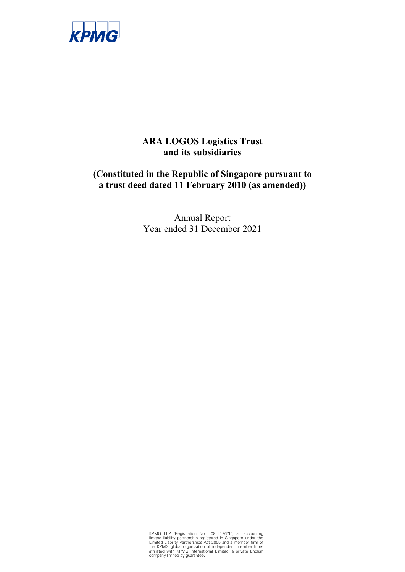

# **ARA LOGOS Logistics Trust and its subsidiaries**

# **(Constituted in the Republic of Singapore pursuant to a trust deed dated 11 February 2010 (as amended))**

Annual Report Year ended 31 December 2021

KPMG LLP (Registration No. T08LL1267L), an accounting limited liability partnership registered in Singapore under the Linited Liability Partnerships Act 2005 and a member firm of the KPMG global organization of independent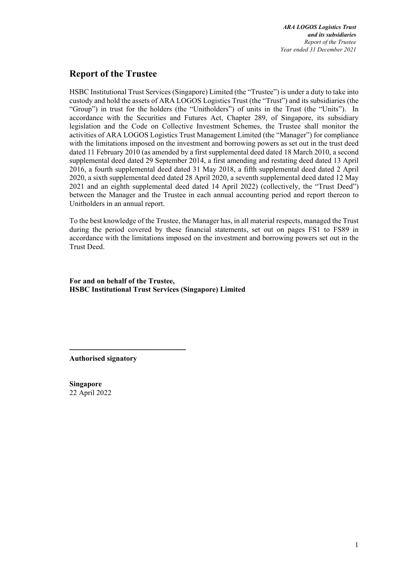# **Report of the Trustee**

HSBC Institutional Trust Services (Singapore) Limited (the "Trustee") is under a duty to take into custody and hold the assets of ARA LOGOS Logistics Trust (the "Trust") and its subsidiaries (the "Group") in trust for the holders (the "Unitholders") of units in the Trust (the "Units"). In accordance with the Securities and Futures Act, Chapter 289, of Singapore, its subsidiary legislation and the Code on Collective Investment Schemes, the Trustee shall monitor the activities of ARA LOGOS Logistics Trust Management Limited (the "Manager") for compliance with the limitations imposed on the investment and borrowing powers as set out in the trust deed dated 11 February 2010 (as amended by a first supplemental deed dated 18 March 2010, a second supplemental deed dated 29 September 2014, a first amending and restating deed dated 13 April 2016, a fourth supplemental deed dated 31 May 2018, a fifth supplemental deed dated 2 April 2020, a sixth supplemental deed dated 28 April 2020, a seventh supplemental deed dated 12 May 2021 and an eighth supplemental deed dated 14 April 2022) (collectively, the "Trust Deed") between the Manager and the Trustee in each annual accounting period and report thereon to Unitholders in an annual report.

To the best knowledge of the Trustee, the Manager has, in all material respects, managed the Trust during the period covered by these financial statements, set out on pages FS1 to FS89 in accordance with the limitations imposed on the investment and borrowing powers set out in the Trust Deed.

**For and on behalf of the Trustee, HSBC Institutional Trust Services (Singapore) Limited** 

**Authorised signatory** 

──────────────────────

**Singapore**  22 April 2022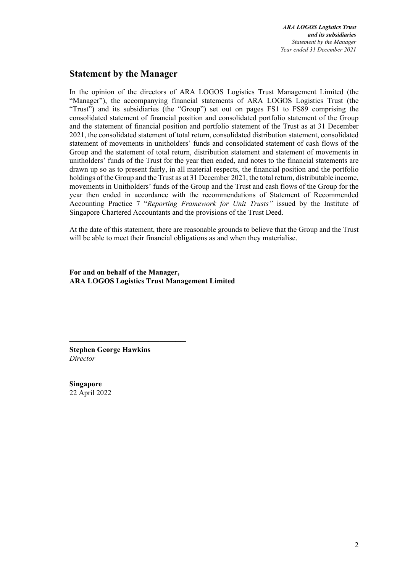# **Statement by the Manager**

In the opinion of the directors of ARA LOGOS Logistics Trust Management Limited (the "Manager"), the accompanying financial statements of ARA LOGOS Logistics Trust (the "Trust") and its subsidiaries (the "Group") set out on pages FS1 to FS89 comprising the consolidated statement of financial position and consolidated portfolio statement of the Group and the statement of financial position and portfolio statement of the Trust as at 31 December 2021, the consolidated statement of total return, consolidated distribution statement, consolidated statement of movements in unitholders' funds and consolidated statement of cash flows of the Group and the statement of total return, distribution statement and statement of movements in unitholders' funds of the Trust for the year then ended, and notes to the financial statements are drawn up so as to present fairly, in all material respects, the financial position and the portfolio holdings of the Group and the Trust as at 31 December 2021, the total return, distributable income, movements in Unitholders' funds of the Group and the Trust and cash flows of the Group for the year then ended in accordance with the recommendations of Statement of Recommended Accounting Practice 7 "*Reporting Framework for Unit Trusts"* issued by the Institute of Singapore Chartered Accountants and the provisions of the Trust Deed.

At the date of this statement, there are reasonable grounds to believe that the Group and the Trust will be able to meet their financial obligations as and when they materialise.

**For and on behalf of the Manager, ARA LOGOS Logistics Trust Management Limited** 

**Stephen George Hawkins**  *Director* 

──────────────────────

**Singapore**  22 April 2022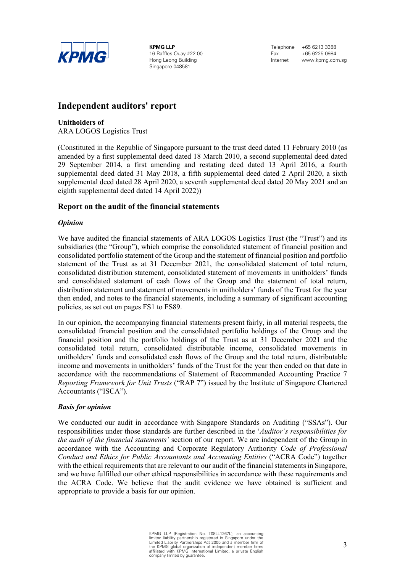

**KPMG LLP**  16 Raffles Quay #22-00 Hong Leong Building Singapore 048581

Telephone +65 6213 3388 Fax +65 6225 0984 Internet www.kpmg.com.sg

# **Independent auditors' report**

**Unitholders of** 

ARA LOGOS Logistics Trust

(Constituted in the Republic of Singapore pursuant to the trust deed dated 11 February 2010 (as amended by a first supplemental deed dated 18 March 2010, a second supplemental deed dated 29 September 2014, a first amending and restating deed dated 13 April 2016, a fourth supplemental deed dated 31 May 2018, a fifth supplemental deed dated 2 April 2020, a sixth supplemental deed dated 28 April 2020, a seventh supplemental deed dated 20 May 2021 and an eighth supplemental deed dated 14 April 2022))

### **Report on the audit of the financial statements**

### *Opinion*

We have audited the financial statements of ARA LOGOS Logistics Trust (the "Trust") and its subsidiaries (the "Group"), which comprise the consolidated statement of financial position and consolidated portfolio statement of the Group and the statement of financial position and portfolio statement of the Trust as at 31 December 2021, the consolidated statement of total return, consolidated distribution statement, consolidated statement of movements in unitholders' funds and consolidated statement of cash flows of the Group and the statement of total return, distribution statement and statement of movements in unitholders' funds of the Trust for the year then ended, and notes to the financial statements, including a summary of significant accounting policies, as set out on pages FS1 to FS89.

In our opinion, the accompanying financial statements present fairly, in all material respects, the consolidated financial position and the consolidated portfolio holdings of the Group and the financial position and the portfolio holdings of the Trust as at 31 December 2021 and the consolidated total return, consolidated distributable income, consolidated movements in unitholders' funds and consolidated cash flows of the Group and the total return, distributable income and movements in unitholders' funds of the Trust for the year then ended on that date in accordance with the recommendations of Statement of Recommended Accounting Practice 7 *Reporting Framework for Unit Trusts* ("RAP 7") issued by the Institute of Singapore Chartered Accountants ("ISCA").

#### *Basis for opinion*

We conducted our audit in accordance with Singapore Standards on Auditing ("SSAs"). Our responsibilities under those standards are further described in the '*Auditor's responsibilities for the audit of the financial statements'* section of our report. We are independent of the Group in accordance with the Accounting and Corporate Regulatory Authority *Code of Professional Conduct and Ethics for Public Accountants and Accounting Entities* ("ACRA Code") together with the ethical requirements that are relevant to our audit of the financial statements in Singapore, and we have fulfilled our other ethical responsibilities in accordance with these requirements and the ACRA Code. We believe that the audit evidence we have obtained is sufficient and appropriate to provide a basis for our opinion.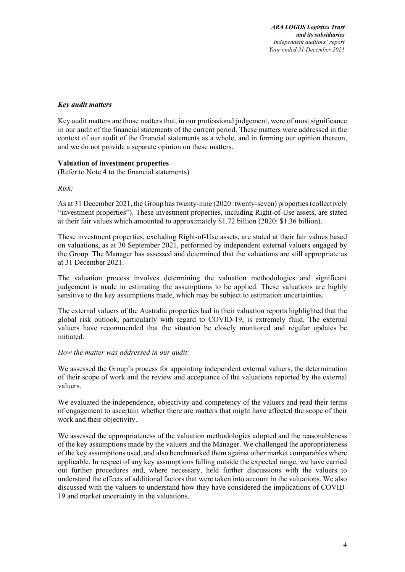#### *Key audit matters*

Key audit matters are those matters that, in our professional judgement, were of most significance in our audit of the financial statements of the current period. These matters were addressed in the context of our audit of the financial statements as a whole, and in forming our opinion thereon, and we do not provide a separate opinion on these matters.

#### **Valuation of investment properties**

(Refer to Note 4 to the financial statements)

#### *Risk:*

As at 31 December 2021, the Group has twenty-nine (2020: twenty-seven) properties (collectively "investment properties"). These investment properties, including Right-of-Use assets, are stated at their fair values which amounted to approximately \$1.72 billion (2020: \$1.36 billion).

These investment properties, excluding Right-of-Use assets, are stated at their fair values based on valuations, as at 30 September 2021, performed by independent external valuers engaged by the Group. The Manager has assessed and determined that the valuations are still appropriate as at 31 December 2021.

The valuation process involves determining the valuation methodologies and significant judgement is made in estimating the assumptions to be applied. These valuations are highly sensitive to the key assumptions made, which may be subject to estimation uncertainties.

The external valuers of the Australia properties had in their valuation reports highlighted that the global risk outlook, particularly with regard to COVID-19, is extremely fluid. The external valuers have recommended that the situation be closely monitored and regular updates be initiated.

#### *How the matter was addressed in our audit:*

We assessed the Group's process for appointing independent external valuers, the determination of their scope of work and the review and acceptance of the valuations reported by the external valuers.

We evaluated the independence, objectivity and competency of the valuers and read their terms of engagement to ascertain whether there are matters that might have affected the scope of their work and their objectivity.

We assessed the appropriateness of the valuation methodologies adopted and the reasonableness of the key assumptions made by the valuers and the Manager. We challenged the appropriateness of the key assumptions used, and also benchmarked them against other market comparables where applicable. In respect of any key assumptions falling outside the expected range, we have carried out further procedures and, where necessary, held further discussions with the valuers to understand the effects of additional factors that were taken into account in the valuations. We also discussed with the valuers to understand how they have considered the implications of COVID-19 and market uncertainty in the valuations.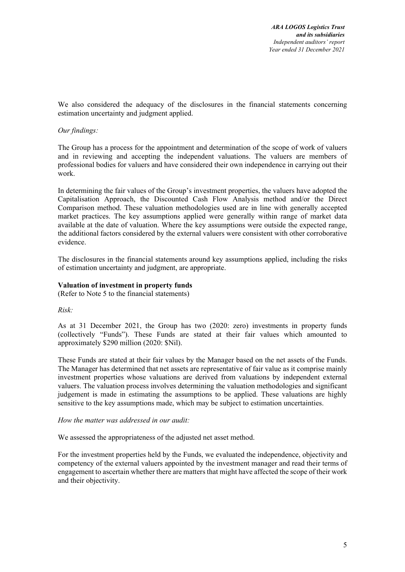We also considered the adequacy of the disclosures in the financial statements concerning estimation uncertainty and judgment applied.

### *Our findings:*

The Group has a process for the appointment and determination of the scope of work of valuers and in reviewing and accepting the independent valuations. The valuers are members of professional bodies for valuers and have considered their own independence in carrying out their work.

In determining the fair values of the Group's investment properties, the valuers have adopted the Capitalisation Approach, the Discounted Cash Flow Analysis method and/or the Direct Comparison method. These valuation methodologies used are in line with generally accepted market practices. The key assumptions applied were generally within range of market data available at the date of valuation. Where the key assumptions were outside the expected range, the additional factors considered by the external valuers were consistent with other corroborative evidence.

The disclosures in the financial statements around key assumptions applied, including the risks of estimation uncertainty and judgment, are appropriate.

#### **Valuation of investment in property funds**

(Refer to Note 5 to the financial statements)

*Risk:* 

As at 31 December 2021, the Group has two (2020: zero) investments in property funds (collectively "Funds"). These Funds are stated at their fair values which amounted to approximately \$290 million (2020: \$Nil).

These Funds are stated at their fair values by the Manager based on the net assets of the Funds. The Manager has determined that net assets are representative of fair value as it comprise mainly investment properties whose valuations are derived from valuations by independent external valuers. The valuation process involves determining the valuation methodologies and significant judgement is made in estimating the assumptions to be applied. These valuations are highly sensitive to the key assumptions made, which may be subject to estimation uncertainties.

*How the matter was addressed in our audit:* 

We assessed the appropriateness of the adjusted net asset method.

For the investment properties held by the Funds, we evaluated the independence, objectivity and competency of the external valuers appointed by the investment manager and read their terms of engagement to ascertain whether there are matters that might have affected the scope of their work and their objectivity.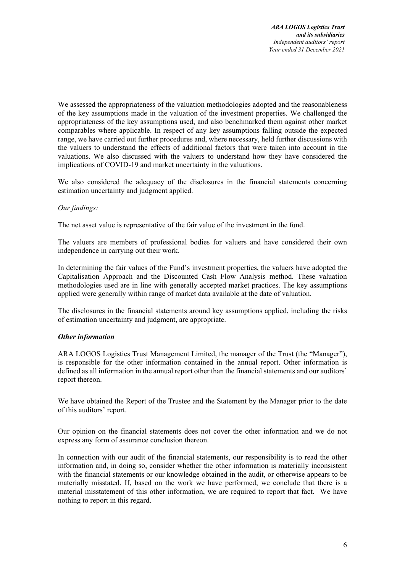We assessed the appropriateness of the valuation methodologies adopted and the reasonableness of the key assumptions made in the valuation of the investment properties. We challenged the appropriateness of the key assumptions used, and also benchmarked them against other market comparables where applicable. In respect of any key assumptions falling outside the expected range, we have carried out further procedures and, where necessary, held further discussions with the valuers to understand the effects of additional factors that were taken into account in the valuations. We also discussed with the valuers to understand how they have considered the implications of COVID-19 and market uncertainty in the valuations.

We also considered the adequacy of the disclosures in the financial statements concerning estimation uncertainty and judgment applied.

### *Our findings:*

The net asset value is representative of the fair value of the investment in the fund.

The valuers are members of professional bodies for valuers and have considered their own independence in carrying out their work.

In determining the fair values of the Fund's investment properties, the valuers have adopted the Capitalisation Approach and the Discounted Cash Flow Analysis method. These valuation methodologies used are in line with generally accepted market practices. The key assumptions applied were generally within range of market data available at the date of valuation.

The disclosures in the financial statements around key assumptions applied, including the risks of estimation uncertainty and judgment, are appropriate.

#### *Other information*

ARA LOGOS Logistics Trust Management Limited, the manager of the Trust (the "Manager"), is responsible for the other information contained in the annual report. Other information is defined as all information in the annual report other than the financial statements and our auditors' report thereon.

We have obtained the Report of the Trustee and the Statement by the Manager prior to the date of this auditors' report.

Our opinion on the financial statements does not cover the other information and we do not express any form of assurance conclusion thereon.

In connection with our audit of the financial statements, our responsibility is to read the other information and, in doing so, consider whether the other information is materially inconsistent with the financial statements or our knowledge obtained in the audit, or otherwise appears to be materially misstated. If, based on the work we have performed, we conclude that there is a material misstatement of this other information, we are required to report that fact. We have nothing to report in this regard.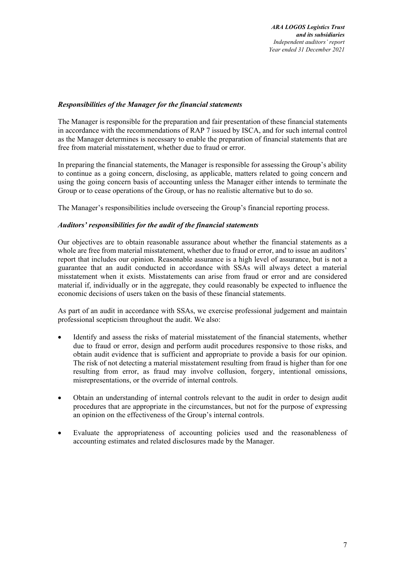#### *Responsibilities of the Manager for the financial statements*

The Manager is responsible for the preparation and fair presentation of these financial statements in accordance with the recommendations of RAP 7 issued by ISCA, and for such internal control as the Manager determines is necessary to enable the preparation of financial statements that are free from material misstatement, whether due to fraud or error.

In preparing the financial statements, the Manager is responsible for assessing the Group's ability to continue as a going concern, disclosing, as applicable, matters related to going concern and using the going concern basis of accounting unless the Manager either intends to terminate the Group or to cease operations of the Group, or has no realistic alternative but to do so.

The Manager's responsibilities include overseeing the Group's financial reporting process.

#### *Auditors' responsibilities for the audit of the financial statements*

Our objectives are to obtain reasonable assurance about whether the financial statements as a whole are free from material misstatement, whether due to fraud or error, and to issue an auditors' report that includes our opinion. Reasonable assurance is a high level of assurance, but is not a guarantee that an audit conducted in accordance with SSAs will always detect a material misstatement when it exists. Misstatements can arise from fraud or error and are considered material if, individually or in the aggregate, they could reasonably be expected to influence the economic decisions of users taken on the basis of these financial statements.

As part of an audit in accordance with SSAs, we exercise professional judgement and maintain professional scepticism throughout the audit. We also:

- Identify and assess the risks of material misstatement of the financial statements, whether due to fraud or error, design and perform audit procedures responsive to those risks, and obtain audit evidence that is sufficient and appropriate to provide a basis for our opinion. The risk of not detecting a material misstatement resulting from fraud is higher than for one resulting from error, as fraud may involve collusion, forgery, intentional omissions, misrepresentations, or the override of internal controls.
- Obtain an understanding of internal controls relevant to the audit in order to design audit procedures that are appropriate in the circumstances, but not for the purpose of expressing an opinion on the effectiveness of the Group's internal controls.
- Evaluate the appropriateness of accounting policies used and the reasonableness of accounting estimates and related disclosures made by the Manager.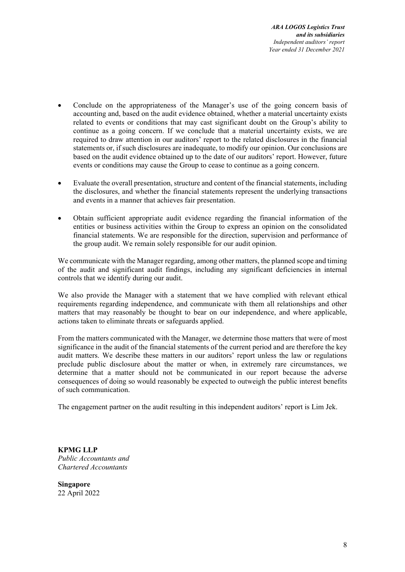- Conclude on the appropriateness of the Manager's use of the going concern basis of accounting and, based on the audit evidence obtained, whether a material uncertainty exists related to events or conditions that may cast significant doubt on the Group's ability to continue as a going concern. If we conclude that a material uncertainty exists, we are required to draw attention in our auditors' report to the related disclosures in the financial statements or, if such disclosures are inadequate, to modify our opinion. Our conclusions are based on the audit evidence obtained up to the date of our auditors' report. However, future events or conditions may cause the Group to cease to continue as a going concern.
- Evaluate the overall presentation, structure and content of the financial statements, including the disclosures, and whether the financial statements represent the underlying transactions and events in a manner that achieves fair presentation.
- Obtain sufficient appropriate audit evidence regarding the financial information of the entities or business activities within the Group to express an opinion on the consolidated financial statements. We are responsible for the direction, supervision and performance of the group audit. We remain solely responsible for our audit opinion.

We communicate with the Manager regarding, among other matters, the planned scope and timing of the audit and significant audit findings, including any significant deficiencies in internal controls that we identify during our audit.

We also provide the Manager with a statement that we have complied with relevant ethical requirements regarding independence, and communicate with them all relationships and other matters that may reasonably be thought to bear on our independence, and where applicable, actions taken to eliminate threats or safeguards applied.

From the matters communicated with the Manager, we determine those matters that were of most significance in the audit of the financial statements of the current period and are therefore the key audit matters. We describe these matters in our auditors' report unless the law or regulations preclude public disclosure about the matter or when, in extremely rare circumstances, we determine that a matter should not be communicated in our report because the adverse consequences of doing so would reasonably be expected to outweigh the public interest benefits of such communication.

The engagement partner on the audit resulting in this independent auditors' report is Lim Jek.

**KPMG LLP** *Public Accountants and Chartered Accountants* 

**Singapore**  22 April 2022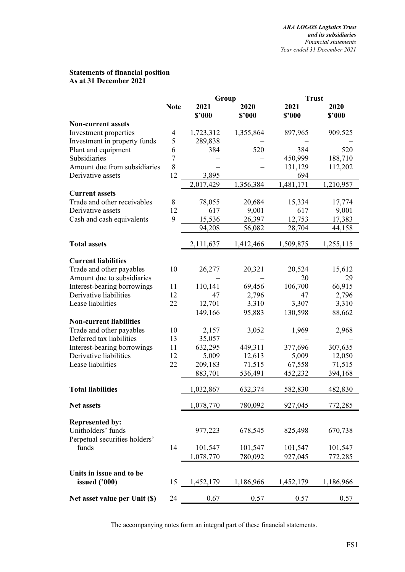### **Statements of financial position As at 31 December 2021**

|                                                     |             | Group          |                | <b>Trust</b>   |                |  |  |
|-----------------------------------------------------|-------------|----------------|----------------|----------------|----------------|--|--|
|                                                     | <b>Note</b> | 2021<br>\$2000 | 2020<br>\$2000 | 2021<br>\$'000 | 2020<br>\$2000 |  |  |
| <b>Non-current assets</b>                           |             |                |                |                |                |  |  |
| Investment properties                               | 4           | 1,723,312      | 1,355,864      | 897,965        | 909,525        |  |  |
| Investment in property funds                        | 5           | 289,838        |                |                |                |  |  |
| Plant and equipment                                 | 6           | 384            | 520            | 384            | 520            |  |  |
| Subsidiaries                                        | 7           |                |                | 450,999        | 188,710        |  |  |
| Amount due from subsidiaries                        | 8           |                |                | 131,129        | 112,202        |  |  |
| Derivative assets                                   | 12          | 3,895          |                | 694            |                |  |  |
|                                                     |             | 2,017,429      | 1,356,384      | 1,481,171      | 1,210,957      |  |  |
| <b>Current assets</b>                               |             |                |                |                |                |  |  |
| Trade and other receivables                         | 8           | 78,055         | 20,684         | 15,334         | 17,774         |  |  |
| Derivative assets                                   | 12          | 617            | 9,001          | 617            | 9,001          |  |  |
| Cash and cash equivalents                           | 9           | 15,536         | 26,397         | 12,753         | 17,383         |  |  |
|                                                     |             | 94,208         | 56,082         | 28,704         | 44,158         |  |  |
| <b>Total assets</b>                                 |             | 2,111,637      | 1,412,466      | 1,509,875      | 1,255,115      |  |  |
| <b>Current liabilities</b>                          |             |                |                |                |                |  |  |
| Trade and other payables                            | 10          | 26,277         | 20,321         | 20,524         | 15,612         |  |  |
| Amount due to subsidiaries                          |             |                |                | 20             | 29             |  |  |
| Interest-bearing borrowings                         | 11          | 110,141        | 69,456         | 106,700        | 66,915         |  |  |
| Derivative liabilities                              | 12          | 47             | 2,796          | 47             | 2,796          |  |  |
| Lease liabilities                                   | 22          | 12,701         | 3,310          | 3,307          | 3,310          |  |  |
|                                                     |             | 149,166        | 95,883         | 130,598        | 88,662         |  |  |
| <b>Non-current liabilities</b>                      |             |                |                |                |                |  |  |
| Trade and other payables                            | 10          | 2,157          | 3,052          | 1,969          | 2,968          |  |  |
| Deferred tax liabilities                            | 13          | 35,057         |                |                |                |  |  |
| Interest-bearing borrowings                         | 11          | 632,295        | 449,311        | 377,696        | 307,635        |  |  |
| Derivative liabilities                              | 12          | 5,009          | 12,613         | 5,009          | 12,050         |  |  |
| Lease liabilities                                   | 22          | 209,183        | 71,515         | 67,558         | 71,515         |  |  |
|                                                     |             | 883,701        | 536,491        | 452,232        | 394,168        |  |  |
| <b>Total liabilities</b>                            |             | 1,032,867      | 632,374        | 582,830        | 482,830        |  |  |
| <b>Net assets</b>                                   |             | 1,078,770      | 780,092        | 927,045        | 772,285        |  |  |
| <b>Represented by:</b>                              |             |                |                |                |                |  |  |
| Unitholders' funds<br>Perpetual securities holders' |             | 977,223        | 678,545        | 825,498        | 670,738        |  |  |
| funds                                               | 14          | 101,547        | 101,547        | 101,547        | 101,547        |  |  |
|                                                     |             | 1,078,770      | 780,092        | 927,045        | 772,285        |  |  |
| Units in issue and to be                            |             |                |                |                |                |  |  |
| issued ('000)                                       | 15          | 1,452,179      | 1,186,966      | 1,452,179      | 1,186,966      |  |  |
| Net asset value per Unit (\$)                       | 24          | 0.67           | 0.57           | 0.57           | 0.57           |  |  |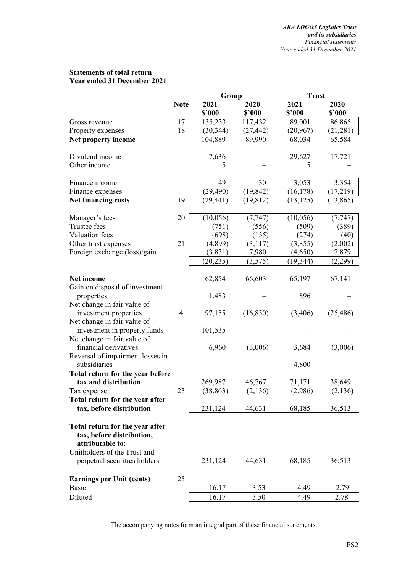#### **Statements of total return Year ended 31 December 2021**

|                                  |                | Group     |           | <b>Trust</b> |           |
|----------------------------------|----------------|-----------|-----------|--------------|-----------|
|                                  | <b>Note</b>    | 2021      | 2020      | 2021         | 2020      |
|                                  |                | \$'000    | \$'000    | \$2000       | \$2000    |
| Gross revenue                    | 17             | 135,233   | 117,432   | 89,001       | 86,865    |
| Property expenses                | 18             | (30, 344) | (27, 442) | (20, 967)    | (21, 281) |
| Net property income              |                | 104,889   | 89,990    | 68,034       | 65,584    |
|                                  |                |           |           |              |           |
| Dividend income                  |                | 7,636     |           | 29,627       | 17,721    |
| Other income                     |                | 5         |           | 5            |           |
|                                  |                |           |           |              |           |
| Finance income                   |                | 49        | 30        | 3,053        | 3,354     |
| Finance expenses                 |                | (29, 490) | (19, 842) | (16, 178)    | (17,219)  |
| <b>Net financing costs</b>       | 19             | (29, 441) | (19, 812) | (13, 125)    | (13, 865) |
|                                  |                |           |           |              |           |
| Manager's fees                   | 20             | (10, 056) | (7, 747)  | (10,056)     | (7, 747)  |
| Trustee fees                     |                | (751)     | (556)     | (509)        | (389)     |
| Valuation fees                   |                | (698)     | (135)     | (274)        | (40)      |
| Other trust expenses             | 21             | (4,899)   | (3,117)   | (3,855)      | (2,002)   |
| Foreign exchange (loss)/gain     |                | (3,831)   | 7,980     | (4,650)      | 7,879     |
|                                  |                | (20, 235) | (3,575)   | (19, 344)    | (2,299)   |
|                                  |                |           |           |              |           |
| Net income                       |                | 62,854    | 66,603    | 65,197       | 67,141    |
| Gain on disposal of investment   |                |           |           |              |           |
| properties                       |                | 1,483     |           | 896          |           |
| Net change in fair value of      |                |           |           |              |           |
| investment properties            | $\overline{4}$ | 97,155    | (16, 830) | (3,406)      | (25, 486) |
| Net change in fair value of      |                |           |           |              |           |
| investment in property funds     |                | 101,535   |           |              |           |
| Net change in fair value of      |                |           |           |              |           |
| financial derivatives            |                | 6,960     | (3,006)   | 3,684        | (3,006)   |
| Reversal of impairment losses in |                |           |           |              |           |
| subsidiaries                     |                |           |           | 4,800        |           |
| Total return for the year before |                |           |           |              |           |
| tax and distribution             |                | 269,987   | 46,767    | 71,171       | 38,649    |
| Tax expense                      | 23             | (38, 863) | (2, 136)  | (2,986)      | (2,136)   |
| Total return for the year after  |                |           |           |              |           |
| tax, before distribution         |                | 231,124   | 44,631    | 68,185       | 36,513    |
| Total return for the year after  |                |           |           |              |           |
| tax, before distribution,        |                |           |           |              |           |
| attributable to:                 |                |           |           |              |           |
| Unitholders of the Trust and     |                |           |           |              |           |
| perpetual securities holders     |                | 231,124   | 44,631    | 68,185       | 36,513    |
|                                  |                |           |           |              |           |
| <b>Earnings per Unit (cents)</b> | 25             |           |           |              |           |
| <b>Basic</b>                     |                | 16.17     | 3.53      | 4.49         | 2.79      |
| Diluted                          |                | 16.17     | 3.50      | 4.49         | 2.78      |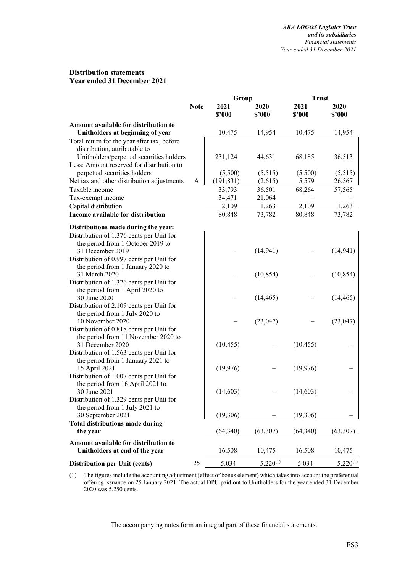#### **Distribution statements Year ended 31 December 2021**

|                                                                             |             | Group          |                | <b>Trust</b>   |                |  |  |
|-----------------------------------------------------------------------------|-------------|----------------|----------------|----------------|----------------|--|--|
|                                                                             | <b>Note</b> | 2021<br>\$2000 | 2020<br>\$2000 | 2021<br>\$2000 | 2020<br>\$2000 |  |  |
| Amount available for distribution to                                        |             |                |                |                |                |  |  |
| Unitholders at beginning of year                                            |             | 10,475         | 14,954         | 10,475         | 14,954         |  |  |
| Total return for the year after tax, before                                 |             |                |                |                |                |  |  |
| distribution, attributable to                                               |             |                |                |                |                |  |  |
| Unitholders/perpetual securities holders                                    |             | 231,124        | 44,631         | 68,185         | 36,513         |  |  |
| Less: Amount reserved for distribution to                                   |             |                |                |                |                |  |  |
| perpetual securities holders                                                |             | (5,500)        | (5,515)        | (5,500)        | (5,515)        |  |  |
| Net tax and other distribution adjustments                                  | A           | (191, 831)     | (2,615)        | 5,579          | 26,567         |  |  |
| Taxable income                                                              |             | 33,793         | 36,501         | 68,264         | 57,565         |  |  |
| Tax-exempt income                                                           |             | 34,471         | 21,064         |                |                |  |  |
| Capital distribution                                                        |             | 2,109          | 1,263          | 2,109          | 1,263          |  |  |
| Income available for distribution                                           |             | 80,848         | 73,782         | 80,848         | 73,782         |  |  |
| Distributions made during the year:                                         |             |                |                |                |                |  |  |
| Distribution of 1.376 cents per Unit for                                    |             |                |                |                |                |  |  |
| the period from 1 October 2019 to                                           |             |                |                |                |                |  |  |
| 31 December 2019                                                            |             |                | (14, 941)      |                | (14, 941)      |  |  |
| Distribution of 0.997 cents per Unit for                                    |             |                |                |                |                |  |  |
| the period from 1 January 2020 to                                           |             |                |                |                |                |  |  |
| 31 March 2020                                                               |             |                | (10, 854)      |                | (10, 854)      |  |  |
| Distribution of 1.326 cents per Unit for<br>the period from 1 April 2020 to |             |                |                |                |                |  |  |
| 30 June 2020                                                                |             |                | (14, 465)      |                | (14, 465)      |  |  |
| Distribution of 2.109 cents per Unit for                                    |             |                |                |                |                |  |  |
| the period from 1 July 2020 to                                              |             |                |                |                |                |  |  |
| 10 November 2020                                                            |             |                | (23, 047)      |                | (23, 047)      |  |  |
| Distribution of 0.818 cents per Unit for                                    |             |                |                |                |                |  |  |
| the period from 11 November 2020 to                                         |             |                |                |                |                |  |  |
| 31 December 2020                                                            |             | (10, 455)      |                | (10, 455)      |                |  |  |
| Distribution of 1.563 cents per Unit for                                    |             |                |                |                |                |  |  |
| the period from 1 January 2021 to                                           |             |                |                |                |                |  |  |
| 15 April 2021<br>Distribution of 1.007 cents per Unit for                   |             | (19, 976)      |                | (19, 976)      |                |  |  |
| the period from 16 April 2021 to                                            |             |                |                |                |                |  |  |
| 30 June 2021                                                                |             | (14,603)       |                | (14,603)       |                |  |  |
| Distribution of 1.329 cents per Unit for                                    |             |                |                |                |                |  |  |
| the period from 1 July 2021 to                                              |             |                |                |                |                |  |  |
| 30 September 2021                                                           |             | (19,306)       |                | (19, 306)      |                |  |  |
| <b>Total distributions made during</b>                                      |             |                |                |                |                |  |  |
| the year                                                                    |             | (64, 340)      | (63,307)       | (64,340)       | (63, 307)      |  |  |
| Amount available for distribution to                                        |             |                |                |                |                |  |  |
| Unitholders at end of the year                                              |             | 16,508         | 10,475         | 16,508         | 10,475         |  |  |
| Distribution per Unit (cents)                                               | 25          | 5.034          | $5.220^{(1)}$  | 5.034          | $5.220^{(1)}$  |  |  |

 (1) The figures include the accounting adjustment (effect of bonus element) which takes into account the preferential offering issuance on 25 January 2021. The actual DPU paid out to Unitholders for the year ended 31 December 2020 was 5.250 cents.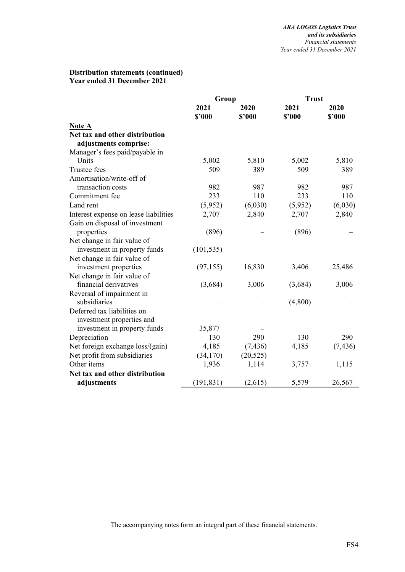# **Distribution statements (continued) Year ended 31 December 2021**

|                                                          | Group          |                | <b>Trust</b>   |                |  |
|----------------------------------------------------------|----------------|----------------|----------------|----------------|--|
|                                                          | 2021<br>\$'000 | 2020<br>\$'000 | 2021<br>\$'000 | 2020<br>\$'000 |  |
| <b>Note A</b>                                            |                |                |                |                |  |
| Net tax and other distribution                           |                |                |                |                |  |
| adjustments comprise:                                    |                |                |                |                |  |
| Manager's fees paid/payable in                           |                |                |                |                |  |
| Units                                                    | 5,002          | 5,810          | 5,002          | 5,810          |  |
| Trustee fees                                             | 509            | 389            | 509            | 389            |  |
| Amortisation/write-off of                                |                |                |                |                |  |
| transaction costs                                        | 982            | 987            | 982            | 987            |  |
| Commitment fee                                           | 233            | 110            | 233            | 110            |  |
| Land rent                                                | (5,952)        | (6,030)        | (5,952)        | (6,030)        |  |
| Interest expense on lease liabilities                    | 2,707          | 2,840          | 2,707          | 2,840          |  |
| Gain on disposal of investment<br>properties             | (896)          |                | (896)          |                |  |
| Net change in fair value of                              |                |                |                |                |  |
| investment in property funds                             | (101, 535)     |                |                |                |  |
| Net change in fair value of                              |                |                |                |                |  |
| investment properties                                    | (97, 155)      | 16,830         | 3,406          | 25,486         |  |
| Net change in fair value of                              |                |                |                |                |  |
| financial derivatives                                    | (3,684)        | 3,006          | (3,684)        | 3,006          |  |
| Reversal of impairment in                                |                |                |                |                |  |
| subsidiaries                                             |                |                | (4,800)        |                |  |
| Deferred tax liabilities on<br>investment properties and |                |                |                |                |  |
| investment in property funds                             | 35,877         |                |                |                |  |
| Depreciation                                             | 130            | 290            | 130            | 290            |  |
| Net foreign exchange loss/(gain)                         | 4,185          | (7, 436)       | 4,185          | (7, 436)       |  |
| Net profit from subsidiaries                             | (34,170)       | (20, 525)      |                |                |  |
| Other items                                              | 1,936          | 1,114          | 3,757          | 1,115          |  |
| Net tax and other distribution                           |                |                |                |                |  |
| adjustments                                              | (191, 831)     | (2,615)        | 5,579          | 26,567         |  |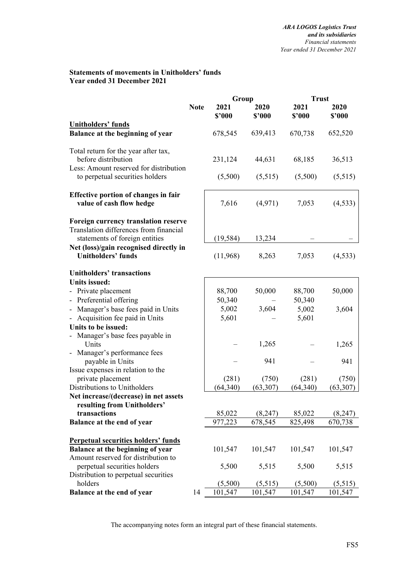### **Statements of movements in Unitholders' funds Year ended 31 December 2021**

|                                                                                                                  |             | Group          |                | <b>Trust</b>   |                |  |
|------------------------------------------------------------------------------------------------------------------|-------------|----------------|----------------|----------------|----------------|--|
|                                                                                                                  | <b>Note</b> | 2021<br>\$2000 | 2020<br>\$'000 | 2021<br>\$'000 | 2020<br>\$2000 |  |
| <b>Unitholders' funds</b>                                                                                        |             |                |                |                |                |  |
| Balance at the beginning of year                                                                                 |             | 678,545        | 639,413        | 670,738        | 652,520        |  |
| Total return for the year after tax,<br>before distribution                                                      |             | 231,124        | 44,631         | 68,185         | 36,513         |  |
| Less: Amount reserved for distribution<br>to perpetual securities holders                                        |             | (5,500)        | (5,515)        | (5,500)        | (5,515)        |  |
| <b>Effective portion of changes in fair</b><br>value of cash flow hedge                                          |             | 7,616          | (4,971)        | 7,053          | (4, 533)       |  |
| Foreign currency translation reserve<br>Translation differences from financial<br>statements of foreign entities |             | (19, 584)      | 13,234         |                |                |  |
| Net (loss)/gain recognised directly in<br><b>Unitholders' funds</b>                                              |             | (11,968)       | 8,263          | 7,053          | (4,533)        |  |
| <b>Unitholders' transactions</b>                                                                                 |             |                |                |                |                |  |
| <b>Units issued:</b>                                                                                             |             |                |                |                |                |  |
| - Private placement                                                                                              |             | 88,700         | 50,000         | 88,700         | 50,000         |  |
| - Preferential offering                                                                                          |             | 50,340         |                | 50,340         |                |  |
| - Manager's base fees paid in Units                                                                              |             | 5,002          | 3,604          | 5,002          | 3,604          |  |
| - Acquisition fee paid in Units                                                                                  |             | 5,601          |                | 5,601          |                |  |
| Units to be issued:                                                                                              |             |                |                |                |                |  |
| Manager's base fees payable in<br>$\overline{\phantom{0}}$<br>Units                                              |             |                | 1,265          |                | 1,265          |  |
| - Manager's performance fees<br>payable in Units                                                                 |             |                | 941            |                | 941            |  |
| Issue expenses in relation to the                                                                                |             |                |                |                |                |  |
| private placement                                                                                                |             | (281)          | (750)          | (281)          | (750)          |  |
| Distributions to Unitholders                                                                                     |             | (64, 340)      | (63, 307)      | (64, 340)      | (63, 307)      |  |
| Net increase/(decrease) in net assets                                                                            |             |                |                |                |                |  |
| resulting from Unitholders'                                                                                      |             |                |                |                |                |  |
| transactions                                                                                                     |             | 85,022         | (8,247)        | 85,022         | (8,247)        |  |
| Balance at the end of year                                                                                       |             | 977,223        | 678,545        | 825,498        | 670,738        |  |
| <b>Perpetual securities holders' funds</b>                                                                       |             |                |                |                |                |  |
| Balance at the beginning of year                                                                                 |             | 101,547        | 101,547        | 101,547        | 101,547        |  |
| Amount reserved for distribution to                                                                              |             |                |                |                |                |  |
| perpetual securities holders                                                                                     |             | 5,500          | 5,515          | 5,500          | 5,515          |  |
| Distribution to perpetual securities                                                                             |             |                |                |                |                |  |
| holders                                                                                                          |             | (5,500)        | (5,515)        | (5,500)        | (5,515)        |  |
| Balance at the end of year                                                                                       | 14          | 101,547        | 101,547        | 101,547        | 101,547        |  |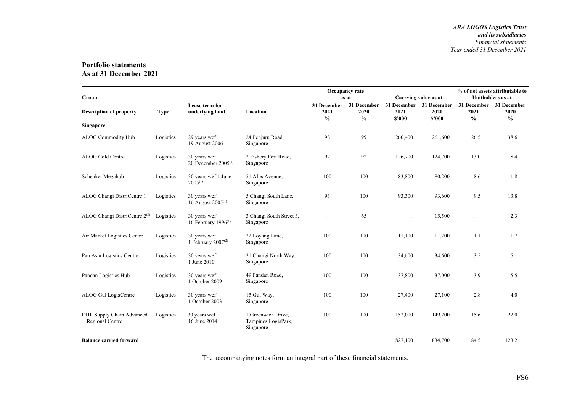#### **Portfolio statements As at 31 December 2021**

| Group                                        |             |                                                |                                                        | Occupancy rate<br>Carrying value as at<br>as at |                                      |                                           |                | % of net assets attributable to<br><b>Unitholders</b> as at |                                      |
|----------------------------------------------|-------------|------------------------------------------------|--------------------------------------------------------|-------------------------------------------------|--------------------------------------|-------------------------------------------|----------------|-------------------------------------------------------------|--------------------------------------|
| <b>Description of property</b>               | <b>Type</b> | Lease term for<br>underlying land              | Location                                               | 31 December<br>2021<br>$\frac{0}{0}$            | 31 December<br>2020<br>$\frac{6}{6}$ | 31 December 31 December<br>2021<br>\$2000 | 2020<br>\$2000 | 31 December<br>2021<br>$\frac{6}{9}$                        | 31 December<br>2020<br>$\frac{6}{9}$ |
| <b>Singapore</b>                             |             |                                                |                                                        |                                                 |                                      |                                           |                |                                                             |                                      |
| <b>ALOG Commodity Hub</b>                    | Logistics   | 29 years wef<br>19 August 2006                 | 24 Penjuru Road,<br>Singapore                          | 98                                              | 99                                   | 260,400                                   | 261,600        | 26.5                                                        | 38.6                                 |
| ALOG Cold Centre                             | Logistics   | 30 years wef<br>20 December $2005^{(1)}$       | 2 Fishery Port Road,<br>Singapore                      | 92                                              | 92                                   | 126,700                                   | 124,700        | 13.0                                                        | 18.4                                 |
| Schenker Megahub                             | Logistics   | 30 years wef 1 June<br>$2005^{(1)}$            | 51 Alps Avenue,<br>Singapore                           | 100                                             | 100                                  | 83,800                                    | 80,200         | 8.6                                                         | 11.8                                 |
| ALOG Changi DistriCentre 1                   | Logistics   | 30 years wef<br>16 August 2005 <sup>(1)</sup>  | 5 Changi South Lane,<br>Singapore                      | 93                                              | 100                                  | 93,300                                    | 93,600         | 9.5                                                         | 13.8                                 |
| ALOG Changi DistriCentre 2(3)                | Logistics   | 30 years wef<br>16 February $1996^{(1)}$       | 3 Changi South Street 3,<br>Singapore                  | $\overline{\phantom{0}}$                        | 65                                   |                                           | 15,500         |                                                             | 2.3                                  |
| Air Market Logistics Centre                  | Logistics   | 30 years wef<br>1 February 2007 <sup>(2)</sup> | 22 Loyang Lane,<br>Singapore                           | 100                                             | 100                                  | 11,100                                    | 11,200         | 1.1                                                         | 1.7                                  |
| Pan Asia Logistics Centre                    | Logistics   | 30 years wef<br>1 June 2010                    | 21 Changi North Way,<br>Singapore                      | 100                                             | 100                                  | 34,600                                    | 34,600         | 3.5                                                         | 5.1                                  |
| Pandan Logistics Hub                         | Logistics   | 30 years wef<br>1 October 2009                 | 49 Pandan Road.<br>Singapore                           | 100                                             | 100                                  | 37,800                                    | 37,000         | 3.9                                                         | 5.5                                  |
| ALOG Gul LogisCentre                         | Logistics   | 30 years wef<br>1 October 2003                 | 15 Gul Way,<br>Singapore                               | 100                                             | 100                                  | 27,400                                    | 27,100         | 2.8                                                         | 4.0                                  |
| DHL Supply Chain Advanced<br>Regional Centre | Logistics   | 30 years wef<br>16 June 2014                   | 1 Greenwich Drive.<br>Tampines LogisPark,<br>Singapore | 100                                             | 100                                  | 152,000                                   | 149,200        | 15.6                                                        | 22.0                                 |
| <b>Balance carried forward</b>               |             |                                                |                                                        |                                                 |                                      | 827,100                                   | 834,700        | 84.5                                                        | 123.2                                |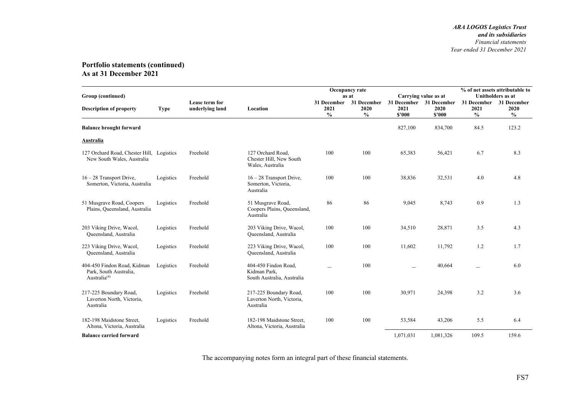| Group (continued)                                                                 |             |                                   | Carrying value as at                                               | % of net assets attributable to<br>Unitholders as at |                                      |                               |                               |                                      |                                                                    |
|-----------------------------------------------------------------------------------|-------------|-----------------------------------|--------------------------------------------------------------------|------------------------------------------------------|--------------------------------------|-------------------------------|-------------------------------|--------------------------------------|--------------------------------------------------------------------|
| <b>Description of property</b>                                                    | <b>Type</b> | Lease term for<br>underlying land | Location                                                           | 31 December<br>2021<br>$\%$                          | 31 December<br>2020<br>$\frac{0}{0}$ | 31 December<br>2021<br>\$2000 | 31 December<br>2020<br>\$'000 | 31 December<br>2021<br>$\frac{0}{0}$ | 31 December<br>2020<br>$\boldsymbol{\theta}\!/\!\boldsymbol{_{0}}$ |
| <b>Balance brought forward</b>                                                    |             |                                   |                                                                    |                                                      |                                      | 827,100                       | 834,700                       | 84.5                                 | 123.2                                                              |
| <b>Australia</b>                                                                  |             |                                   |                                                                    |                                                      |                                      |                               |                               |                                      |                                                                    |
| 127 Orchard Road, Chester Hill, Logistics<br>New South Wales, Australia           |             | Freehold                          | 127 Orchard Road.<br>Chester Hill, New South<br>Wales, Australia   | 100                                                  | 100                                  | 65,383                        | 56,421                        | 6.7                                  | 8.3                                                                |
| $16 - 28$ Transport Drive,<br>Somerton, Victoria, Australia                       | Logistics   | Freehold                          | $16 - 28$ Transport Drive,<br>Somerton, Victoria,<br>Australia     | 100                                                  | 100                                  | 38,836                        | 32,531                        | 4.0                                  | 4.8                                                                |
| 51 Musgrave Road, Coopers<br>Plains, Queensland, Australia                        | Logistics   | Freehold                          | 51 Musgrave Road,<br>Coopers Plains, Queensland,<br>Australia      | 86                                                   | 86                                   | 9,045                         | 8,743                         | 0.9                                  | 1.3                                                                |
| 203 Viking Drive, Wacol,<br>Queensland, Australia                                 | Logistics   | Freehold                          | 203 Viking Drive, Wacol,<br>Queensland, Australia                  | 100                                                  | 100                                  | 34,510                        | 28,871                        | 3.5                                  | 4.3                                                                |
| 223 Viking Drive, Wacol,<br>Queensland, Australia                                 | Logistics   | Freehold                          | 223 Viking Drive, Wacol,<br>Queensland, Australia                  | 100                                                  | 100                                  | 11,602                        | 11,792                        | 1.2                                  | 1.7                                                                |
| 404-450 Findon Road, Kidman<br>Park, South Australia,<br>Australia <sup>(4)</sup> | Logistics   | Freehold                          | 404-450 Findon Road,<br>Kidman Park,<br>South Australia, Australia |                                                      | 100                                  |                               | 40,664                        |                                      | 6.0                                                                |
| 217-225 Boundary Road,<br>Laverton North, Victoria,<br>Australia                  | Logistics   | Freehold                          | 217-225 Boundary Road,<br>Laverton North, Victoria,<br>Australia   | 100                                                  | 100                                  | 30,971                        | 24,398                        | 3.2                                  | 3.6                                                                |
| 182-198 Maidstone Street.<br>Altona, Victoria, Australia                          | Logistics   | Freehold                          | 182-198 Maidstone Street.<br>Altona, Victoria, Australia           | 100                                                  | 100                                  | 53,584                        | 43,206                        | 5.5                                  | 6.4                                                                |
| <b>Balance carried forward</b>                                                    |             |                                   |                                                                    |                                                      |                                      | 1,071,031                     | 1,081,326                     | 109.5                                | 159.6                                                              |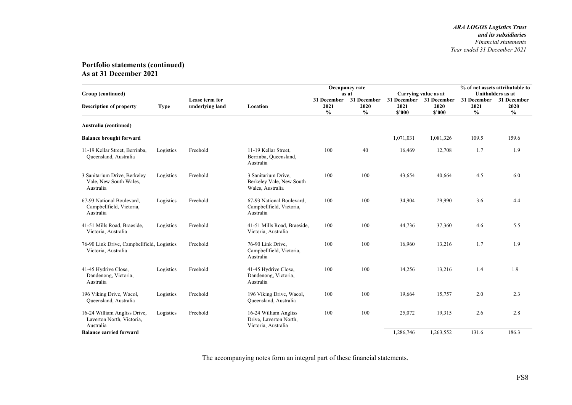| Group (continued)                                                      |             |                                   |                                                                        | Occupancy rate<br>Carrying value as at<br>as at |                             |                               |                               |                                                           |                                                                  |
|------------------------------------------------------------------------|-------------|-----------------------------------|------------------------------------------------------------------------|-------------------------------------------------|-----------------------------|-------------------------------|-------------------------------|-----------------------------------------------------------|------------------------------------------------------------------|
| <b>Description of property</b>                                         | <b>Type</b> | Lease term for<br>underlying land | Location                                                               | 31 December<br>2021<br>$\frac{0}{0}$            | 31 December<br>2020<br>$\%$ | 31 December<br>2021<br>\$2000 | 31 December<br>2020<br>\$2000 | 31 December<br>2021<br>$\mathbf{0}_{\mathbf{0}}^{\prime}$ | <b>Unitholders</b> as at<br>31 December<br>2020<br>$\frac{0}{0}$ |
| Australia (continued)                                                  |             |                                   |                                                                        |                                                 |                             |                               |                               |                                                           |                                                                  |
| <b>Balance brought forward</b>                                         |             |                                   |                                                                        |                                                 |                             | 1,071,031                     | 1,081,326                     | 109.5                                                     | 159.6                                                            |
| 11-19 Kellar Street, Berrinba,<br>Queensland, Australia                | Logistics   | Freehold                          | 11-19 Kellar Street,<br>Berrinba, Queensland,<br>Australia             | 100                                             | 40                          | 16,469                        | 12,708                        | 1.7                                                       | 1.9                                                              |
| 3 Sanitarium Drive, Berkeley<br>Vale, New South Wales,<br>Australia    | Logistics   | Freehold                          | 3 Sanitarium Drive,<br>Berkeley Vale, New South<br>Wales, Australia    | 100                                             | 100                         | 43,654                        | 40,664                        | 4.5                                                       | 6.0                                                              |
| 67-93 National Boulevard,<br>Campbellfield, Victoria,<br>Australia     | Logistics   | Freehold                          | 67-93 National Boulevard,<br>Campbellfield, Victoria,<br>Australia     | 100                                             | 100                         | 34,904                        | 29,990                        | 3.6                                                       | 4.4                                                              |
| 41-51 Mills Road, Braeside,<br>Victoria, Australia                     | Logistics   | Freehold                          | 41-51 Mills Road, Braeside,<br>Victoria, Australia                     | 100                                             | 100                         | 44,736                        | 37,360                        | 4.6                                                       | 5.5                                                              |
| 76-90 Link Drive, Campbellfield, Logistics<br>Victoria, Australia      |             | Freehold                          | 76-90 Link Drive,<br>Campbellfield, Victoria,<br>Australia             | 100                                             | 100                         | 16,960                        | 13,216                        | 1.7                                                       | 1.9                                                              |
| 41-45 Hydrive Close,<br>Dandenong, Victoria,<br>Australia              | Logistics   | Freehold                          | 41-45 Hydrive Close,<br>Dandenong, Victoria,<br>Australia              | 100                                             | 100                         | 14,256                        | 13,216                        | 1.4                                                       | 1.9                                                              |
| 196 Viking Drive, Wacol,<br>Queensland, Australia                      | Logistics   | Freehold                          | 196 Viking Drive, Wacol,<br>Queensland, Australia                      | 100                                             | 100                         | 19,664                        | 15,757                        | 2.0                                                       | 2.3                                                              |
| 16-24 William Angliss Drive,<br>Laverton North, Victoria,<br>Australia | Logistics   | Freehold                          | 16-24 William Angliss<br>Drive, Laverton North,<br>Victoria, Australia | 100                                             | 100                         | 25,072                        | 19,315                        | 2.6                                                       | 2.8                                                              |
| <b>Balance carried forward</b>                                         |             |                                   |                                                                        |                                                 |                             | 1,286,746                     | 1,263,552                     | 131.6                                                     | 186.3                                                            |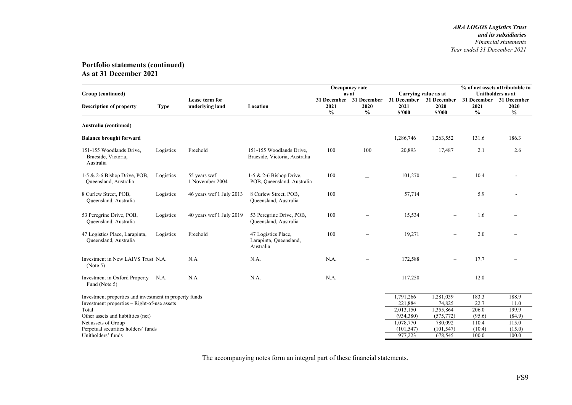|                                                              |             |                                   |                                                            |                                      | Occupancy rate                       |                               |                               |                                      | % of net assets attributable to      |  |
|--------------------------------------------------------------|-------------|-----------------------------------|------------------------------------------------------------|--------------------------------------|--------------------------------------|-------------------------------|-------------------------------|--------------------------------------|--------------------------------------|--|
| Group (continued)                                            |             |                                   |                                                            |                                      | as at                                | Carrying value as at          |                               |                                      | <b>Unitholders</b> as at             |  |
| <b>Description of property</b>                               | <b>Type</b> | Lease term for<br>underlying land | Location                                                   | 31 December<br>2021<br>$\frac{0}{0}$ | 31 December<br>2020<br>$\frac{0}{0}$ | 31 December<br>2021<br>\$2000 | 31 December<br>2020<br>\$2000 | 31 December<br>2021<br>$\frac{0}{0}$ | 31 December<br>2020<br>$\frac{6}{6}$ |  |
| Australia (continued)                                        |             |                                   |                                                            |                                      |                                      |                               |                               |                                      |                                      |  |
| <b>Balance brought forward</b>                               |             |                                   |                                                            |                                      |                                      | 1,286,746                     | 1,263,552                     | 131.6                                | 186.3                                |  |
| 151-155 Woodlands Drive,<br>Braeside, Victoria,<br>Australia | Logistics   | Freehold                          | 151-155 Woodlands Drive,<br>Braeside, Victoria, Australia  | 100                                  | 100                                  | 20,893                        | 17,487                        | 2.1                                  | 2.6                                  |  |
| 1-5 & 2-6 Bishop Drive, POB,<br>Queensland, Australia        | Logistics   | 55 years wef<br>1 November 2004   | 1-5 & 2-6 Bishop Drive,<br>POB, Queensland, Australia      | 100                                  |                                      | 101,270                       |                               | 10.4                                 |                                      |  |
| 8 Curlew Street, POB,<br>Queensland, Australia               | Logistics   | 46 years wef 1 July 2013          | 8 Curlew Street, POB,<br>Queensland, Australia             | 100                                  |                                      | 57,714                        |                               | 5.9                                  |                                      |  |
| 53 Peregrine Drive, POB,<br>Queensland, Australia            | Logistics   | 40 years wef 1 July 2019          | 53 Peregrine Drive, POB,<br>Queensland, Australia          | 100                                  |                                      | 15,534                        | $\overline{\phantom{0}}$      | 1.6                                  |                                      |  |
| 47 Logistics Place, Larapinta,<br>Queensland, Australia      | Logistics   | Freehold                          | 47 Logistics Place,<br>Larapinta, Queensland,<br>Australia | 100                                  |                                      | 19,271                        |                               | 2.0                                  |                                      |  |
| Investment in New LAIVS Trust N.A.<br>(Note 5)               |             | N.A                               | N.A.                                                       | N.A.                                 |                                      | 172,588                       |                               | 17.7                                 |                                      |  |
| Investment in Oxford Property<br>Fund (Note 5)               | N.A.        | N.A                               | N.A.                                                       | N.A.                                 |                                      | 117,250                       | $\overline{\phantom{0}}$      | 12.0                                 |                                      |  |
| Investment properties and investment in property funds       |             |                                   |                                                            |                                      |                                      | 1,791,266                     | 1,281,039                     | 183.3                                | 188.9                                |  |
| Investment properties - Right-of-use assets                  |             |                                   |                                                            |                                      |                                      | 221,884                       | 74,825                        | 22.7                                 | 11.0                                 |  |
| Total                                                        |             |                                   |                                                            |                                      |                                      | 2,013,150                     | 1,355,864                     | 206.0                                | 199.9                                |  |
| Other assets and liabilities (net)                           |             |                                   |                                                            |                                      |                                      | (934, 380)                    | (575, 772)                    | (95.6)                               | (84.9)                               |  |
| Net assets of Group                                          |             |                                   |                                                            |                                      |                                      | 1,078,770                     | 780,092                       | 110.4                                | 115.0                                |  |
| Perpetual securities holders' funds                          |             |                                   |                                                            |                                      |                                      | (101, 547)                    | (101, 547)                    | (10.4)                               | (15.0)                               |  |
| Unitholders' funds                                           |             |                                   |                                                            |                                      |                                      | 977,223                       | 678,545                       | 100.0                                | 100.0                                |  |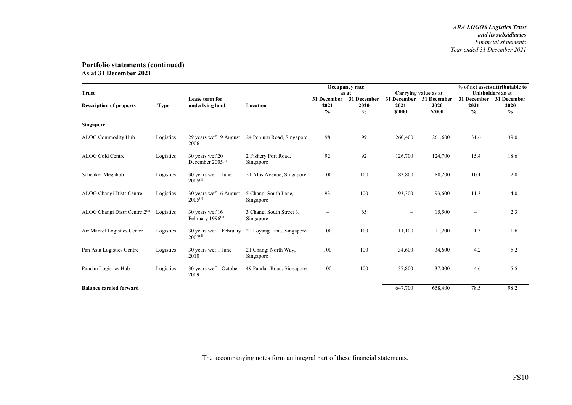| <b>Trust</b>                   |             |                                          |                                       |                                      | Occupancy rate<br>as at              |                               | Carrying value as at          | % of net assets attributable to<br>Unitholders as at |                                                           |
|--------------------------------|-------------|------------------------------------------|---------------------------------------|--------------------------------------|--------------------------------------|-------------------------------|-------------------------------|------------------------------------------------------|-----------------------------------------------------------|
| <b>Description of property</b> | <b>Type</b> | Lease term for<br>underlying land        | Location                              | 31 December<br>2021<br>$\frac{0}{0}$ | 31 December<br>2020<br>$\frac{0}{0}$ | 31 December<br>2021<br>\$2000 | 31 December<br>2020<br>\$'000 | 31 December<br>2021<br>$\frac{0}{0}$                 | 31 December<br>2020<br>$\mathbf{0}_{\mathbf{0}}^{\prime}$ |
| <b>Singapore</b>               |             |                                          |                                       |                                      |                                      |                               |                               |                                                      |                                                           |
| ALOG Commodity Hub             | Logistics   | 29 years wef 19 August<br>2006           | 24 Penjuru Road, Singapore            | 98                                   | 99                                   | 260,400                       | 261,600                       | 31.6                                                 | 39.0                                                      |
| ALOG Cold Centre               | Logistics   | 30 years wef 20<br>December $2005^{(1)}$ | 2 Fishery Port Road,<br>Singapore     | 92                                   | 92                                   | 126,700                       | 124,700                       | 15.4                                                 | 18.6                                                      |
| Schenker Megahub               | Logistics   | 30 years wef 1 June<br>$2005^{(1)}$      | 51 Alps Avenue, Singapore             | 100                                  | 100                                  | 83,800                        | 80,200                        | 10.1                                                 | 12.0                                                      |
| ALOG Changi DistriCentre 1     | Logistics   | 30 years wef 16 August<br>$2005^{(1)}$   | 5 Changi South Lane,<br>Singapore     | 93                                   | 100                                  | 93,300                        | 93,600                        | 11.3                                                 | 14.0                                                      |
| ALOG Changi DistriCentre 2(3)  | Logistics   | 30 years wef 16<br>February $1996^{(1)}$ | 3 Changi South Street 3,<br>Singapore |                                      | 65                                   | $\overline{\phantom{0}}$      | 15,500                        |                                                      | 2.3                                                       |
| Air Market Logistics Centre    | Logistics   | 30 years wef 1 February<br>$2007^{(2)}$  | 22 Loyang Lane, Singapore             | 100                                  | 100                                  | 11,100                        | 11,200                        | 1.3                                                  | 1.6                                                       |
| Pan Asia Logistics Centre      | Logistics   | 30 years wef 1 June<br>2010              | 21 Changi North Way,<br>Singapore     | 100                                  | 100                                  | 34,600                        | 34,600                        | 4.2                                                  | 5.2                                                       |
| Pandan Logistics Hub           | Logistics   | 30 years wef 1 October<br>2009           | 49 Pandan Road, Singapore             | 100                                  | 100                                  | 37,800                        | 37,000                        | 4.6                                                  | 5.5                                                       |
| <b>Balance carried forward</b> |             |                                          |                                       |                                      |                                      | 647,700                       | 658,400                       | 78.5                                                 | 98.2                                                      |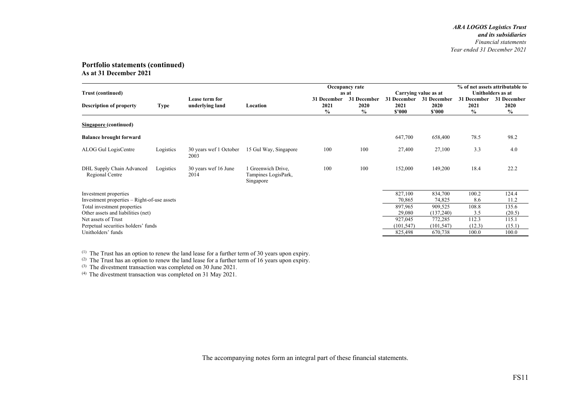| <b>Trust (continued)</b>                                             |             |                                   |                                                      | Occupancy rate<br>as at     |                                      |                               |                               | % of net assets attributable to<br>Unitholders as at<br>Carrying value as at |                             |  |
|----------------------------------------------------------------------|-------------|-----------------------------------|------------------------------------------------------|-----------------------------|--------------------------------------|-------------------------------|-------------------------------|------------------------------------------------------------------------------|-----------------------------|--|
| <b>Description of property</b>                                       | <b>Type</b> | Lease term for<br>underlying land | Location                                             | 31 December<br>2021<br>$\%$ | 31 December<br>2020<br>$\frac{0}{0}$ | 31 December<br>2021<br>\$'000 | 31 December<br>2020<br>\$2000 | 31 December<br>2021<br>$\frac{0}{0}$                                         | 31 December<br>2020<br>$\%$ |  |
| <b>Singapore</b> (continued)                                         |             |                                   |                                                      |                             |                                      |                               |                               |                                                                              |                             |  |
| <b>Balance brought forward</b>                                       |             |                                   |                                                      |                             |                                      | 647,700                       | 658,400                       | 78.5                                                                         | 98.2                        |  |
| ALOG Gul LogisCentre                                                 | Logistics   | 30 years wef 1 October<br>2003    | 15 Gul Way, Singapore                                | 100                         | 100                                  | 27,400                        | 27,100                        | 3.3                                                                          | 4.0                         |  |
| DHL Supply Chain Advanced<br>Regional Centre                         | Logistics   | 30 years wef 16 June<br>2014      | Greenwich Drive.<br>Tampines LogisPark,<br>Singapore | 100                         | 100                                  | 152,000                       | 149,200                       | 18.4                                                                         | 22.2                        |  |
| Investment properties<br>Investment properties – Right-of-use assets |             |                                   |                                                      |                             |                                      | 827,100<br>70,865             | 834,700<br>74,825             | 100.2<br>8.6                                                                 | 124.4<br>11.2               |  |
| Total investment properties                                          |             |                                   |                                                      |                             |                                      | 897,965                       | 909,525                       | 108.8<br>3.5                                                                 | 135.6                       |  |
| Other assets and liabilities (net)<br>Net assets of Trust            |             |                                   |                                                      |                             |                                      | 29,080<br>927,045             | (137,240)<br>772,285          | 112.3                                                                        | (20.5)<br>115.1             |  |
| Perpetual securities holders' funds                                  |             |                                   |                                                      |                             |                                      | (101, 547)                    | (101, 547)                    | (12.3)                                                                       | (15.1)                      |  |
| Unitholders' funds                                                   |             |                                   |                                                      |                             |                                      | 825,498                       | 670,738                       | 100.0                                                                        | 100.0                       |  |

 $<sup>(1)</sup>$  The Trust has an option to renew the land lease for a further term of 30 years upon expiry.</sup>

(2) The Trust has an option to renew the land lease for a further term of 16 years upon expiry.

 $(3)$  The divestment transaction was completed on 30 June 2021.

 $(4)$  The divestment transaction was completed on 31 May 2021.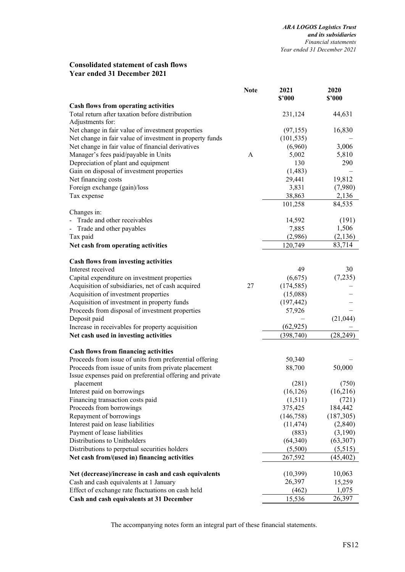### **Consolidated statement of cash flows Year ended 31 December 2021**

|                                                          | <b>Note</b> | 2021<br>\$'000       | 2020<br>\$'000 |
|----------------------------------------------------------|-------------|----------------------|----------------|
| <b>Cash flows from operating activities</b>              |             |                      |                |
| Total return after taxation before distribution          |             | 231,124              | 44,631         |
| Adjustments for:                                         |             |                      |                |
| Net change in fair value of investment properties        |             | (97, 155)            | 16,830         |
| Net change in fair value of investment in property funds |             | (101, 535)           |                |
| Net change in fair value of financial derivatives        |             | (6,960)              | 3,006          |
| Manager's fees paid/payable in Units                     | A           | 5,002                | 5,810          |
| Depreciation of plant and equipment                      |             | 130                  | 290            |
| Gain on disposal of investment properties                |             | (1, 483)             |                |
| Net financing costs                                      |             | 29,441               | 19,812         |
| Foreign exchange (gain)/loss                             |             | 3,831                | (7,980)        |
| Tax expense                                              |             | 38,863               | 2,136          |
|                                                          |             | 101,258              | 84,535         |
| Changes in:                                              |             |                      |                |
| Trade and other receivables                              |             | 14,592               | (191)          |
| - Trade and other payables                               |             | 7,885                | 1,506          |
|                                                          |             |                      |                |
| Tax paid                                                 |             | (2,986)              | (2,136)        |
| Net cash from operating activities                       |             | 120,749              | 83,714         |
| <b>Cash flows from investing activities</b>              |             |                      |                |
| Interest received                                        |             | 49                   | 30             |
| Capital expenditure on investment properties             |             | (6,675)              | (7,235)        |
| Acquisition of subsidiaries, net of cash acquired        | 27          | (174, 585)           |                |
| Acquisition of investment properties                     |             | (15,088)             |                |
| Acquisition of investment in property funds              |             | (197, 442)           |                |
| Proceeds from disposal of investment properties          |             | 57,926               |                |
| Deposit paid                                             |             |                      | (21,044)       |
| Increase in receivables for property acquisition         |             | (62, 925)            |                |
| Net cash used in investing activities                    |             | (398, 740)           | (28, 249)      |
| <b>Cash flows from financing activities</b>              |             |                      |                |
| Proceeds from issue of units from preferential offering  |             | 50,340               |                |
| Proceeds from issue of units from private placement      |             | 88,700               | 50,000         |
| Issue expenses paid on preferential offering and private |             |                      |                |
| placement                                                |             | (281)                | (750)          |
| Interest paid on borrowings                              |             | (16, 126)            | (16,216)       |
| Financing transaction costs paid                         |             | (1,511)              | (721)          |
| Proceeds from borrowings                                 |             | 375,425              | 184,442        |
| Repayment of borrowings                                  |             | (146,758)            | (187,305)      |
| Interest paid on lease liabilities                       |             | (11, 474)            | (2,840)        |
| Payment of lease liabilities                             |             |                      | (3,190)        |
| Distributions to Unitholders                             |             | (883)                | (63, 307)      |
|                                                          |             | (64, 340)<br>(5,500) |                |
| Distributions to perpetual securities holders            |             |                      | (5,515)        |
| Net cash from/(used in) financing activities             |             | 267,592              | (45, 402)      |
| Net (decrease)/increase in cash and cash equivalents     |             | (10, 399)            | 10,063         |
| Cash and cash equivalents at 1 January                   |             | 26,397               | 15,259         |
| Effect of exchange rate fluctuations on cash held        |             | (462)                | 1,075          |
| Cash and cash equivalents at 31 December                 |             | 15,536               | 26,397         |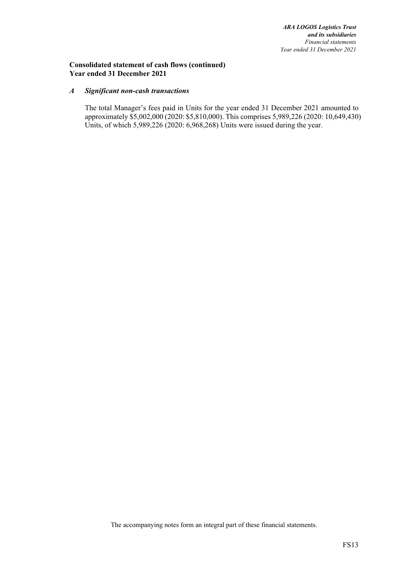### **Consolidated statement of cash flows (continued) Year ended 31 December 2021**

#### *A Significant non-cash transactions*

The total Manager's fees paid in Units for the year ended 31 December 2021 amounted to approximately \$5,002,000 (2020: \$5,810,000). This comprises 5,989,226 (2020: 10,649,430) Units, of which 5,989,226 (2020: 6,968,268) Units were issued during the year.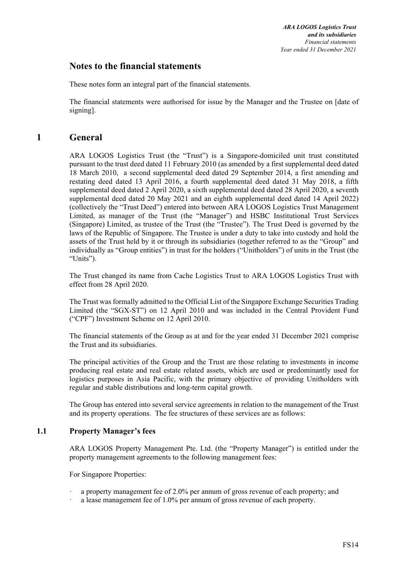# **Notes to the financial statements**

These notes form an integral part of the financial statements.

The financial statements were authorised for issue by the Manager and the Trustee on [date of signing].

# **1 General**

ARA LOGOS Logistics Trust (the "Trust") is a Singapore-domiciled unit trust constituted pursuant to the trust deed dated 11 February 2010 (as amended by a first supplemental deed dated 18 March 2010, a second supplemental deed dated 29 September 2014, a first amending and restating deed dated 13 April 2016, a fourth supplemental deed dated 31 May 2018, a fifth supplemental deed dated 2 April 2020, a sixth supplemental deed dated 28 April 2020, a seventh supplemental deed dated 20 May 2021 and an eighth supplemental deed dated 14 April 2022) (collectively the "Trust Deed") entered into between ARA LOGOS Logistics Trust Management Limited, as manager of the Trust (the "Manager") and HSBC Institutional Trust Services (Singapore) Limited, as trustee of the Trust (the "Trustee"). The Trust Deed is governed by the laws of the Republic of Singapore. The Trustee is under a duty to take into custody and hold the assets of the Trust held by it or through its subsidiaries (together referred to as the "Group" and individually as "Group entities") in trust for the holders ("Unitholders") of units in the Trust (the "Units").

The Trust changed its name from Cache Logistics Trust to ARA LOGOS Logistics Trust with effect from 28 April 2020.

The Trust was formally admitted to the Official List of the Singapore Exchange Securities Trading Limited (the "SGX-ST") on 12 April 2010 and was included in the Central Provident Fund ("CPF") Investment Scheme on 12 April 2010.

The financial statements of the Group as at and for the year ended 31 December 2021 comprise the Trust and its subsidiaries.

The principal activities of the Group and the Trust are those relating to investments in income producing real estate and real estate related assets, which are used or predominantly used for logistics purposes in Asia Pacific, with the primary objective of providing Unitholders with regular and stable distributions and long-term capital growth.

The Group has entered into several service agreements in relation to the management of the Trust and its property operations. The fee structures of these services are as follows:

### **1.1 Property Manager's fees**

ARA LOGOS Property Management Pte. Ltd. (the "Property Manager") is entitled under the property management agreements to the following management fees:

For Singapore Properties:

- ꞏ a property management fee of 2.0% per annum of gross revenue of each property; and
- a lease management fee of 1.0% per annum of gross revenue of each property.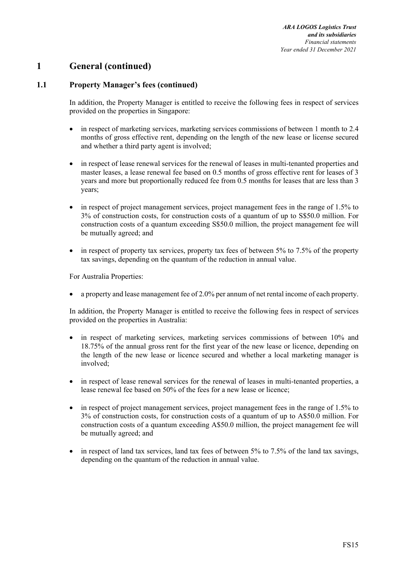# **1 General (continued)**

# **1.1 Property Manager's fees (continued)**

In addition, the Property Manager is entitled to receive the following fees in respect of services provided on the properties in Singapore:

- in respect of marketing services, marketing services commissions of between 1 month to 2.4 months of gross effective rent, depending on the length of the new lease or license secured and whether a third party agent is involved;
- in respect of lease renewal services for the renewal of leases in multi-tenanted properties and master leases, a lease renewal fee based on 0.5 months of gross effective rent for leases of 3 years and more but proportionally reduced fee from 0.5 months for leases that are less than 3 years;
- in respect of project management services, project management fees in the range of 1.5% to 3% of construction costs, for construction costs of a quantum of up to S\$50.0 million. For construction costs of a quantum exceeding S\$50.0 million, the project management fee will be mutually agreed; and
- $\bullet$  in respect of property tax services, property tax fees of between 5% to 7.5% of the property tax savings, depending on the quantum of the reduction in annual value.

For Australia Properties:

a property and lease management fee of 2.0% per annum of net rental income of each property.

In addition, the Property Manager is entitled to receive the following fees in respect of services provided on the properties in Australia:

- in respect of marketing services, marketing services commissions of between 10% and 18.75% of the annual gross rent for the first year of the new lease or licence, depending on the length of the new lease or licence secured and whether a local marketing manager is involved;
- in respect of lease renewal services for the renewal of leases in multi-tenanted properties, a lease renewal fee based on 50% of the fees for a new lease or licence;
- in respect of project management services, project management fees in the range of 1.5% to 3% of construction costs, for construction costs of a quantum of up to A\$50.0 million. For construction costs of a quantum exceeding A\$50.0 million, the project management fee will be mutually agreed; and
- in respect of land tax services, land tax fees of between 5% to 7.5% of the land tax savings, depending on the quantum of the reduction in annual value.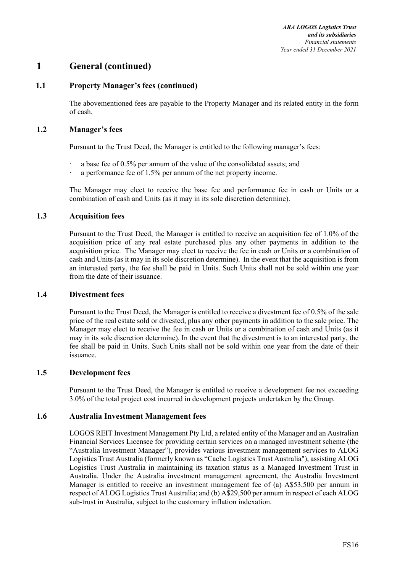# **1 General (continued)**

# **1.1 Property Manager's fees (continued)**

The abovementioned fees are payable to the Property Manager and its related entity in the form of cash.

### **1.2 Manager's fees**

Pursuant to the Trust Deed, the Manager is entitled to the following manager's fees:

- a base fee of 0.5% per annum of the value of the consolidated assets; and
- a performance fee of 1.5% per annum of the net property income.

The Manager may elect to receive the base fee and performance fee in cash or Units or a combination of cash and Units (as it may in its sole discretion determine).

### **1.3 Acquisition fees**

Pursuant to the Trust Deed, the Manager is entitled to receive an acquisition fee of 1.0% of the acquisition price of any real estate purchased plus any other payments in addition to the acquisition price. The Manager may elect to receive the fee in cash or Units or a combination of cash and Units (as it may in its sole discretion determine). In the event that the acquisition is from an interested party, the fee shall be paid in Units. Such Units shall not be sold within one year from the date of their issuance.

#### **1.4 Divestment fees**

Pursuant to the Trust Deed, the Manager is entitled to receive a divestment fee of 0.5% of the sale price of the real estate sold or divested, plus any other payments in addition to the sale price. The Manager may elect to receive the fee in cash or Units or a combination of cash and Units (as it may in its sole discretion determine). In the event that the divestment is to an interested party, the fee shall be paid in Units. Such Units shall not be sold within one year from the date of their issuance.

### **1.5 Development fees**

Pursuant to the Trust Deed, the Manager is entitled to receive a development fee not exceeding 3.0% of the total project cost incurred in development projects undertaken by the Group.

### **1.6 Australia Investment Management fees**

LOGOS REIT Investment Management Pty Ltd, a related entity of the Manager and an Australian Financial Services Licensee for providing certain services on a managed investment scheme (the "Australia Investment Manager"), provides various investment management services to ALOG Logistics Trust Australia (formerly known as "Cache Logistics Trust Australia"), assisting ALOG Logistics Trust Australia in maintaining its taxation status as a Managed Investment Trust in Australia. Under the Australia investment management agreement, the Australia Investment Manager is entitled to receive an investment management fee of (a) A\$53,500 per annum in respect of ALOG Logistics Trust Australia; and (b) A\$29,500 per annum in respect of each ALOG sub-trust in Australia, subject to the customary inflation indexation.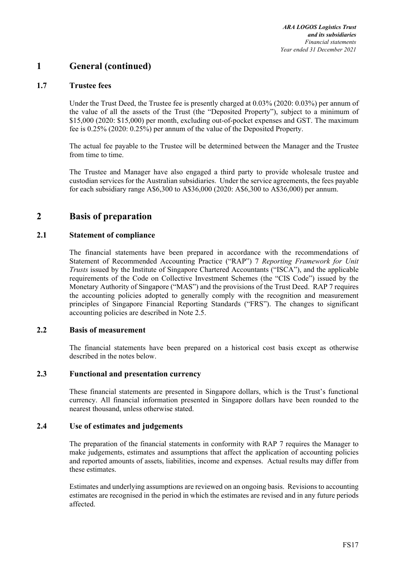# **1 General (continued)**

### **1.7 Trustee fees**

Under the Trust Deed, the Trustee fee is presently charged at 0.03% (2020: 0.03%) per annum of the value of all the assets of the Trust (the "Deposited Property"), subject to a minimum of \$15,000 (2020: \$15,000) per month, excluding out-of-pocket expenses and GST. The maximum fee is 0.25% (2020: 0.25%) per annum of the value of the Deposited Property.

The actual fee payable to the Trustee will be determined between the Manager and the Trustee from time to time.

The Trustee and Manager have also engaged a third party to provide wholesale trustee and custodian services for the Australian subsidiaries. Under the service agreements, the fees payable for each subsidiary range A\$6,300 to A\$36,000 (2020: A\$6,300 to A\$36,000) per annum.

# **2 Basis of preparation**

### **2.1 Statement of compliance**

The financial statements have been prepared in accordance with the recommendations of Statement of Recommended Accounting Practice ("RAP") 7 *Reporting Framework for Unit Trusts* issued by the Institute of Singapore Chartered Accountants ("ISCA"), and the applicable requirements of the Code on Collective Investment Schemes (the "CIS Code") issued by the Monetary Authority of Singapore ("MAS") and the provisions of the Trust Deed. RAP 7 requires the accounting policies adopted to generally comply with the recognition and measurement principles of Singapore Financial Reporting Standards ("FRS"). The changes to significant accounting policies are described in Note 2.5.

### **2.2 Basis of measurement**

The financial statements have been prepared on a historical cost basis except as otherwise described in the notes below.

### **2.3 Functional and presentation currency**

These financial statements are presented in Singapore dollars, which is the Trust's functional currency. All financial information presented in Singapore dollars have been rounded to the nearest thousand, unless otherwise stated.

### **2.4 Use of estimates and judgements**

The preparation of the financial statements in conformity with RAP 7 requires the Manager to make judgements, estimates and assumptions that affect the application of accounting policies and reported amounts of assets, liabilities, income and expenses. Actual results may differ from these estimates.

Estimates and underlying assumptions are reviewed on an ongoing basis. Revisions to accounting estimates are recognised in the period in which the estimates are revised and in any future periods affected.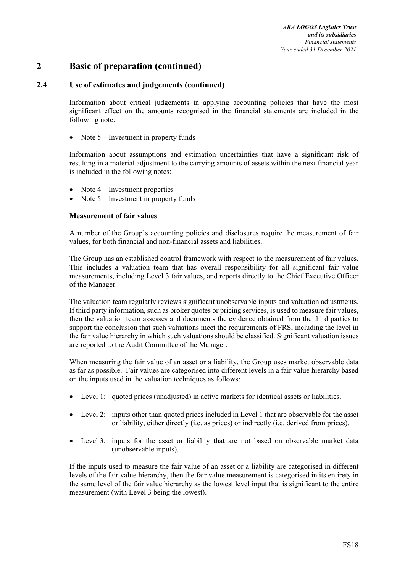# **2 Basic of preparation (continued)**

# **2.4 Use of estimates and judgements (continued)**

Information about critical judgements in applying accounting policies that have the most significant effect on the amounts recognised in the financial statements are included in the following note:

Note 5 – Investment in property funds

Information about assumptions and estimation uncertainties that have a significant risk of resulting in a material adjustment to the carrying amounts of assets within the next financial year is included in the following notes:

- Note 4 Investment properties
- Note 5 Investment in property funds

#### **Measurement of fair values**

A number of the Group's accounting policies and disclosures require the measurement of fair values, for both financial and non-financial assets and liabilities.

The Group has an established control framework with respect to the measurement of fair values. This includes a valuation team that has overall responsibility for all significant fair value measurements, including Level 3 fair values, and reports directly to the Chief Executive Officer of the Manager.

The valuation team regularly reviews significant unobservable inputs and valuation adjustments. If third party information, such as broker quotes or pricing services, is used to measure fair values, then the valuation team assesses and documents the evidence obtained from the third parties to support the conclusion that such valuations meet the requirements of FRS, including the level in the fair value hierarchy in which such valuations should be classified. Significant valuation issues are reported to the Audit Committee of the Manager.

When measuring the fair value of an asset or a liability, the Group uses market observable data as far as possible. Fair values are categorised into different levels in a fair value hierarchy based on the inputs used in the valuation techniques as follows:

- Level 1: quoted prices (unadjusted) in active markets for identical assets or liabilities.
- Level 2: inputs other than quoted prices included in Level 1 that are observable for the asset or liability, either directly (i.e. as prices) or indirectly (i.e. derived from prices).
- Level 3: inputs for the asset or liability that are not based on observable market data (unobservable inputs).

If the inputs used to measure the fair value of an asset or a liability are categorised in different levels of the fair value hierarchy, then the fair value measurement is categorised in its entirety in the same level of the fair value hierarchy as the lowest level input that is significant to the entire measurement (with Level 3 being the lowest).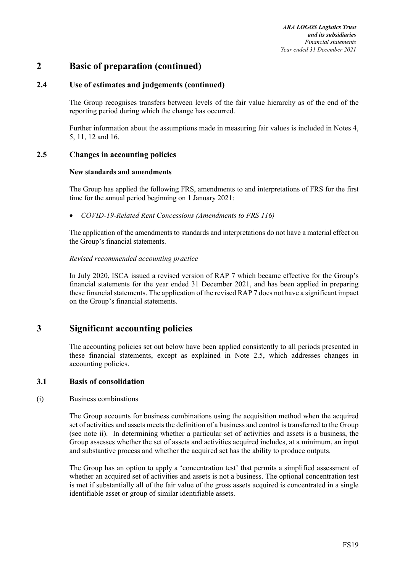# **2 Basic of preparation (continued)**

# **2.4 Use of estimates and judgements (continued)**

The Group recognises transfers between levels of the fair value hierarchy as of the end of the reporting period during which the change has occurred.

Further information about the assumptions made in measuring fair values is included in Notes 4, 5, 11, 12 and 16.

### **2.5 Changes in accounting policies**

### **New standards and amendments**

The Group has applied the following FRS, amendments to and interpretations of FRS for the first time for the annual period beginning on 1 January 2021:

*COVID-19-Related Rent Concessions (Amendments to FRS 116)* 

The application of the amendments to standards and interpretations do not have a material effect on the Group's financial statements.

### *Revised recommended accounting practice*

In July 2020, ISCA issued a revised version of RAP 7 which became effective for the Group's financial statements for the year ended 31 December 2021, and has been applied in preparing these financial statements. The application of the revised RAP 7 does not have a significant impact on the Group's financial statements.

# **3 Significant accounting policies**

The accounting policies set out below have been applied consistently to all periods presented in these financial statements, except as explained in Note 2.5, which addresses changes in accounting policies.

### **3.1 Basis of consolidation**

#### (i) Business combinations

The Group accounts for business combinations using the acquisition method when the acquired set of activities and assets meets the definition of a business and control is transferred to the Group (see note ii). In determining whether a particular set of activities and assets is a business, the Group assesses whether the set of assets and activities acquired includes, at a minimum, an input and substantive process and whether the acquired set has the ability to produce outputs.

The Group has an option to apply a 'concentration test' that permits a simplified assessment of whether an acquired set of activities and assets is not a business. The optional concentration test is met if substantially all of the fair value of the gross assets acquired is concentrated in a single identifiable asset or group of similar identifiable assets.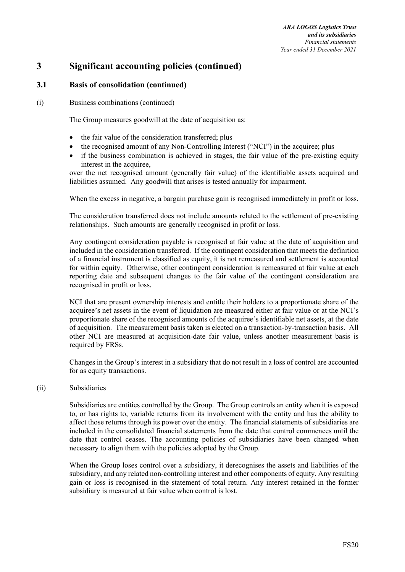### **3.1 Basis of consolidation (continued)**

#### (i) Business combinations (continued)

The Group measures goodwill at the date of acquisition as:

- the fair value of the consideration transferred; plus
- the recognised amount of any Non-Controlling Interest ("NCI") in the acquiree; plus
- if the business combination is achieved in stages, the fair value of the pre-existing equity interest in the acquiree.

over the net recognised amount (generally fair value) of the identifiable assets acquired and liabilities assumed. Any goodwill that arises is tested annually for impairment.

When the excess in negative, a bargain purchase gain is recognised immediately in profit or loss.

The consideration transferred does not include amounts related to the settlement of pre-existing relationships. Such amounts are generally recognised in profit or loss.

Any contingent consideration payable is recognised at fair value at the date of acquisition and included in the consideration transferred. If the contingent consideration that meets the definition of a financial instrument is classified as equity, it is not remeasured and settlement is accounted for within equity. Otherwise, other contingent consideration is remeasured at fair value at each reporting date and subsequent changes to the fair value of the contingent consideration are recognised in profit or loss.

NCI that are present ownership interests and entitle their holders to a proportionate share of the acquiree's net assets in the event of liquidation are measured either at fair value or at the NCI's proportionate share of the recognised amounts of the acquiree's identifiable net assets, at the date of acquisition. The measurement basis taken is elected on a transaction-by-transaction basis. All other NCI are measured at acquisition-date fair value, unless another measurement basis is required by FRSs.

Changes in the Group's interest in a subsidiary that do not result in a loss of control are accounted for as equity transactions.

#### (ii) Subsidiaries

Subsidiaries are entities controlled by the Group. The Group controls an entity when it is exposed to, or has rights to, variable returns from its involvement with the entity and has the ability to affect those returns through its power over the entity. The financial statements of subsidiaries are included in the consolidated financial statements from the date that control commences until the date that control ceases. The accounting policies of subsidiaries have been changed when necessary to align them with the policies adopted by the Group.

When the Group loses control over a subsidiary, it derecognises the assets and liabilities of the subsidiary, and any related non-controlling interest and other components of equity. Any resulting gain or loss is recognised in the statement of total return. Any interest retained in the former subsidiary is measured at fair value when control is lost.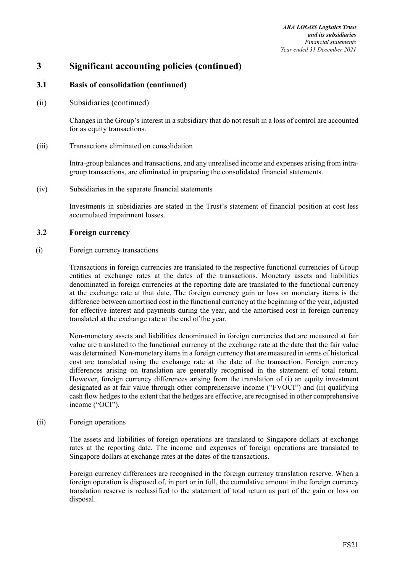*ARA LOGOS Logistics Trust and its subsidiaries Financial statements Year ended 31 December 2021* 

# **3 Significant accounting policies (continued)**

### **3.1 Basis of consolidation (continued)**

(ii) Subsidiaries (continued)

Changes in the Group's interest in a subsidiary that do not result in a loss of control are accounted for as equity transactions.

(iii) Transactions eliminated on consolidation

Intra-group balances and transactions, and any unrealised income and expenses arising from intragroup transactions, are eliminated in preparing the consolidated financial statements.

(iv) Subsidiaries in the separate financial statements

Investments in subsidiaries are stated in the Trust's statement of financial position at cost less accumulated impairment losses.

### **3.2 Foreign currency**

(i) Foreign currency transactions

Transactions in foreign currencies are translated to the respective functional currencies of Group entities at exchange rates at the dates of the transactions. Monetary assets and liabilities denominated in foreign currencies at the reporting date are translated to the functional currency at the exchange rate at that date. The foreign currency gain or loss on monetary items is the difference between amortised cost in the functional currency at the beginning of the year, adjusted for effective interest and payments during the year, and the amortised cost in foreign currency translated at the exchange rate at the end of the year.

Non-monetary assets and liabilities denominated in foreign currencies that are measured at fair value are translated to the functional currency at the exchange rate at the date that the fair value was determined. Non-monetary items in a foreign currency that are measured in terms of historical cost are translated using the exchange rate at the date of the transaction. Foreign currency differences arising on translation are generally recognised in the statement of total return. However, foreign currency differences arising from the translation of (i) an equity investment designated as at fair value through other comprehensive income ("FVOCI") and (ii) qualifying cash flow hedges to the extent that the hedges are effective, are recognised in other comprehensive income ("OCI").

(ii) Foreign operations

The assets and liabilities of foreign operations are translated to Singapore dollars at exchange rates at the reporting date. The income and expenses of foreign operations are translated to Singapore dollars at exchange rates at the dates of the transactions.

Foreign currency differences are recognised in the foreign currency translation reserve. When a foreign operation is disposed of, in part or in full, the cumulative amount in the foreign currency translation reserve is reclassified to the statement of total return as part of the gain or loss on disposal.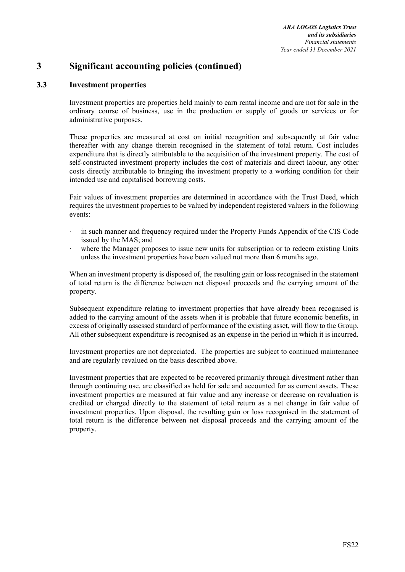# **3.3 Investment properties**

Investment properties are properties held mainly to earn rental income and are not for sale in the ordinary course of business, use in the production or supply of goods or services or for administrative purposes.

These properties are measured at cost on initial recognition and subsequently at fair value thereafter with any change therein recognised in the statement of total return. Cost includes expenditure that is directly attributable to the acquisition of the investment property. The cost of self-constructed investment property includes the cost of materials and direct labour, any other costs directly attributable to bringing the investment property to a working condition for their intended use and capitalised borrowing costs.

Fair values of investment properties are determined in accordance with the Trust Deed, which requires the investment properties to be valued by independent registered valuers in the following events:

- in such manner and frequency required under the Property Funds Appendix of the CIS Code issued by the MAS; and
- where the Manager proposes to issue new units for subscription or to redeem existing Units unless the investment properties have been valued not more than 6 months ago.

When an investment property is disposed of, the resulting gain or loss recognised in the statement of total return is the difference between net disposal proceeds and the carrying amount of the property.

Subsequent expenditure relating to investment properties that have already been recognised is added to the carrying amount of the assets when it is probable that future economic benefits, in excess of originally assessed standard of performance of the existing asset, will flow to the Group. All other subsequent expenditure is recognised as an expense in the period in which it is incurred.

Investment properties are not depreciated. The properties are subject to continued maintenance and are regularly revalued on the basis described above.

Investment properties that are expected to be recovered primarily through divestment rather than through continuing use, are classified as held for sale and accounted for as current assets. These investment properties are measured at fair value and any increase or decrease on revaluation is credited or charged directly to the statement of total return as a net change in fair value of investment properties. Upon disposal, the resulting gain or loss recognised in the statement of total return is the difference between net disposal proceeds and the carrying amount of the property.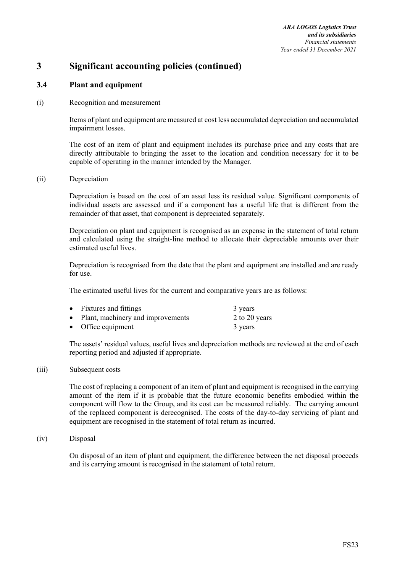*ARA LOGOS Logistics Trust and its subsidiaries Financial statements Year ended 31 December 2021* 

# **3 Significant accounting policies (continued)**

# **3.4 Plant and equipment**

#### (i) Recognition and measurement

Items of plant and equipment are measured at cost less accumulated depreciation and accumulated impairment losses.

The cost of an item of plant and equipment includes its purchase price and any costs that are directly attributable to bringing the asset to the location and condition necessary for it to be capable of operating in the manner intended by the Manager.

#### (ii) Depreciation

Depreciation is based on the cost of an asset less its residual value. Significant components of individual assets are assessed and if a component has a useful life that is different from the remainder of that asset, that component is depreciated separately.

Depreciation on plant and equipment is recognised as an expense in the statement of total return and calculated using the straight-line method to allocate their depreciable amounts over their estimated useful lives.

Depreciation is recognised from the date that the plant and equipment are installed and are ready for use.

The estimated useful lives for the current and comparative years are as follows:

| • Fixtures and fittings             | 3 years       |
|-------------------------------------|---------------|
| • Plant, machinery and improvements | 2 to 20 years |
| • Office equipment                  | 3 years       |

The assets' residual values, useful lives and depreciation methods are reviewed at the end of each reporting period and adjusted if appropriate.

#### (iii) Subsequent costs

The cost of replacing a component of an item of plant and equipment is recognised in the carrying amount of the item if it is probable that the future economic benefits embodied within the component will flow to the Group, and its cost can be measured reliably. The carrying amount of the replaced component is derecognised. The costs of the day-to-day servicing of plant and equipment are recognised in the statement of total return as incurred.

#### (iv) Disposal

On disposal of an item of plant and equipment, the difference between the net disposal proceeds and its carrying amount is recognised in the statement of total return.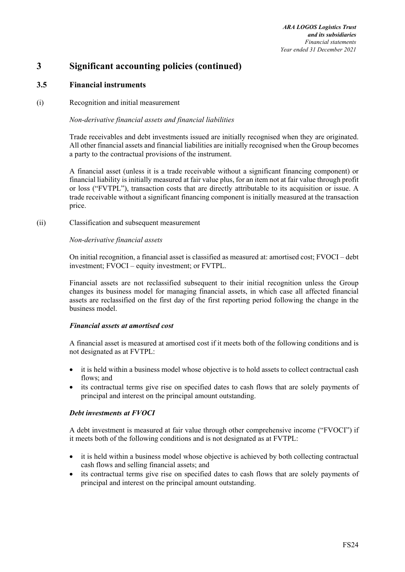# **3.5 Financial instruments**

### (i) Recognition and initial measurement

#### *Non-derivative financial assets and financial liabilities*

Trade receivables and debt investments issued are initially recognised when they are originated. All other financial assets and financial liabilities are initially recognised when the Group becomes a party to the contractual provisions of the instrument.

A financial asset (unless it is a trade receivable without a significant financing component) or financial liability is initially measured at fair value plus, for an item not at fair value through profit or loss ("FVTPL"), transaction costs that are directly attributable to its acquisition or issue. A trade receivable without a significant financing component is initially measured at the transaction price.

(ii) Classification and subsequent measurement

#### *Non-derivative financial assets*

On initial recognition, a financial asset is classified as measured at: amortised cost; FVOCI – debt investment; FVOCI – equity investment; or FVTPL.

Financial assets are not reclassified subsequent to their initial recognition unless the Group changes its business model for managing financial assets, in which case all affected financial assets are reclassified on the first day of the first reporting period following the change in the business model.

#### *Financial assets at amortised cost*

A financial asset is measured at amortised cost if it meets both of the following conditions and is not designated as at FVTPL:

- it is held within a business model whose objective is to hold assets to collect contractual cash flows; and
- its contractual terms give rise on specified dates to cash flows that are solely payments of principal and interest on the principal amount outstanding.

#### *Debt investments at FVOCI*

A debt investment is measured at fair value through other comprehensive income ("FVOCI") if it meets both of the following conditions and is not designated as at FVTPL:

- it is held within a business model whose objective is achieved by both collecting contractual cash flows and selling financial assets; and
- its contractual terms give rise on specified dates to cash flows that are solely payments of principal and interest on the principal amount outstanding.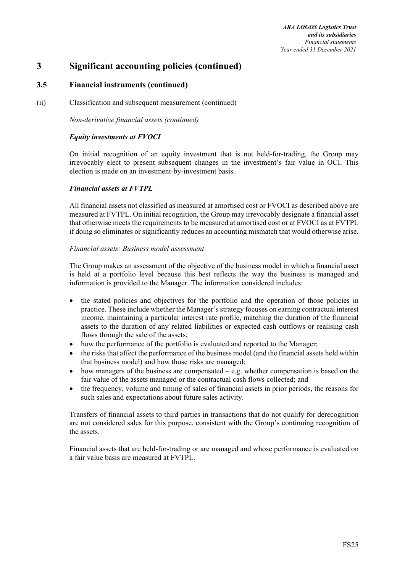# **3.5 Financial instruments (continued)**

(ii) Classification and subsequent measurement (continued)

*Non-derivative financial assets (continued)* 

### *Equity investments at FVOCI*

On initial recognition of an equity investment that is not held-for-trading, the Group may irrevocably elect to present subsequent changes in the investment's fair value in OCI. This election is made on an investment-by-investment basis.

### *Financial assets at FVTPL*

All financial assets not classified as measured at amortised cost or FVOCI as described above are measured at FVTPL. On initial recognition, the Group may irrevocably designate a financial asset that otherwise meets the requirements to be measured at amortised cost or at FVOCI as at FVTPL if doing so eliminates or significantly reduces an accounting mismatch that would otherwise arise.

### *Financial assets: Business model assessment*

The Group makes an assessment of the objective of the business model in which a financial asset is held at a portfolio level because this best reflects the way the business is managed and information is provided to the Manager. The information considered includes:

- the stated policies and objectives for the portfolio and the operation of those policies in practice. These include whether the Manager's strategy focuses on earning contractual interest income, maintaining a particular interest rate profile, matching the duration of the financial assets to the duration of any related liabilities or expected cash outflows or realising cash flows through the sale of the assets;
- how the performance of the portfolio is evaluated and reported to the Manager;
- the risks that affect the performance of the business model (and the financial assets held within that business model) and how those risks are managed;
- $\bullet$  how managers of the business are compensated e.g. whether compensation is based on the fair value of the assets managed or the contractual cash flows collected; and
- the frequency, volume and timing of sales of financial assets in prior periods, the reasons for such sales and expectations about future sales activity.

Transfers of financial assets to third parties in transactions that do not qualify for derecognition are not considered sales for this purpose, consistent with the Group's continuing recognition of the assets.

Financial assets that are held-for-trading or are managed and whose performance is evaluated on a fair value basis are measured at FVTPL.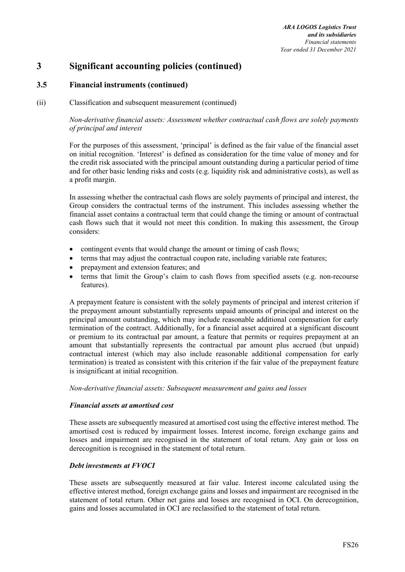# **3.5 Financial instruments (continued)**

#### (ii) Classification and subsequent measurement (continued)

### *Non-derivative financial assets: Assessment whether contractual cash flows are solely payments of principal and interest*

For the purposes of this assessment, 'principal' is defined as the fair value of the financial asset on initial recognition. 'Interest' is defined as consideration for the time value of money and for the credit risk associated with the principal amount outstanding during a particular period of time and for other basic lending risks and costs (e.g. liquidity risk and administrative costs), as well as a profit margin.

In assessing whether the contractual cash flows are solely payments of principal and interest, the Group considers the contractual terms of the instrument. This includes assessing whether the financial asset contains a contractual term that could change the timing or amount of contractual cash flows such that it would not meet this condition. In making this assessment, the Group considers:

- contingent events that would change the amount or timing of cash flows;
- terms that may adjust the contractual coupon rate, including variable rate features;
- prepayment and extension features; and
- terms that limit the Group's claim to cash flows from specified assets (e.g. non-recourse features).

A prepayment feature is consistent with the solely payments of principal and interest criterion if the prepayment amount substantially represents unpaid amounts of principal and interest on the principal amount outstanding, which may include reasonable additional compensation for early termination of the contract. Additionally, for a financial asset acquired at a significant discount or premium to its contractual par amount, a feature that permits or requires prepayment at an amount that substantially represents the contractual par amount plus accrued (but unpaid) contractual interest (which may also include reasonable additional compensation for early termination) is treated as consistent with this criterion if the fair value of the prepayment feature is insignificant at initial recognition.

#### *Non-derivative financial assets: Subsequent measurement and gains and losses*

#### *Financial assets at amortised cost*

These assets are subsequently measured at amortised cost using the effective interest method. The amortised cost is reduced by impairment losses. Interest income, foreign exchange gains and losses and impairment are recognised in the statement of total return. Any gain or loss on derecognition is recognised in the statement of total return.

#### *Debt investments at FVOCI*

These assets are subsequently measured at fair value. Interest income calculated using the effective interest method, foreign exchange gains and losses and impairment are recognised in the statement of total return. Other net gains and losses are recognised in OCI. On derecognition, gains and losses accumulated in OCI are reclassified to the statement of total return.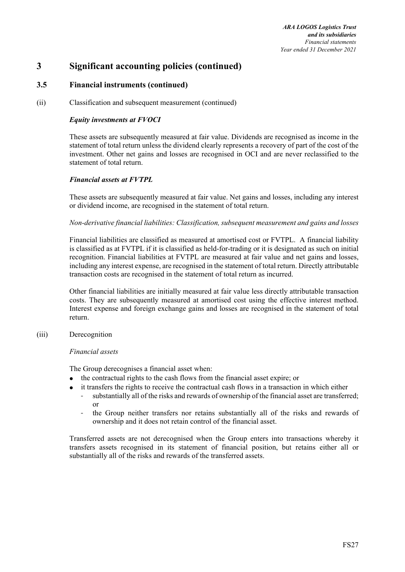# **3.5 Financial instruments (continued)**

(ii) Classification and subsequent measurement (continued)

### *Equity investments at FVOCI*

These assets are subsequently measured at fair value. Dividends are recognised as income in the statement of total return unless the dividend clearly represents a recovery of part of the cost of the investment. Other net gains and losses are recognised in OCI and are never reclassified to the statement of total return.

### *Financial assets at FVTPL*

These assets are subsequently measured at fair value. Net gains and losses, including any interest or dividend income, are recognised in the statement of total return.

### *Non-derivative financial liabilities: Classification, subsequent measurement and gains and losses*

Financial liabilities are classified as measured at amortised cost or FVTPL. A financial liability is classified as at FVTPL if it is classified as held-for-trading or it is designated as such on initial recognition. Financial liabilities at FVTPL are measured at fair value and net gains and losses, including any interest expense, are recognised in the statement of total return. Directly attributable transaction costs are recognised in the statement of total return as incurred.

Other financial liabilities are initially measured at fair value less directly attributable transaction costs. They are subsequently measured at amortised cost using the effective interest method. Interest expense and foreign exchange gains and losses are recognised in the statement of total return.

### (iii) Derecognition

#### *Financial assets*

The Group derecognises a financial asset when:

- the contractual rights to the cash flows from the financial asset expire; or
- it transfers the rights to receive the contractual cash flows in a transaction in which either
	- substantially all of the risks and rewards of ownership of the financial asset are transferred; or
	- the Group neither transfers nor retains substantially all of the risks and rewards of ownership and it does not retain control of the financial asset.

Transferred assets are not derecognised when the Group enters into transactions whereby it transfers assets recognised in its statement of financial position, but retains either all or substantially all of the risks and rewards of the transferred assets.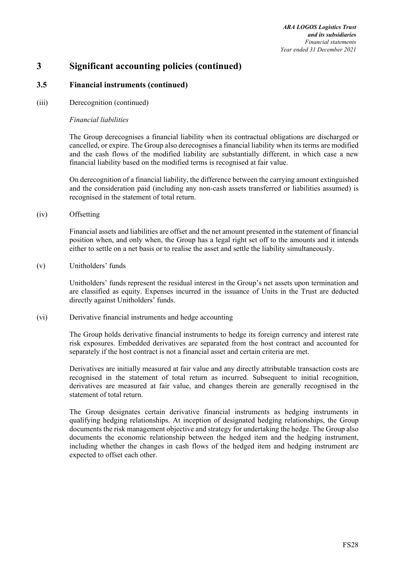*ARA LOGOS Logistics Trust and its subsidiaries Financial statements Year ended 31 December 2021* 

# **3 Significant accounting policies (continued)**

## **3.5 Financial instruments (continued)**

#### (iii) Derecognition (continued)

#### *Financial liabilities*

The Group derecognises a financial liability when its contractual obligations are discharged or cancelled, or expire. The Group also derecognises a financial liability when its terms are modified and the cash flows of the modified liability are substantially different, in which case a new financial liability based on the modified terms is recognised at fair value.

On derecognition of a financial liability, the difference between the carrying amount extinguished and the consideration paid (including any non-cash assets transferred or liabilities assumed) is recognised in the statement of total return.

(iv) Offsetting

Financial assets and liabilities are offset and the net amount presented in the statement of financial position when, and only when, the Group has a legal right set off to the amounts and it intends either to settle on a net basis or to realise the asset and settle the liability simultaneously.

(v) Unitholders' funds

Unitholders' funds represent the residual interest in the Group's net assets upon termination and are classified as equity. Expenses incurred in the issuance of Units in the Trust are deducted directly against Unitholders' funds.

(vi) Derivative financial instruments and hedge accounting

The Group holds derivative financial instruments to hedge its foreign currency and interest rate risk exposures. Embedded derivatives are separated from the host contract and accounted for separately if the host contract is not a financial asset and certain criteria are met.

Derivatives are initially measured at fair value and any directly attributable transaction costs are recognised in the statement of total return as incurred. Subsequent to initial recognition, derivatives are measured at fair value, and changes therein are generally recognised in the statement of total return.

The Group designates certain derivative financial instruments as hedging instruments in qualifying hedging relationships. At inception of designated hedging relationships, the Group documents the risk management objective and strategy for undertaking the hedge. The Group also documents the economic relationship between the hedged item and the hedging instrument, including whether the changes in cash flows of the hedged item and hedging instrument are expected to offset each other.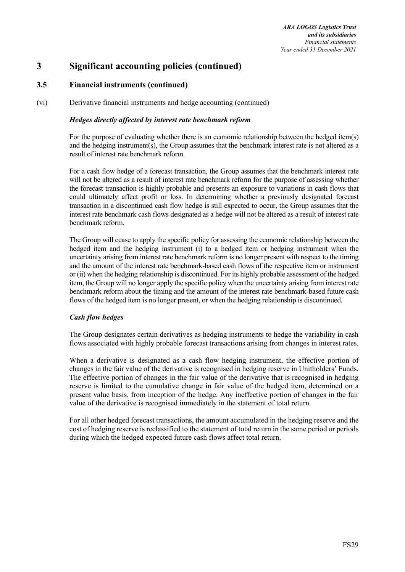## **3.5 Financial instruments (continued)**

(vi) Derivative financial instruments and hedge accounting (continued)

#### *Hedges directly affected by interest rate benchmark reform*

For the purpose of evaluating whether there is an economic relationship between the hedged item(s) and the hedging instrument(s), the Group assumes that the benchmark interest rate is not altered as a result of interest rate benchmark reform.

For a cash flow hedge of a forecast transaction, the Group assumes that the benchmark interest rate will not be altered as a result of interest rate benchmark reform for the purpose of assessing whether the forecast transaction is highly probable and presents an exposure to variations in cash flows that could ultimately affect profit or loss. In determining whether a previously designated forecast transaction in a discontinued cash flow hedge is still expected to occur, the Group assumes that the interest rate benchmark cash flows designated as a hedge will not be altered as a result of interest rate benchmark reform.

The Group will cease to apply the specific policy for assessing the economic relationship between the hedged item and the hedging instrument (i) to a hedged item or hedging instrument when the uncertainty arising from interest rate benchmark reform is no longer present with respect to the timing and the amount of the interest rate benchmark-based cash flows of the respective item or instrument or (ii) when the hedging relationship is discontinued. For its highly probable assessment of the hedged item, the Group will no longer apply the specific policy when the uncertainty arising from interest rate benchmark reform about the timing and the amount of the interest rate benchmark-based future cash flows of the hedged item is no longer present, or when the hedging relationship is discontinued.

## *Cash flow hedges*

The Group designates certain derivatives as hedging instruments to hedge the variability in cash flows associated with highly probable forecast transactions arising from changes in interest rates.

When a derivative is designated as a cash flow hedging instrument, the effective portion of changes in the fair value of the derivative is recognised in hedging reserve in Unitholders' Funds. The effective portion of changes in the fair value of the derivative that is recognised in hedging reserve is limited to the cumulative change in fair value of the hedged item, determined on a present value basis, from inception of the hedge. Any ineffective portion of changes in the fair value of the derivative is recognised immediately in the statement of total return.

For all other hedged forecast transactions, the amount accumulated in the hedging reserve and the cost of hedging reserve is reclassified to the statement of total return in the same period or periods during which the hedged expected future cash flows affect total return.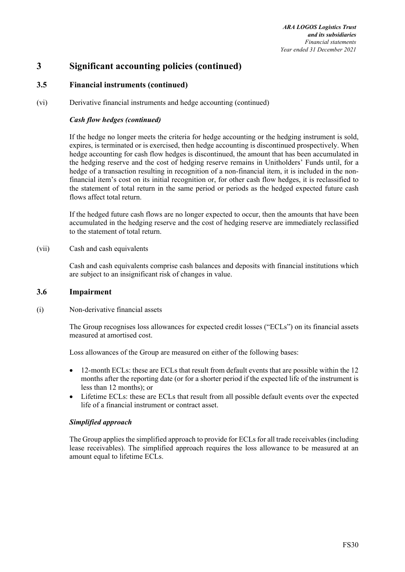## **3.5 Financial instruments (continued)**

(vi) Derivative financial instruments and hedge accounting (continued)

#### *Cash flow hedges (continued)*

If the hedge no longer meets the criteria for hedge accounting or the hedging instrument is sold, expires, is terminated or is exercised, then hedge accounting is discontinued prospectively. When hedge accounting for cash flow hedges is discontinued, the amount that has been accumulated in the hedging reserve and the cost of hedging reserve remains in Unitholders' Funds until, for a hedge of a transaction resulting in recognition of a non-financial item, it is included in the nonfinancial item's cost on its initial recognition or, for other cash flow hedges, it is reclassified to the statement of total return in the same period or periods as the hedged expected future cash flows affect total return.

If the hedged future cash flows are no longer expected to occur, then the amounts that have been accumulated in the hedging reserve and the cost of hedging reserve are immediately reclassified to the statement of total return.

(vii) Cash and cash equivalents

Cash and cash equivalents comprise cash balances and deposits with financial institutions which are subject to an insignificant risk of changes in value.

#### **3.6 Impairment**

(i) Non-derivative financial assets

The Group recognises loss allowances for expected credit losses ("ECLs") on its financial assets measured at amortised cost.

Loss allowances of the Group are measured on either of the following bases:

- 12-month ECLs: these are ECLs that result from default events that are possible within the 12 months after the reporting date (or for a shorter period if the expected life of the instrument is less than 12 months); or
- Lifetime ECLs: these are ECLs that result from all possible default events over the expected life of a financial instrument or contract asset.

#### *Simplified approach*

The Group applies the simplified approach to provide for ECLs for all trade receivables (including lease receivables). The simplified approach requires the loss allowance to be measured at an amount equal to lifetime ECLs.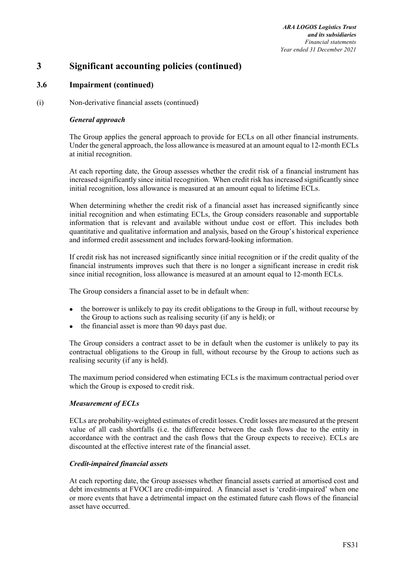*ARA LOGOS Logistics Trust and its subsidiaries Financial statements Year ended 31 December 2021* 

# **3 Significant accounting policies (continued)**

## **3.6 Impairment (continued)**

(i) Non-derivative financial assets (continued)

#### *General approach*

The Group applies the general approach to provide for ECLs on all other financial instruments. Under the general approach, the loss allowance is measured at an amount equal to 12-month ECLs at initial recognition.

At each reporting date, the Group assesses whether the credit risk of a financial instrument has increased significantly since initial recognition. When credit risk has increased significantly since initial recognition, loss allowance is measured at an amount equal to lifetime ECLs.

When determining whether the credit risk of a financial asset has increased significantly since initial recognition and when estimating ECLs, the Group considers reasonable and supportable information that is relevant and available without undue cost or effort. This includes both quantitative and qualitative information and analysis, based on the Group's historical experience and informed credit assessment and includes forward-looking information.

If credit risk has not increased significantly since initial recognition or if the credit quality of the financial instruments improves such that there is no longer a significant increase in credit risk since initial recognition, loss allowance is measured at an amount equal to 12-month ECLs.

The Group considers a financial asset to be in default when:

- the borrower is unlikely to pay its credit obligations to the Group in full, without recourse by the Group to actions such as realising security (if any is held); or
- the financial asset is more than 90 days past due.

The Group considers a contract asset to be in default when the customer is unlikely to pay its contractual obligations to the Group in full, without recourse by the Group to actions such as realising security (if any is held).

The maximum period considered when estimating ECLs is the maximum contractual period over which the Group is exposed to credit risk.

## *Measurement of ECLs*

ECLs are probability-weighted estimates of credit losses. Credit losses are measured at the present value of all cash shortfalls (i.e. the difference between the cash flows due to the entity in accordance with the contract and the cash flows that the Group expects to receive). ECLs are discounted at the effective interest rate of the financial asset.

## *Credit-impaired financial assets*

At each reporting date, the Group assesses whether financial assets carried at amortised cost and debt investments at FVOCI are credit-impaired. A financial asset is 'credit-impaired' when one or more events that have a detrimental impact on the estimated future cash flows of the financial asset have occurred.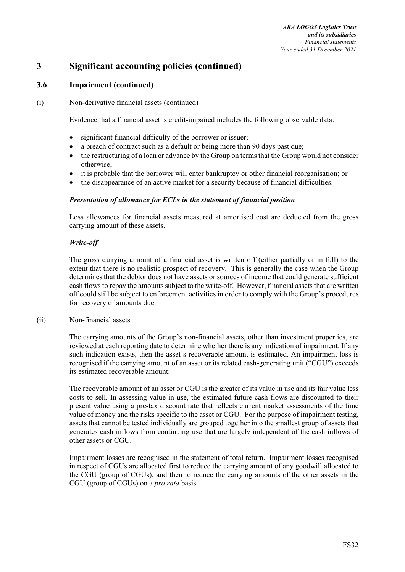## **3.6 Impairment (continued)**

(i) Non-derivative financial assets (continued)

Evidence that a financial asset is credit-impaired includes the following observable data:

- significant financial difficulty of the borrower or issuer;
- a breach of contract such as a default or being more than 90 days past due;
- the restructuring of a loan or advance by the Group on terms that the Group would not consider otherwise;
- it is probable that the borrower will enter bankruptcy or other financial reorganisation; or
- the disappearance of an active market for a security because of financial difficulties.

#### *Presentation of allowance for ECLs in the statement of financial position*

Loss allowances for financial assets measured at amortised cost are deducted from the gross carrying amount of these assets.

## *Write-off*

The gross carrying amount of a financial asset is written off (either partially or in full) to the extent that there is no realistic prospect of recovery. This is generally the case when the Group determines that the debtor does not have assets or sources of income that could generate sufficient cash flows to repay the amounts subject to the write-off. However, financial assets that are written off could still be subject to enforcement activities in order to comply with the Group's procedures for recovery of amounts due.

#### (ii) Non-financial assets

The carrying amounts of the Group's non-financial assets, other than investment properties, are reviewed at each reporting date to determine whether there is any indication of impairment. If any such indication exists, then the asset's recoverable amount is estimated. An impairment loss is recognised if the carrying amount of an asset or its related cash-generating unit ("CGU") exceeds its estimated recoverable amount.

The recoverable amount of an asset or CGU is the greater of its value in use and its fair value less costs to sell. In assessing value in use, the estimated future cash flows are discounted to their present value using a pre-tax discount rate that reflects current market assessments of the time value of money and the risks specific to the asset or CGU. For the purpose of impairment testing, assets that cannot be tested individually are grouped together into the smallest group of assets that generates cash inflows from continuing use that are largely independent of the cash inflows of other assets or CGU.

Impairment losses are recognised in the statement of total return. Impairment losses recognised in respect of CGUs are allocated first to reduce the carrying amount of any goodwill allocated to the CGU (group of CGUs), and then to reduce the carrying amounts of the other assets in the CGU (group of CGUs) on a *pro rata* basis.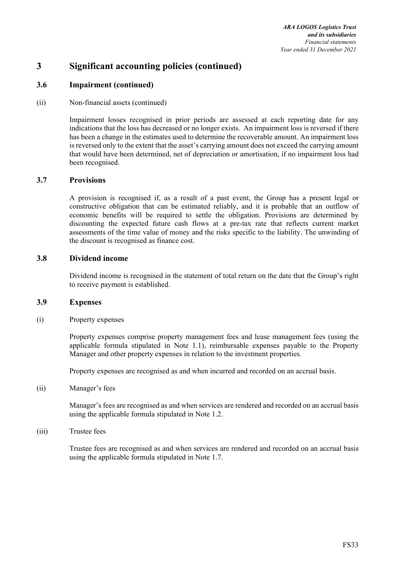## **3.6 Impairment (continued)**

#### (ii) Non-financial assets (continued)

Impairment losses recognised in prior periods are assessed at each reporting date for any indications that the loss has decreased or no longer exists. An impairment loss is reversed if there has been a change in the estimates used to determine the recoverable amount. An impairment loss is reversed only to the extent that the asset's carrying amount does not exceed the carrying amount that would have been determined, net of depreciation or amortisation, if no impairment loss had been recognised.

## **3.7 Provisions**

A provision is recognised if, as a result of a past event, the Group has a present legal or constructive obligation that can be estimated reliably, and it is probable that an outflow of economic benefits will be required to settle the obligation. Provisions are determined by discounting the expected future cash flows at a pre-tax rate that reflects current market assessments of the time value of money and the risks specific to the liability. The unwinding of the discount is recognised as finance cost.

#### **3.8 Dividend income**

Dividend income is recognised in the statement of total return on the date that the Group's right to receive payment is established.

## **3.9 Expenses**

(i) Property expenses

Property expenses comprise property management fees and lease management fees (using the applicable formula stipulated in Note 1.1), reimbursable expenses payable to the Property Manager and other property expenses in relation to the investment properties.

Property expenses are recognised as and when incurred and recorded on an accrual basis.

(ii) Manager's fees

Manager's fees are recognised as and when services are rendered and recorded on an accrual basis using the applicable formula stipulated in Note 1.2.

(iii) Trustee fees

Trustee fees are recognised as and when services are rendered and recorded on an accrual basis using the applicable formula stipulated in Note 1.7.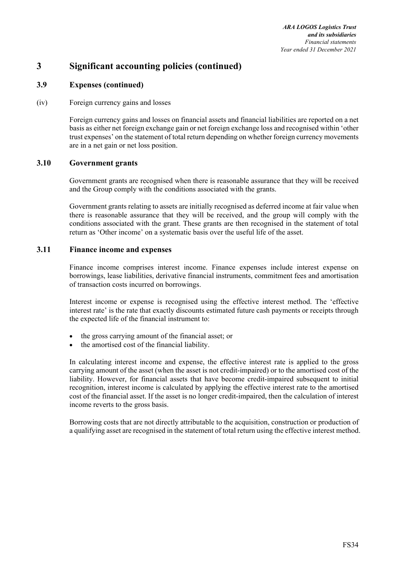## **3.9 Expenses (continued)**

#### (iv) Foreign currency gains and losses

Foreign currency gains and losses on financial assets and financial liabilities are reported on a net basis as either net foreign exchange gain or net foreign exchange loss and recognised within 'other trust expenses' on the statement of total return depending on whether foreign currency movements are in a net gain or net loss position.

## **3.10 Government grants**

Government grants are recognised when there is reasonable assurance that they will be received and the Group comply with the conditions associated with the grants.

Government grants relating to assets are initially recognised as deferred income at fair value when there is reasonable assurance that they will be received, and the group will comply with the conditions associated with the grant. These grants are then recognised in the statement of total return as 'Other income' on a systematic basis over the useful life of the asset.

#### **3.11 Finance income and expenses**

Finance income comprises interest income. Finance expenses include interest expense on borrowings, lease liabilities, derivative financial instruments, commitment fees and amortisation of transaction costs incurred on borrowings.

Interest income or expense is recognised using the effective interest method. The 'effective interest rate' is the rate that exactly discounts estimated future cash payments or receipts through the expected life of the financial instrument to:

- the gross carrying amount of the financial asset; or
- the amortised cost of the financial liability.

In calculating interest income and expense, the effective interest rate is applied to the gross carrying amount of the asset (when the asset is not credit-impaired) or to the amortised cost of the liability. However, for financial assets that have become credit-impaired subsequent to initial recognition, interest income is calculated by applying the effective interest rate to the amortised cost of the financial asset. If the asset is no longer credit-impaired, then the calculation of interest income reverts to the gross basis.

Borrowing costs that are not directly attributable to the acquisition, construction or production of a qualifying asset are recognised in the statement of total return using the effective interest method.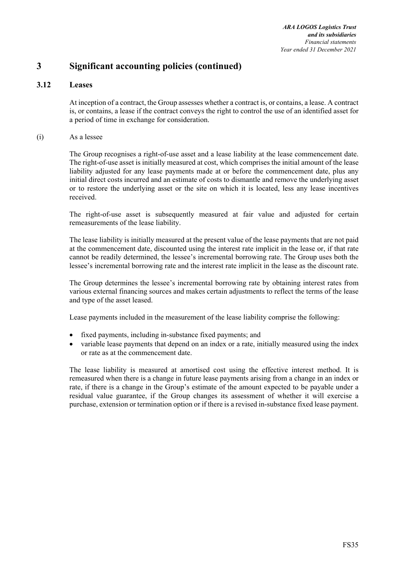## **3.12 Leases**

At inception of a contract, the Group assesses whether a contract is, or contains, a lease. A contract is, or contains, a lease if the contract conveys the right to control the use of an identified asset for a period of time in exchange for consideration.

(i) As a lessee

The Group recognises a right-of-use asset and a lease liability at the lease commencement date. The right-of-use asset is initially measured at cost, which comprises the initial amount of the lease liability adjusted for any lease payments made at or before the commencement date, plus any initial direct costs incurred and an estimate of costs to dismantle and remove the underlying asset or to restore the underlying asset or the site on which it is located, less any lease incentives received.

The right-of-use asset is subsequently measured at fair value and adjusted for certain remeasurements of the lease liability.

The lease liability is initially measured at the present value of the lease payments that are not paid at the commencement date, discounted using the interest rate implicit in the lease or, if that rate cannot be readily determined, the lessee's incremental borrowing rate. The Group uses both the lessee's incremental borrowing rate and the interest rate implicit in the lease as the discount rate.

The Group determines the lessee's incremental borrowing rate by obtaining interest rates from various external financing sources and makes certain adjustments to reflect the terms of the lease and type of the asset leased.

Lease payments included in the measurement of the lease liability comprise the following:

- fixed payments, including in-substance fixed payments; and
- variable lease payments that depend on an index or a rate, initially measured using the index or rate as at the commencement date.

The lease liability is measured at amortised cost using the effective interest method. It is remeasured when there is a change in future lease payments arising from a change in an index or rate, if there is a change in the Group's estimate of the amount expected to be payable under a residual value guarantee, if the Group changes its assessment of whether it will exercise a purchase, extension or termination option or if there is a revised in-substance fixed lease payment.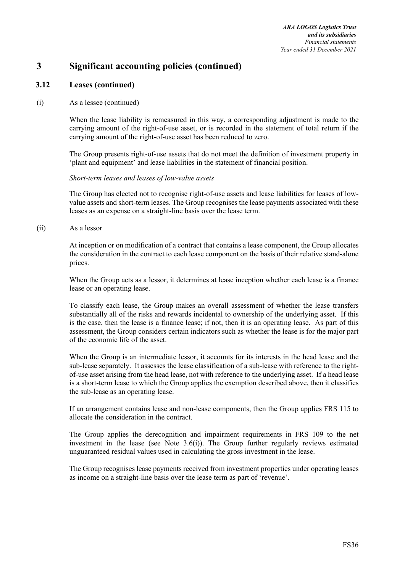## **3.12 Leases (continued)**

(i) As a lessee (continued)

When the lease liability is remeasured in this way, a corresponding adjustment is made to the carrying amount of the right-of-use asset, or is recorded in the statement of total return if the carrying amount of the right-of-use asset has been reduced to zero.

The Group presents right-of-use assets that do not meet the definition of investment property in 'plant and equipment' and lease liabilities in the statement of financial position.

*Short-term leases and leases of low-value assets* 

The Group has elected not to recognise right-of-use assets and lease liabilities for leases of lowvalue assets and short-term leases. The Group recognises the lease payments associated with these leases as an expense on a straight-line basis over the lease term.

(ii) As a lessor

At inception or on modification of a contract that contains a lease component, the Group allocates the consideration in the contract to each lease component on the basis of their relative stand-alone prices.

When the Group acts as a lessor, it determines at lease inception whether each lease is a finance lease or an operating lease.

To classify each lease, the Group makes an overall assessment of whether the lease transfers substantially all of the risks and rewards incidental to ownership of the underlying asset. If this is the case, then the lease is a finance lease; if not, then it is an operating lease. As part of this assessment, the Group considers certain indicators such as whether the lease is for the major part of the economic life of the asset.

When the Group is an intermediate lessor, it accounts for its interests in the head lease and the sub-lease separately. It assesses the lease classification of a sub-lease with reference to the rightof-use asset arising from the head lease, not with reference to the underlying asset. If a head lease is a short-term lease to which the Group applies the exemption described above, then it classifies the sub-lease as an operating lease.

If an arrangement contains lease and non-lease components, then the Group applies FRS 115 to allocate the consideration in the contract.

The Group applies the derecognition and impairment requirements in FRS 109 to the net investment in the lease (see Note 3.6(i)). The Group further regularly reviews estimated unguaranteed residual values used in calculating the gross investment in the lease.

The Group recognises lease payments received from investment properties under operating leases as income on a straight-line basis over the lease term as part of 'revenue'.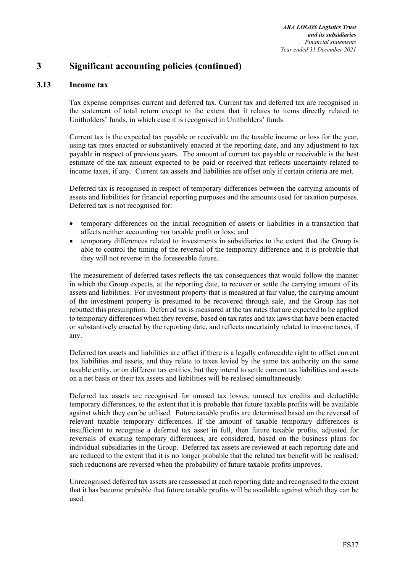## **3.13 Income tax**

Tax expense comprises current and deferred tax. Current tax and deferred tax are recognised in the statement of total return except to the extent that it relates to items directly related to Unitholders' funds, in which case it is recognised in Unitholders' funds.

Current tax is the expected tax payable or receivable on the taxable income or loss for the year, using tax rates enacted or substantively enacted at the reporting date, and any adjustment to tax payable in respect of previous years. The amount of current tax payable or receivable is the best estimate of the tax amount expected to be paid or received that reflects uncertainty related to income taxes, if any. Current tax assets and liabilities are offset only if certain criteria are met.

Deferred tax is recognised in respect of temporary differences between the carrying amounts of assets and liabilities for financial reporting purposes and the amounts used for taxation purposes. Deferred tax is not recognised for:

- temporary differences on the initial recognition of assets or liabilities in a transaction that affects neither accounting nor taxable profit or loss; and
- temporary differences related to investments in subsidiaries to the extent that the Group is able to control the timing of the reversal of the temporary difference and it is probable that they will not reverse in the foreseeable future.

The measurement of deferred taxes reflects the tax consequences that would follow the manner in which the Group expects, at the reporting date, to recover or settle the carrying amount of its assets and liabilities. For investment property that is measured at fair value, the carrying amount of the investment property is presumed to be recovered through sale, and the Group has not rebutted this presumption. Deferred tax is measured at the tax rates that are expected to be applied to temporary differences when they reverse, based on tax rates and tax laws that have been enacted or substantively enacted by the reporting date, and reflects uncertainly related to income taxes, if any.

Deferred tax assets and liabilities are offset if there is a legally enforceable right to offset current tax liabilities and assets, and they relate to taxes levied by the same tax authority on the same taxable entity, or on different tax entities, but they intend to settle current tax liabilities and assets on a net basis or their tax assets and liabilities will be realised simultaneously.

Deferred tax assets are recognised for unused tax losses, unused tax credits and deductible temporary differences, to the extent that it is probable that future taxable profits will be available against which they can be utilised. Future taxable profits are determined based on the reversal of relevant taxable temporary differences. If the amount of taxable temporary differences is insufficient to recognise a deferred tax asset in full, then future taxable profits, adjusted for reversals of existing temporary differences, are considered, based on the business plans for individual subsidiaries in the Group. Deferred tax assets are reviewed at each reporting date and are reduced to the extent that it is no longer probable that the related tax benefit will be realised; such reductions are reversed when the probability of future taxable profits improves.

Unrecognised deferred tax assets are reassessed at each reporting date and recognised to the extent that it has become probable that future taxable profits will be available against which they can be used.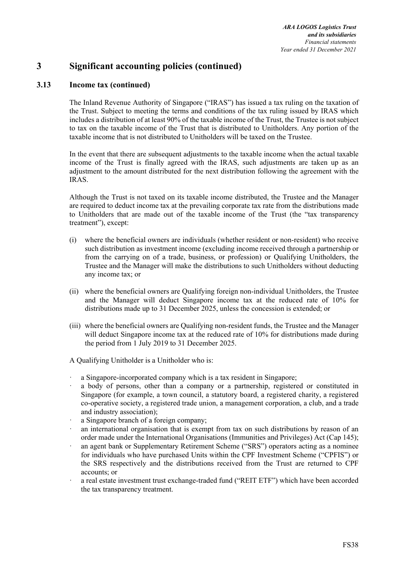## **3.13 Income tax (continued)**

The Inland Revenue Authority of Singapore ("IRAS") has issued a tax ruling on the taxation of the Trust. Subject to meeting the terms and conditions of the tax ruling issued by IRAS which includes a distribution of at least 90% of the taxable income of the Trust, the Trustee is not subject to tax on the taxable income of the Trust that is distributed to Unitholders. Any portion of the taxable income that is not distributed to Unitholders will be taxed on the Trustee.

In the event that there are subsequent adjustments to the taxable income when the actual taxable income of the Trust is finally agreed with the IRAS, such adjustments are taken up as an adjustment to the amount distributed for the next distribution following the agreement with the IRAS.

Although the Trust is not taxed on its taxable income distributed, the Trustee and the Manager are required to deduct income tax at the prevailing corporate tax rate from the distributions made to Unitholders that are made out of the taxable income of the Trust (the "tax transparency treatment"), except:

- (i) where the beneficial owners are individuals (whether resident or non-resident) who receive such distribution as investment income (excluding income received through a partnership or from the carrying on of a trade, business, or profession) or Qualifying Unitholders, the Trustee and the Manager will make the distributions to such Unitholders without deducting any income tax; or
- (ii) where the beneficial owners are Qualifying foreign non-individual Unitholders, the Trustee and the Manager will deduct Singapore income tax at the reduced rate of 10% for distributions made up to 31 December 2025, unless the concession is extended; or
- (iii) where the beneficial owners are Qualifying non-resident funds, the Trustee and the Manager will deduct Singapore income tax at the reduced rate of 10% for distributions made during the period from 1 July 2019 to 31 December 2025.

A Qualifying Unitholder is a Unitholder who is:

- ꞏ a Singapore-incorporated company which is a tax resident in Singapore;
- ꞏ a body of persons, other than a company or a partnership, registered or constituted in Singapore (for example, a town council, a statutory board, a registered charity, a registered co-operative society, a registered trade union, a management corporation, a club, and a trade and industry association);
- a Singapore branch of a foreign company;
- an international organisation that is exempt from tax on such distributions by reason of an order made under the International Organisations (Immunities and Privileges) Act (Cap 145);
- an agent bank or Supplementary Retirement Scheme ("SRS") operators acting as a nominee for individuals who have purchased Units within the CPF Investment Scheme ("CPFIS") or the SRS respectively and the distributions received from the Trust are returned to CPF accounts; or
- ꞏ a real estate investment trust exchange-traded fund ("REIT ETF") which have been accorded the tax transparency treatment.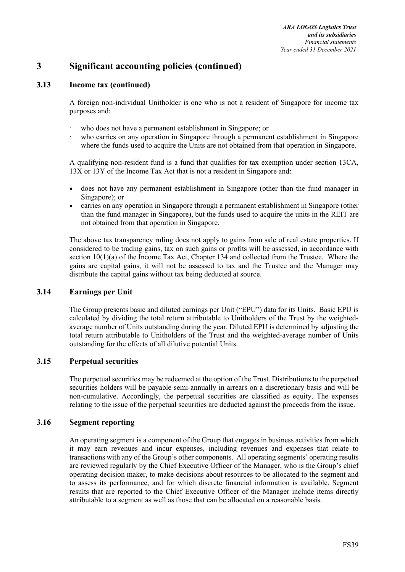## **3.13 Income tax (continued)**

A foreign non-individual Unitholder is one who is not a resident of Singapore for income tax purposes and:

- who does not have a permanent establishment in Singapore; or
- who carries on any operation in Singapore through a permanent establishment in Singapore where the funds used to acquire the Units are not obtained from that operation in Singapore.

A qualifying non-resident fund is a fund that qualifies for tax exemption under section 13CA, 13X or 13Y of the Income Tax Act that is not a resident in Singapore and:

- does not have any permanent establishment in Singapore (other than the fund manager in Singapore); or
- carries on any operation in Singapore through a permanent establishment in Singapore (other than the fund manager in Singapore), but the funds used to acquire the units in the REIT are not obtained from that operation in Singapore.

The above tax transparency ruling does not apply to gains from sale of real estate properties. If considered to be trading gains, tax on such gains or profits will be assessed, in accordance with section 10(1)(a) of the Income Tax Act, Chapter 134 and collected from the Trustee. Where the gains are capital gains, it will not be assessed to tax and the Trustee and the Manager may distribute the capital gains without tax being deducted at source.

## **3.14 Earnings per Unit**

The Group presents basic and diluted earnings per Unit ("EPU") data for its Units. Basic EPU is calculated by dividing the total return attributable to Unitholders of the Trust by the weightedaverage number of Units outstanding during the year. Diluted EPU is determined by adjusting the total return attributable to Unitholders of the Trust and the weighted-average number of Units outstanding for the effects of all dilutive potential Units.

## **3.15 Perpetual securities**

The perpetual securities may be redeemed at the option of the Trust. Distributions to the perpetual securities holders will be payable semi-annually in arrears on a discretionary basis and will be non-cumulative. Accordingly, the perpetual securities are classified as equity. The expenses relating to the issue of the perpetual securities are deducted against the proceeds from the issue.

## **3.16 Segment reporting**

An operating segment is a component of the Group that engages in business activities from which it may earn revenues and incur expenses, including revenues and expenses that relate to transactions with any of the Group's other components. All operating segments' operating results are reviewed regularly by the Chief Executive Officer of the Manager, who is the Group's chief operating decision maker, to make decisions about resources to be allocated to the segment and to assess its performance, and for which discrete financial information is available. Segment results that are reported to the Chief Executive Officer of the Manager include items directly attributable to a segment as well as those that can be allocated on a reasonable basis.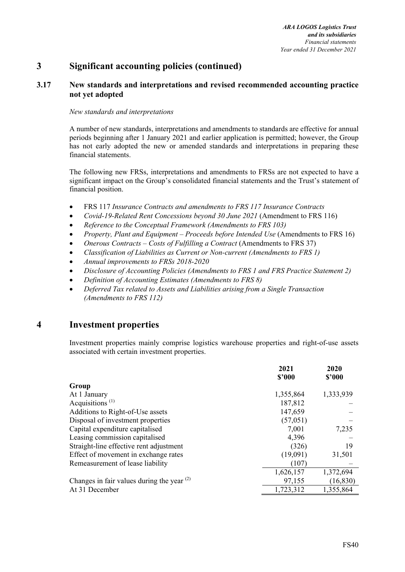## **3.17 New standards and interpretations and revised recommended accounting practice not yet adopted**

#### *New standards and interpretations*

A number of new standards, interpretations and amendments to standards are effective for annual periods beginning after 1 January 2021 and earlier application is permitted; however, the Group has not early adopted the new or amended standards and interpretations in preparing these financial statements.

The following new FRSs, interpretations and amendments to FRSs are not expected to have a significant impact on the Group's consolidated financial statements and the Trust's statement of financial position.

- FRS 117 *Insurance Contracts and amendments to FRS 117 Insurance Contracts*
- *Covid-19-Related Rent Concessions beyond 30 June 2021* (Amendment to FRS 116)
- *Reference to the Conceptual Framework (Amendments to FRS 103)*
- *Property, Plant and Equipment Proceeds before Intended Use* (Amendments to FRS 16)
- *Onerous Contracts Costs of Fulfilling a Contract* (Amendments to FRS 37)
- *Classification of Liabilities as Current or Non-current (Amendments to FRS 1)*
- *Annual improvements to FRSs 2018-2020*
- *Disclosure of Accounting Policies (Amendments to FRS 1 and FRS Practice Statement 2)*
- *Definition of Accounting Estimates (Amendments to FRS 8)*
- *Deferred Tax related to Assets and Liabilities arising from a Single Transaction (Amendments to FRS 112)*

## **4 Investment properties**

Investment properties mainly comprise logistics warehouse properties and right-of-use assets associated with certain investment properties.

|                                              | 2021<br>\$'000 | 2020<br>\$2000 |
|----------------------------------------------|----------------|----------------|
| Group                                        |                |                |
| At 1 January                                 | 1,355,864      | 1,333,939      |
| Acquisitions <sup><math>(1)</math></sup>     | 187,812        |                |
| Additions to Right-of-Use assets             | 147,659        |                |
| Disposal of investment properties            | (57, 051)      |                |
| Capital expenditure capitalised              | 7,001          | 7,235          |
| Leasing commission capitalised               | 4,396          |                |
| Straight-line effective rent adjustment      | (326)          | 19             |
| Effect of movement in exchange rates         | (19,091)       | 31,501         |
| Remeasurement of lease liability             | (107)          |                |
|                                              | 1,626,157      | 1,372,694      |
| Changes in fair values during the year $(2)$ | 97,155         | (16, 830)      |
| At 31 December                               | 1,723,312      | 1,355,864      |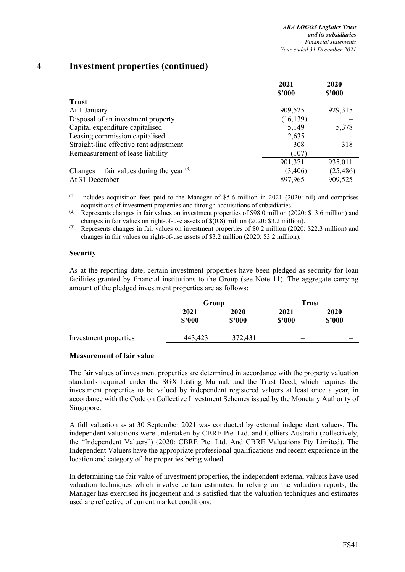## **4 Investment properties (continued)**

|                                              | 2021      | 2020      |
|----------------------------------------------|-----------|-----------|
|                                              | \$2000    | \$2000    |
| <b>Trust</b>                                 |           |           |
| At 1 January                                 | 909,525   | 929,315   |
| Disposal of an investment property           | (16, 139) |           |
| Capital expenditure capitalised              | 5,149     | 5,378     |
| Leasing commission capitalised               | 2,635     |           |
| Straight-line effective rent adjustment      | 308       | 318       |
| Remeasurement of lease liability             | (107)     |           |
|                                              | 901,371   | 935,011   |
| Changes in fair values during the year $(3)$ | (3,406)   | (25, 486) |
| At 31 December                               | 897,965   | 909,525   |

(1) Includes acquisition fees paid to the Manager of \$5.6 million in 2021 (2020: nil) and comprises acquisitions of investment properties and through acquisitions of subsidiaries.

(2) Represents changes in fair values on investment properties of \$98.0 million (2020: \$13.6 million) and changes in fair values on right-of-use assets of \$(0.8) million (2020: \$3.2 million).

(3) Represents changes in fair values on investment properties of \$0.2 million (2020: \$22.3 million) and changes in fair values on right-of-use assets of \$3.2 million (2020: \$3.2 million).

#### **Security**

As at the reporting date, certain investment properties have been pledged as security for loan facilities granted by financial institutions to the Group (see Note 11). The aggregate carrying amount of the pledged investment properties are as follows:

|                       | Group          |                | Trust          |                |
|-----------------------|----------------|----------------|----------------|----------------|
|                       | 2021<br>\$3000 | 2020<br>\$2000 | 2021<br>\$'000 | 2020<br>\$2000 |
| Investment properties | 443,423        | 372,431        | _              |                |

#### **Measurement of fair value**

The fair values of investment properties are determined in accordance with the property valuation standards required under the SGX Listing Manual, and the Trust Deed, which requires the investment properties to be valued by independent registered valuers at least once a year, in accordance with the Code on Collective Investment Schemes issued by the Monetary Authority of Singapore.

A full valuation as at 30 September 2021 was conducted by external independent valuers. The independent valuations were undertaken by CBRE Pte. Ltd. and Colliers Australia (collectively, the "Independent Valuers") (2020: CBRE Pte. Ltd. And CBRE Valuations Pty Limited). The Independent Valuers have the appropriate professional qualifications and recent experience in the location and category of the properties being valued.

In determining the fair value of investment properties, the independent external valuers have used valuation techniques which involve certain estimates. In relying on the valuation reports, the Manager has exercised its judgement and is satisfied that the valuation techniques and estimates used are reflective of current market conditions.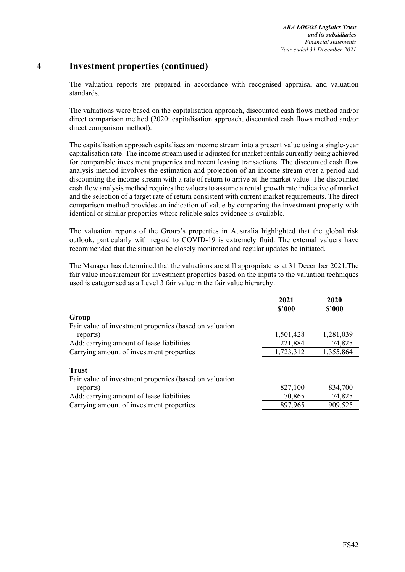# **4 Investment properties (continued)**

The valuation reports are prepared in accordance with recognised appraisal and valuation standards.

The valuations were based on the capitalisation approach, discounted cash flows method and/or direct comparison method (2020: capitalisation approach, discounted cash flows method and/or direct comparison method).

The capitalisation approach capitalises an income stream into a present value using a single-year capitalisation rate. The income stream used is adjusted for market rentals currently being achieved for comparable investment properties and recent leasing transactions. The discounted cash flow analysis method involves the estimation and projection of an income stream over a period and discounting the income stream with a rate of return to arrive at the market value. The discounted cash flow analysis method requires the valuers to assume a rental growth rate indicative of market and the selection of a target rate of return consistent with current market requirements. The direct comparison method provides an indication of value by comparing the investment property with identical or similar properties where reliable sales evidence is available.

The valuation reports of the Group's properties in Australia highlighted that the global risk outlook, particularly with regard to COVID-19 is extremely fluid. The external valuers have recommended that the situation be closely monitored and regular updates be initiated.

The Manager has determined that the valuations are still appropriate as at 31 December 2021.The fair value measurement for investment properties based on the inputs to the valuation techniques used is categorised as a Level 3 fair value in the fair value hierarchy.

|                                                         | 2021<br>\$2000 | 2020<br>\$2000 |
|---------------------------------------------------------|----------------|----------------|
| Group                                                   |                |                |
| Fair value of investment properties (based on valuation |                |                |
| reports)                                                | 1,501,428      | 1,281,039      |
| Add: carrying amount of lease liabilities               | 221,884        | 74,825         |
| Carrying amount of investment properties                | 1,723,312      | 1,355,864      |
| <b>Trust</b>                                            |                |                |
| Fair value of investment properties (based on valuation |                |                |
| reports)                                                | 827,100        | 834,700        |
| Add: carrying amount of lease liabilities               | 70,865         | 74,825         |
| Carrying amount of investment properties                | 897,965        | 909,525        |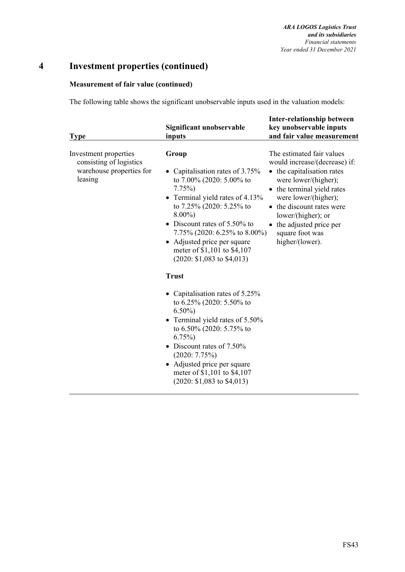# **4 Investment properties (continued)**

## **Measurement of fair value (continued)**

The following table shows the significant unobservable inputs used in the valuation models:

| <b>Type</b>                                                                             | Significant unobservable<br>inputs                                                                                                                                                                                                                                                                                                                                                                                                                                                                                                                 | <b>Inter-relationship between</b><br>key unobservable inputs<br>and fair value measurement                                                                                                                                                                                                |
|-----------------------------------------------------------------------------------------|----------------------------------------------------------------------------------------------------------------------------------------------------------------------------------------------------------------------------------------------------------------------------------------------------------------------------------------------------------------------------------------------------------------------------------------------------------------------------------------------------------------------------------------------------|-------------------------------------------------------------------------------------------------------------------------------------------------------------------------------------------------------------------------------------------------------------------------------------------|
| Investment properties<br>consisting of logistics<br>warehouse properties for<br>leasing | Group<br>• Capitalisation rates of 3.75%<br>to 7.00% (2020: 5.00% to<br>$7.75\%$<br>Terminal yield rates of 4.13%<br>to 7.25% (2020: 5.25% to<br>$8.00\%$<br>• Discount rates of $5.50\%$ to<br>7.75% (2020: 6.25% to 8.00%)<br>• Adjusted price per square<br>meter of \$1,101 to \$4,107<br>$(2020: $1,083$ to \$4,013)<br><b>Trust</b><br>Capitalisation rates of 5.25%<br>to $6.25\%$ (2020: 5.50% to<br>$6.50\%$<br>• Terminal yield rates of 5.50%<br>to 6.50% (2020: 5.75% to<br>$6.75\%)$<br>• Discount rates of 7.50%<br>$(2020: 7.75\%)$ | The estimated fair values<br>would increase/(decrease) if:<br>• the capitalisation rates<br>were lower/(higher);<br>• the terminal yield rates<br>were lower/(higher);<br>• the discount rates were<br>lower/(higher); or<br>the adjusted price per<br>square foot was<br>higher/(lower). |
|                                                                                         | • Adjusted price per square<br>meter of \$1,101 to \$4,107<br>$(2020: $1,083$ to \$4,013)                                                                                                                                                                                                                                                                                                                                                                                                                                                          |                                                                                                                                                                                                                                                                                           |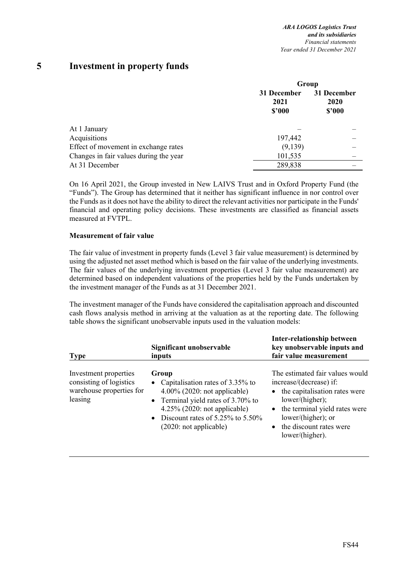# **5 Investment in property funds**

|                                                                                                                | Group                         |                                      |  |
|----------------------------------------------------------------------------------------------------------------|-------------------------------|--------------------------------------|--|
| At 1 January<br>Acquisitions<br>Effect of movement in exchange rates<br>Changes in fair values during the year | 31 December<br>2021<br>\$2000 | 31 December<br><b>2020</b><br>\$2000 |  |
|                                                                                                                |                               |                                      |  |
|                                                                                                                | 197,442                       |                                      |  |
|                                                                                                                | (9,139)                       |                                      |  |
|                                                                                                                | 101,535                       |                                      |  |
| At 31 December                                                                                                 | 289,838                       |                                      |  |

On 16 April 2021, the Group invested in New LAIVS Trust and in Oxford Property Fund (the "Funds"). The Group has determined that it neither has significant influence in nor control over the Funds as it does not have the ability to direct the relevant activities nor participate in the Funds' financial and operating policy decisions. These investments are classified as financial assets measured at FVTPL.

#### **Measurement of fair value**

The fair value of investment in property funds (Level 3 fair value measurement) is determined by using the adjusted net asset method which is based on the fair value of the underlying investments. The fair values of the underlying investment properties (Level 3 fair value measurement) are determined based on independent valuations of the properties held by the Funds undertaken by the investment manager of the Funds as at 31 December 2021.

The investment manager of the Funds have considered the capitalisation approach and discounted cash flows analysis method in arriving at the valuation as at the reporting date. The following table shows the significant unobservable inputs used in the valuation models:

| <b>Type</b>                                                                             | Significant unobservable<br>inputs                                                                                                                                                                                                        | <b>Inter-relationship between</b><br>key unobservable inputs and<br>fair value measurement                                                                                                                                |
|-----------------------------------------------------------------------------------------|-------------------------------------------------------------------------------------------------------------------------------------------------------------------------------------------------------------------------------------------|---------------------------------------------------------------------------------------------------------------------------------------------------------------------------------------------------------------------------|
| Investment properties<br>consisting of logistics<br>warehouse properties for<br>leasing | Group<br>• Capitalisation rates of $3.35\%$ to<br>$4.00\%$ (2020: not applicable)<br>• Terminal yield rates of 3.70% to<br>$4.25\%$ (2020: not applicable)<br>• Discount rates of $5.25\%$ to $5.50\%$<br>$(2020: \text{not applicable})$ | The estimated fair values would<br>increase/(decrease) if:<br>• the capitalisation rates were<br>lower/(higher);<br>• the terminal yield rates were<br>lower/(higher); or<br>• the discount rates were<br>lower/(higher). |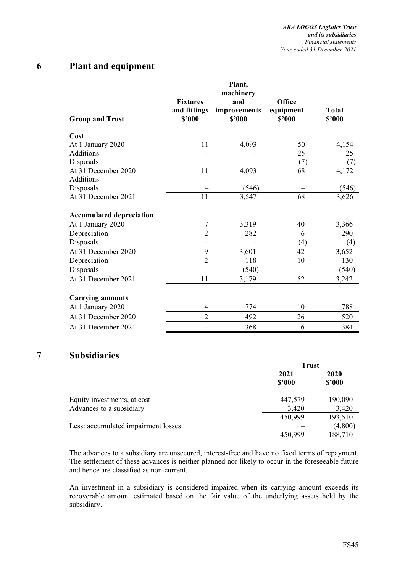# **6 Plant and equipment**

| <b>Group and Trust</b>          | <b>Fixtures</b><br>and fittings<br>\$2000 | Plant,<br>machinery<br>and<br>improvements<br>\$2000 | Office<br>equipment<br>\$2000 | <b>Total</b><br>\$2000 |
|---------------------------------|-------------------------------------------|------------------------------------------------------|-------------------------------|------------------------|
| Cost                            |                                           |                                                      |                               |                        |
| At 1 January 2020               | 11                                        | 4,093                                                | 50                            | 4,154                  |
| Additions                       |                                           |                                                      | 25                            | 25                     |
| Disposals                       |                                           |                                                      | (7)                           | (7)                    |
| At 31 December 2020             | 11                                        | 4,093                                                | 68                            | 4,172                  |
| Additions                       |                                           |                                                      |                               |                        |
| Disposals                       |                                           | (546)                                                |                               | (546)                  |
| At 31 December 2021             | 11                                        | 3,547                                                | 68                            | 3,626                  |
| <b>Accumulated depreciation</b> |                                           |                                                      |                               |                        |
| At 1 January 2020               | 7                                         | 3,319                                                | 40                            | 3,366                  |
| Depreciation                    | $\overline{2}$                            | 282                                                  | 6                             | 290                    |
| Disposals                       |                                           |                                                      | (4)                           | (4)                    |
| At 31 December 2020             | 9                                         | 3,601                                                | 42                            | 3,652                  |
| Depreciation                    | $\overline{2}$                            | 118                                                  | 10                            | 130                    |
| Disposals                       |                                           | (540)                                                |                               | (540)                  |
| At 31 December 2021             | 11                                        | 3,179                                                | 52                            | 3,242                  |
| <b>Carrying amounts</b>         |                                           |                                                      |                               |                        |
| At 1 January 2020               | 4                                         | 774                                                  | 10                            | 788                    |
| At 31 December 2020             | $\overline{2}$                            | 492                                                  | 26                            | 520                    |
| At 31 December 2021             |                                           | 368                                                  | 16                            | 384                    |

# **7 Subsidiaries**

|                                     | <b>Trust</b>   |                |
|-------------------------------------|----------------|----------------|
|                                     | 2021<br>\$2000 | 2020<br>\$2000 |
| Equity investments, at cost         | 447,579        | 190,090        |
| Advances to a subsidiary            | 3,420          | 3,420          |
|                                     | 450,999        | 193,510        |
| Less: accumulated impairment losses |                | (4,800)        |
|                                     | 450,999        | 188,710        |

The advances to a subsidiary are unsecured, interest-free and have no fixed terms of repayment. The settlement of these advances is neither planned nor likely to occur in the foreseeable future and hence are classified as non-current.

An investment in a subsidiary is considered impaired when its carrying amount exceeds its recoverable amount estimated based on the fair value of the underlying assets held by the subsidiary.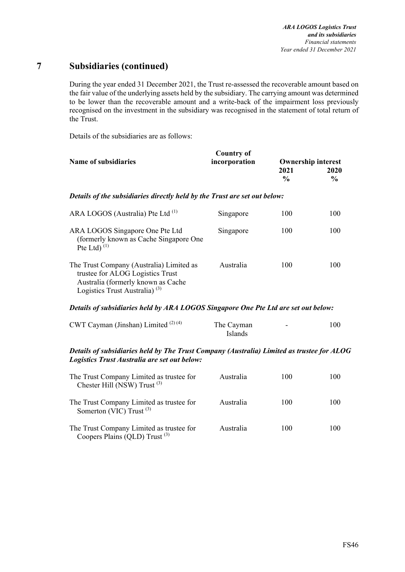During the year ended 31 December 2021, the Trust re-assessed the recoverable amount based on the fair value of the underlying assets held by the subsidiary. The carrying amount was determined to be lower than the recoverable amount and a write-back of the impairment loss previously recognised on the investment in the subsidiary was recognised in the statement of total return of the Trust.

Details of the subsidiaries are as follows:

|                                                                                                                                                                 | <b>Country of</b>     |               |                           |
|-----------------------------------------------------------------------------------------------------------------------------------------------------------------|-----------------------|---------------|---------------------------|
| <b>Name of subsidiaries</b>                                                                                                                                     | incorporation         |               | <b>Ownership interest</b> |
|                                                                                                                                                                 |                       | 2021          | 2020                      |
|                                                                                                                                                                 |                       | $\frac{0}{0}$ | $\frac{0}{0}$             |
| Details of the subsidiaries directly held by the Trust are set out below:                                                                                       |                       |               |                           |
| ARA LOGOS (Australia) Pte Ltd <sup>(1)</sup>                                                                                                                    | Singapore             | 100           | 100                       |
| ARA LOGOS Singapore One Pte Ltd<br>(formerly known as Cache Singapore One<br>Pte Ltd $(1)$                                                                      | Singapore             | 100           | 100                       |
| The Trust Company (Australia) Limited as<br>trustee for ALOG Logistics Trust<br>Australia (formerly known as Cache<br>Logistics Trust Australia) <sup>(3)</sup> | Australia             | 100           | 100                       |
| Details of subsidiaries held by ARA LOGOS Singapore One Pte Ltd are set out below:                                                                              |                       |               |                           |
| CWT Cayman (Jinshan) Limited <sup>(2)(4)</sup>                                                                                                                  | The Cayman<br>Islands |               | 100                       |
| Details of subsidiaries held by The Trust Company (Australia) Limited as trustee for ALOG<br>Logistics Trust Australia are set out below:                       |                       |               |                           |
| The Trust Company Limited as trustee for<br>Chester Hill (NSW) Trust $(3)$                                                                                      | Australia             | 100           | 100                       |
| The Trust Company Limited as trustee for<br>Somerton (VIC) Trust <sup>(3)</sup>                                                                                 | Australia             | 100           | 100                       |
| The Trust Company Limited as trustee for<br>Coopers Plains (QLD) Trust $(3)$                                                                                    | Australia             | 100           | 100                       |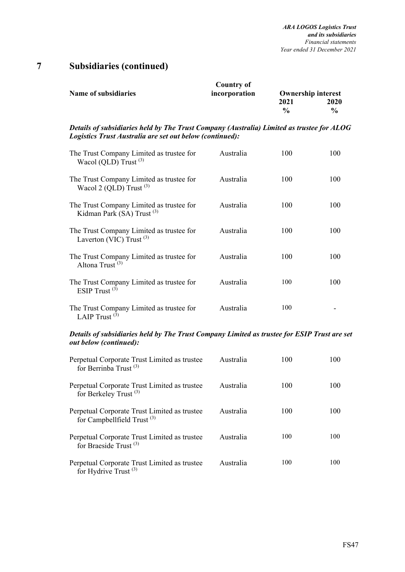| Country of    |                    |                           |
|---------------|--------------------|---------------------------|
| incorporation |                    | <b>Ownership interest</b> |
|               | 2021               | 2020                      |
|               | $\frac{0}{\alpha}$ | $\frac{0}{0}$             |
|               |                    |                           |

*Details of subsidiaries held by The Trust Company (Australia) Limited as trustee for ALOG Logistics Trust Australia are set out below (continued):*

| The Trust Company Limited as trustee for<br>Wacol (QLD) Trust $(3)$               | Australia | 100 | 100 |
|-----------------------------------------------------------------------------------|-----------|-----|-----|
| The Trust Company Limited as trustee for<br>Wacol 2 (QLD) Trust $(3)$             | Australia | 100 | 100 |
| The Trust Company Limited as trustee for<br>Kidman Park (SA) Trust <sup>(3)</sup> | Australia | 100 | 100 |
| The Trust Company Limited as trustee for<br>Laverton (VIC) Trust $(3)$            | Australia | 100 | 100 |
| The Trust Company Limited as trustee for<br>Altona Trust $(3)$                    | Australia | 100 | 100 |
| The Trust Company Limited as trustee for<br>ESIP Trust $(3)$                      | Australia | 100 | 100 |
| The Trust Company Limited as trustee for<br>LAIP Trust $(3)$                      | Australia | 100 |     |

### *Details of subsidiaries held by The Trust Company Limited as trustee for ESIP Trust are set out below (continued):*

| Perpetual Corporate Trust Limited as trustee<br>for Berrinba Trust <sup>(3)</sup> | Australia | 100 | 100 |
|-----------------------------------------------------------------------------------|-----------|-----|-----|
| Perpetual Corporate Trust Limited as trustee<br>for Berkeley Trust <sup>(3)</sup> | Australia | 100 | 100 |
| Perpetual Corporate Trust Limited as trustee<br>for Campbellfield Trust $(3)$     | Australia | 100 | 100 |
| Perpetual Corporate Trust Limited as trustee<br>for Braeside Trust <sup>(3)</sup> | Australia | 100 | 100 |
| Perpetual Corporate Trust Limited as trustee<br>for Hydrive Trust <sup>(3)</sup>  | Australia | 100 | 100 |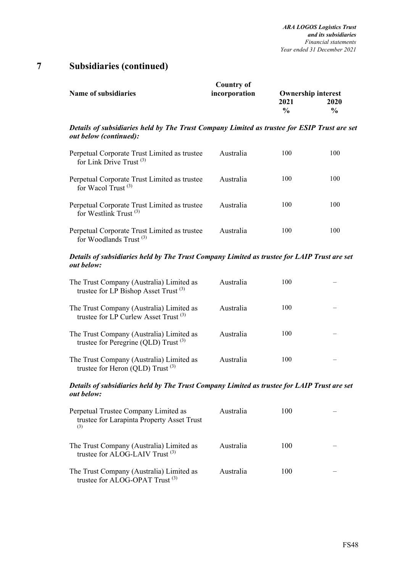|                             | Country of    |               |                           |
|-----------------------------|---------------|---------------|---------------------------|
| <b>Name of subsidiaries</b> | incorporation |               | <b>Ownership interest</b> |
|                             |               | 2021          | <b>2020</b>               |
|                             |               | $\frac{0}{0}$ | $\frac{0}{0}$             |

*Details of subsidiaries held by The Trust Company Limited as trustee for ESIP Trust are set out below (continued):* 

| Perpetual Corporate Trust Limited as trustee<br>for Link Drive Trust <sup>(3)</sup> | Australia | 100 | 100 |
|-------------------------------------------------------------------------------------|-----------|-----|-----|
| Perpetual Corporate Trust Limited as trustee<br>for Wacol Trust $(3)$               | Australia | 100 | 100 |
| Perpetual Corporate Trust Limited as trustee<br>for Westlink Trust $^{(3)}$         | Australia | 100 | 100 |
| Perpetual Corporate Trust Limited as trustee<br>for Woodlands Trust <sup>(3)</sup>  | Australia | 100 | 100 |

#### *Details of subsidiaries held by The Trust Company Limited as trustee for LAIP Trust are set out below:*

| The Trust Company (Australia) Limited as<br>trustee for LP Bishop Asset Trust <sup>(3)</sup> | Australia | 100 |  |
|----------------------------------------------------------------------------------------------|-----------|-----|--|
| The Trust Company (Australia) Limited as<br>trustee for LP Curlew Asset Trust <sup>(3)</sup> | Australia | 100 |  |
| The Trust Company (Australia) Limited as<br>trustee for Peregrine (QLD) Trust $(3)$          | Australia | 100 |  |
| The Trust Company (Australia) Limited as<br>trustee for Heron (QLD) Trust <sup>(3)</sup>     | Australia | 100 |  |

#### *Details of subsidiaries held by The Trust Company Limited as trustee for LAIP Trust are set out below:*

| Perpetual Trustee Company Limited as<br>trustee for Larapinta Property Asset Trust<br>(3) | Australia | 100 |  |
|-------------------------------------------------------------------------------------------|-----------|-----|--|
| The Trust Company (Australia) Limited as<br>trustee for ALOG-LAIV Trust <sup>(3)</sup>    | Australia | 100 |  |
| The Trust Company (Australia) Limited as<br>trustee for ALOG-OPAT Trust <sup>(3)</sup>    | Australia | 100 |  |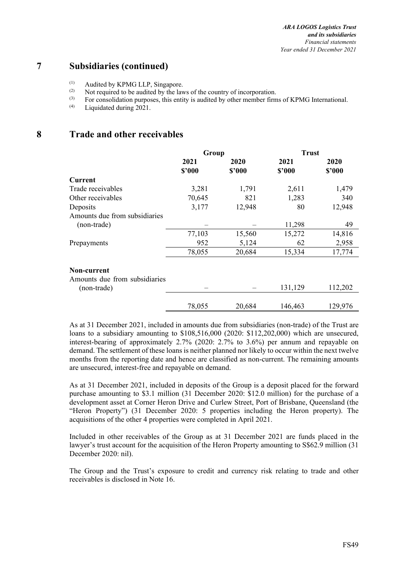- (1) Audited by KPMG LLP, Singapore.
- $(2)$  Not required to be audited by the laws of the country of incorporation.
- (3) For consolidation purposes, this entity is audited by other member firms of KPMG International.<br>(4) I iquidated during 2021

Liquidated during 2021.

# **8 Trade and other receivables**

|                               | Group  |        | <b>Trust</b> |         |
|-------------------------------|--------|--------|--------------|---------|
|                               | 2021   | 2020   | 2021         | 2020    |
|                               | \$'000 | \$'000 | \$2000       | \$2000  |
| <b>Current</b>                |        |        |              |         |
| Trade receivables             | 3,281  | 1,791  | 2,611        | 1,479   |
| Other receivables             | 70,645 | 821    | 1,283        | 340     |
| Deposits                      | 3,177  | 12,948 | 80           | 12,948  |
| Amounts due from subsidiaries |        |        |              |         |
| (non-trade)                   |        |        | 11,298       | 49      |
|                               | 77,103 | 15,560 | 15,272       | 14,816  |
| Prepayments                   | 952    | 5,124  | 62           | 2,958   |
|                               | 78,055 | 20,684 | 15,334       | 17,774  |
| Non-current                   |        |        |              |         |
| Amounts due from subsidiaries |        |        |              |         |
| (non-trade)                   |        |        | 131,129      | 112,202 |
|                               | 78,055 | 20,684 | 146,463      | 129,976 |

As at 31 December 2021, included in amounts due from subsidiaries (non-trade) of the Trust are loans to a subsidiary amounting to \$108,516,000 (2020: \$112,202,000) which are unsecured, interest-bearing of approximately 2.7% (2020: 2.7% to 3.6%) per annum and repayable on demand. The settlement of these loans is neither planned nor likely to occur within the next twelve months from the reporting date and hence are classified as non-current. The remaining amounts are unsecured, interest-free and repayable on demand.

As at 31 December 2021, included in deposits of the Group is a deposit placed for the forward purchase amounting to \$3.1 million (31 December 2020: \$12.0 million) for the purchase of a development asset at Corner Heron Drive and Curlew Street, Port of Brisbane, Queensland (the "Heron Property") (31 December 2020: 5 properties including the Heron property). The acquisitions of the other 4 properties were completed in April 2021.

Included in other receivables of the Group as at 31 December 2021 are funds placed in the lawyer's trust account for the acquisition of the Heron Property amounting to S\$62.9 million (31 December 2020: nil).

The Group and the Trust's exposure to credit and currency risk relating to trade and other receivables is disclosed in Note 16.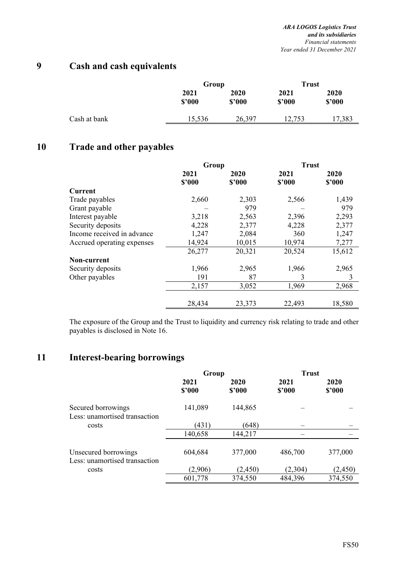# **9 Cash and cash equivalents**

|              | Group          |                | <b>Trust</b>   |                |
|--------------|----------------|----------------|----------------|----------------|
|              | 2021<br>\$2000 | 2020<br>\$3000 | 2021<br>\$2000 | 2020<br>\$3000 |
| Cash at bank | 15,536         | 26,397         | 12,753         | 17,383         |

# **10 Trade and other payables**

|                            | Group  |        | <b>Trust</b> |        |
|----------------------------|--------|--------|--------------|--------|
|                            | 2021   | 2020   | 2021         | 2020   |
|                            | \$2000 | \$'000 | \$2000       | \$2000 |
| <b>Current</b>             |        |        |              |        |
| Trade payables             | 2,660  | 2,303  | 2,566        | 1,439  |
| Grant payable              |        | 979    |              | 979    |
| Interest payable           | 3,218  | 2,563  | 2,396        | 2,293  |
| Security deposits          | 4,228  | 2,377  | 4,228        | 2,377  |
| Income received in advance | 1,247  | 2,084  | 360          | 1,247  |
| Accrued operating expenses | 14,924 | 10,015 | 10,974       | 7,277  |
|                            | 26,277 | 20,321 | 20,524       | 15,612 |
| Non-current                |        |        |              |        |
| Security deposits          | 1,966  | 2,965  | 1,966        | 2,965  |
| Other payables             | 191    | 87     | 3            | 3      |
|                            | 2,157  | 3,052  | 1,969        | 2,968  |
|                            | 28,434 | 23,373 | 22,493       | 18,580 |

The exposure of the Group and the Trust to liquidity and currency risk relating to trade and other payables is disclosed in Note 16.

# **11 Interest-bearing borrowings**

|                                                       | Group          |                | <b>Trust</b>   |                |
|-------------------------------------------------------|----------------|----------------|----------------|----------------|
|                                                       | 2021<br>\$2000 | 2020<br>\$2000 | 2021<br>\$2000 | 2020<br>\$2000 |
| Secured borrowings<br>Less: unamortised transaction   | 141,089        | 144,865        |                |                |
| costs                                                 | (431)          | (648)          |                |                |
|                                                       | 140,658        | 144,217        |                |                |
| Unsecured borrowings<br>Less: unamortised transaction | 604,684        | 377,000        | 486,700        | 377,000        |
| costs                                                 | (2,906)        | (2, 450)       | (2,304)        | (2, 450)       |
|                                                       | 601,778        | 374,550        | 484,396        | 374,550        |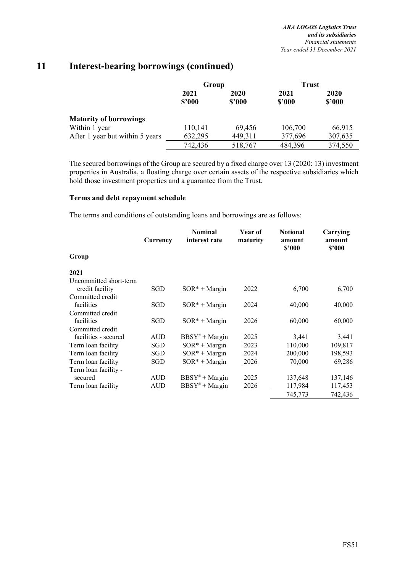|                                 | Group          |                | <b>Trust</b>   |                |
|---------------------------------|----------------|----------------|----------------|----------------|
|                                 | 2021<br>\$2000 | 2020<br>\$3000 | 2021<br>\$2000 | 2020<br>\$2000 |
| <b>Maturity of borrowings</b>   |                |                |                |                |
| Within 1 year                   | 110,141        | 69,456         | 106,700        | 66,915         |
| After 1 year but within 5 years | 632,295        | 449,311        | 377,696        | 307,635        |
|                                 | 742,436        | 518,767        | 484,396        | 374,550        |

The secured borrowings of the Group are secured by a fixed charge over 13 (2020: 13) investment properties in Australia, a floating charge over certain assets of the respective subsidiaries which hold those investment properties and a guarantee from the Trust.

#### **Terms and debt repayment schedule**

The terms and conditions of outstanding loans and borrowings are as follows:

|                        | Currency   | <b>Nominal</b><br>interest rate | Year of<br>maturity | <b>Notional</b><br>amount<br>\$'000 | Carrying<br>amount<br>\$'000 |
|------------------------|------------|---------------------------------|---------------------|-------------------------------------|------------------------------|
| Group                  |            |                                 |                     |                                     |                              |
| 2021                   |            |                                 |                     |                                     |                              |
| Uncommitted short-term |            |                                 |                     |                                     |                              |
| credit facility        | SGD        | $SOR^* + Margin$                | 2022                | 6,700                               | 6,700                        |
| Committed credit       |            |                                 |                     |                                     |                              |
| facilities             | SGD        | $SOR* + Margin$                 | 2024                | 40,000                              | 40,000                       |
| Committed credit       |            |                                 |                     |                                     |                              |
| facilities             | SGD        | $SOR^* + Margin$                | 2026                | 60,000                              | 60,000                       |
| Committed credit       |            |                                 |                     |                                     |                              |
| facilities - secured   | AUD        | $BBSY'' + Margin$               | 2025                | 3,441                               | 3,441                        |
| Term loan facility     | SGD        | $SOR* + Margin$                 | 2023                | 110,000                             | 109,817                      |
| Term loan facility     | SGD        | $SOR* + Margin$                 | 2024                | 200,000                             | 198,593                      |
| Term loan facility     | SGD        | $SOR^* + Margin$                | 2026                | 70,000                              | 69,286                       |
| Term loan facility -   |            |                                 |                     |                                     |                              |
| secured                | AUD        | $BBSY^* + Margin$               | 2025                | 137,648                             | 137,146                      |
| Term loan facility     | <b>AUD</b> | $BBSY'' + Margin$               | 2026                | 117,984                             | 117,453                      |
|                        |            |                                 |                     | 745,773                             | 742,436                      |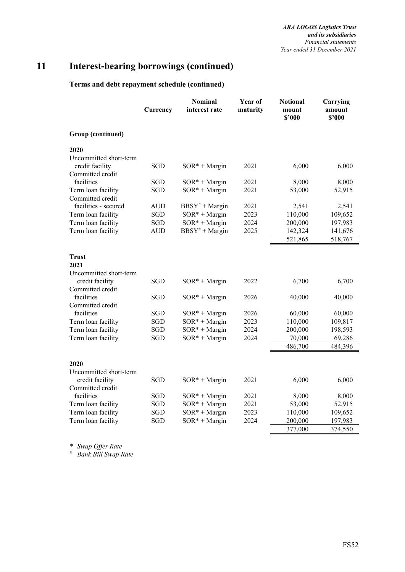## **Terms and debt repayment schedule (continued)**

|                                           | Currency          | <b>Nominal</b><br>interest rate | Year of<br>maturity | <b>Notional</b><br>mount<br>\$2000 | Carrying<br>amount<br>\$2000 |
|-------------------------------------------|-------------------|---------------------------------|---------------------|------------------------------------|------------------------------|
| Group (continued)                         |                   |                                 |                     |                                    |                              |
| 2020                                      |                   |                                 |                     |                                    |                              |
| Uncommitted short-term<br>credit facility | SGD               | $SOR^* + Margin$                | 2021                | 6,000                              | 6,000                        |
| Committed credit                          |                   |                                 |                     |                                    |                              |
| facilities                                | SGD<br><b>SGD</b> | $SOR* + Margin$                 | 2021<br>2021        | 8,000                              | 8,000                        |
| Term loan facility<br>Committed credit    |                   | $SOR* + Margin$                 |                     | 53,000                             | 52,915                       |
| facilities - secured                      | AUD               | $BBSY^* + Margin$               | 2021                | 2,541                              | 2,541                        |
| Term loan facility                        | SGD               | $SOR* + Margin$                 | 2023                | 110,000                            | 109,652                      |
| Term loan facility                        | SGD               | $SOR* + Margin$                 | 2024                | 200,000                            | 197,983                      |
| Term loan facility                        | <b>AUD</b>        | $BBSY^{\#} + Margin$            | 2025                | 142,324                            | 141,676                      |
|                                           |                   |                                 |                     | 521,865                            | 518,767                      |
| Trust                                     |                   |                                 |                     |                                    |                              |
| 2021                                      |                   |                                 |                     |                                    |                              |
| Uncommitted short-term                    |                   |                                 |                     |                                    |                              |
| credit facility                           | SGD               | $SOR* + Margin$                 | 2022                | 6,700                              | 6,700                        |
| Committed credit                          |                   |                                 |                     |                                    |                              |
| facilities                                | <b>SGD</b>        | $SOR* + Margin$                 | 2026                | 40,000                             | 40,000                       |
| Committed credit                          |                   |                                 |                     |                                    |                              |
| facilities                                | <b>SGD</b>        | $SOR* + Margin$                 | 2026                | 60,000                             | 60,000                       |
| Term loan facility                        | <b>SGD</b>        | $SOR^* + Margin$                | 2023                | 110,000                            | 109,817                      |
| Term loan facility                        | <b>SGD</b>        | $SOR* + Margin$                 | 2024                | 200,000                            | 198,593                      |
| Term loan facility                        | <b>SGD</b>        | $SOR* + Margin$                 | 2024                | 70,000                             | 69,286                       |
|                                           |                   |                                 |                     | 486,700                            | 484,396                      |
|                                           |                   |                                 |                     |                                    |                              |
| 2020                                      |                   |                                 |                     |                                    |                              |
| Uncommitted short-term<br>credit facility | SGD               | $SOR* + Margin$                 | 2021                | 6,000                              | 6,000                        |
| Committed credit                          |                   |                                 |                     |                                    |                              |
| facilities                                | SGD               | $SOR* + Margin$                 | 2021                | 8,000                              | 8,000                        |
| Term loan facility                        | <b>SGD</b>        | $SOR* + Margin$                 | 2021                | 53,000                             | 52,915                       |
| Term loan facility                        | <b>SGD</b>        | $SOR* + Margin$                 | 2023                | 110,000                            | 109,652                      |
| Term loan facility                        | SGD               | $SOR* + Margin$                 | 2024                | 200,000                            | 197,983                      |
|                                           |                   |                                 |                     | 377,000                            | 374,550                      |

*\* Swap Offer Rate* 

*# Bank Bill Swap Rate*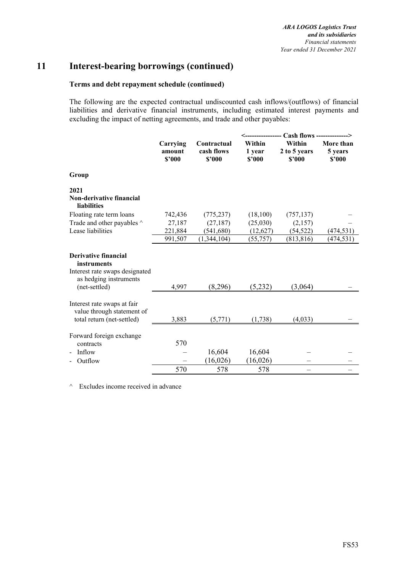#### **Terms and debt repayment schedule (continued)**

The following are the expected contractual undiscounted cash inflows/(outflows) of financial liabilities and derivative financial instruments, including estimated interest payments and excluding the impact of netting agreements, and trade and other payables:

|                                                                                                        |                              |                                     | <---------------- Cash flows --------------> |                                  |                                |  |  |
|--------------------------------------------------------------------------------------------------------|------------------------------|-------------------------------------|----------------------------------------------|----------------------------------|--------------------------------|--|--|
|                                                                                                        | Carrying<br>amount<br>\$'000 | Contractual<br>cash flows<br>\$2000 | Within<br>1 year<br>\$'000                   | Within<br>2 to 5 years<br>\$2000 | More than<br>5 years<br>\$2000 |  |  |
| Group                                                                                                  |                              |                                     |                                              |                                  |                                |  |  |
| 2021                                                                                                   |                              |                                     |                                              |                                  |                                |  |  |
| Non-derivative financial<br><b>liabilities</b>                                                         |                              |                                     |                                              |                                  |                                |  |  |
| Floating rate term loans                                                                               | 742,436                      | (775, 237)                          | (18,100)                                     | (757, 137)                       |                                |  |  |
| Trade and other payables ^                                                                             | 27,187                       | (27, 187)                           | (25,030)                                     | (2,157)                          |                                |  |  |
| Lease liabilities                                                                                      | 221,884                      | (541, 680)                          | (12,627)                                     | (54, 522)                        | (474,531)                      |  |  |
|                                                                                                        | 991,507                      | (1,344,104)                         | (55, 757)                                    | (813, 816)                       | (474, 531)                     |  |  |
| <b>Derivative financial</b><br>instruments<br>Interest rate swaps designated<br>as hedging instruments |                              |                                     |                                              |                                  |                                |  |  |
| (net-settled)                                                                                          | 4,997                        | (8,296)                             | (5,232)                                      | (3,064)                          |                                |  |  |
| Interest rate swaps at fair<br>value through statement of<br>total return (net-settled)                | 3,883                        | (5,771)                             | (1,738)                                      | (4,033)                          |                                |  |  |
| Forward foreign exchange<br>contracts                                                                  | 570                          |                                     |                                              |                                  |                                |  |  |
| Inflow                                                                                                 |                              | 16,604                              | 16,604                                       |                                  |                                |  |  |
| Outflow                                                                                                |                              | (16,026)                            | (16, 026)                                    |                                  |                                |  |  |
|                                                                                                        | 570                          | 578                                 | 578                                          |                                  |                                |  |  |

 $\wedge$  Excludes income received in advance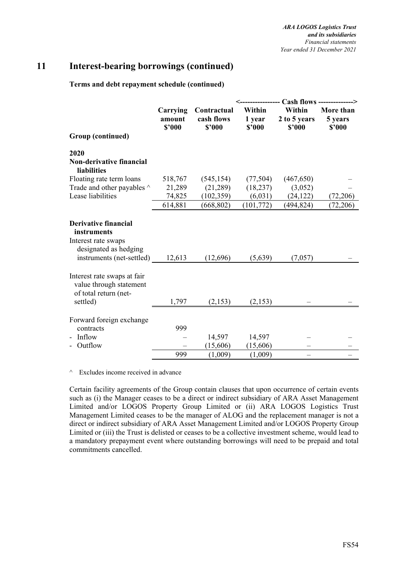#### **Terms and debt repayment schedule (continued)**

|                                                                                             |                              |                                     |                            | <---------------- Cash flows --------------> |                                |
|---------------------------------------------------------------------------------------------|------------------------------|-------------------------------------|----------------------------|----------------------------------------------|--------------------------------|
|                                                                                             | Carrying<br>amount<br>\$2000 | Contractual<br>cash flows<br>\$2000 | Within<br>1 year<br>\$2000 | Within<br>2 to 5 years<br>\$2000             | More than<br>5 years<br>\$2000 |
| Group (continued)                                                                           |                              |                                     |                            |                                              |                                |
| 2020                                                                                        |                              |                                     |                            |                                              |                                |
| <b>Non-derivative financial</b><br><b>liabilities</b>                                       |                              |                                     |                            |                                              |                                |
| Floating rate term loans                                                                    | 518,767                      | (545, 154)                          | (77, 504)                  | (467, 650)                                   |                                |
| Trade and other payables ^                                                                  | 21,289                       | (21,289)                            | (18, 237)                  | (3,052)                                      |                                |
| Lease liabilities                                                                           | 74,825                       | (102, 359)                          | (6,031)                    | (24, 122)                                    | (72,206)                       |
|                                                                                             | 614,881                      | (668, 802)                          | (101, 772)                 | (494, 824)                                   | (72, 206)                      |
| <b>Derivative financial</b><br>instruments<br>Interest rate swaps<br>designated as hedging  |                              |                                     |                            |                                              |                                |
| instruments (net-settled)                                                                   | 12,613                       | (12,696)                            | (5,639)                    | (7,057)                                      |                                |
| Interest rate swaps at fair<br>value through statement<br>of total return (net-<br>settled) | 1,797                        | (2, 153)                            | (2,153)                    |                                              |                                |
| Forward foreign exchange<br>contracts                                                       | 999                          |                                     |                            |                                              |                                |
| Inflow                                                                                      |                              | 14,597                              | 14,597                     |                                              |                                |
| Outflow                                                                                     |                              | (15,606)                            | (15,606)                   |                                              |                                |
|                                                                                             | 999                          | (1,009)                             | (1,009)                    |                                              |                                |

^ Excludes income received in advance

Certain facility agreements of the Group contain clauses that upon occurrence of certain events such as (i) the Manager ceases to be a direct or indirect subsidiary of ARA Asset Management Limited and/or LOGOS Property Group Limited or (ii) ARA LOGOS Logistics Trust Management Limited ceases to be the manager of ALOG and the replacement manager is not a direct or indirect subsidiary of ARA Asset Management Limited and/or LOGOS Property Group Limited or (iii) the Trust is delisted or ceases to be a collective investment scheme, would lead to a mandatory prepayment event where outstanding borrowings will need to be prepaid and total commitments cancelled.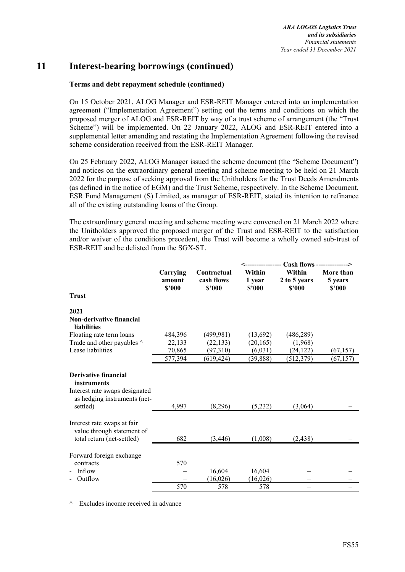### **Terms and debt repayment schedule (continued)**

On 15 October 2021, ALOG Manager and ESR-REIT Manager entered into an implementation agreement ("Implementation Agreement") setting out the terms and conditions on which the proposed merger of ALOG and ESR-REIT by way of a trust scheme of arrangement (the "Trust Scheme") will be implemented. On 22 January 2022, ALOG and ESR-REIT entered into a supplemental letter amending and restating the Implementation Agreement following the revised scheme consideration received from the ESR-REIT Manager.

On 25 February 2022, ALOG Manager issued the scheme document (the "Scheme Document") and notices on the extraordinary general meeting and scheme meeting to be held on 21 March 2022 for the purpose of seeking approval from the Unitholders for the Trust Deeds Amendments (as defined in the notice of EGM) and the Trust Scheme, respectively. In the Scheme Document, ESR Fund Management (S) Limited, as manager of ESR-REIT, stated its intention to refinance all of the existing outstanding loans of the Group.

The extraordinary general meeting and scheme meeting were convened on 21 March 2022 where the Unitholders approved the proposed merger of the Trust and ESR-REIT to the satisfaction and/or waiver of the conditions precedent, the Trust will become a wholly owned sub-trust of ESR-REIT and be delisted from the SGX-ST.

|                                                                            |                              |                                     | ______________             | $Cash flows$ -------------->     |                                |
|----------------------------------------------------------------------------|------------------------------|-------------------------------------|----------------------------|----------------------------------|--------------------------------|
|                                                                            | Carrying<br>amount<br>\$2000 | Contractual<br>cash flows<br>\$'000 | Within<br>1 year<br>\$'000 | Within<br>2 to 5 years<br>\$'000 | More than<br>5 years<br>\$2000 |
| <b>Trust</b>                                                               |                              |                                     |                            |                                  |                                |
| 2021                                                                       |                              |                                     |                            |                                  |                                |
| <b>Non-derivative financial</b><br><b>liabilities</b>                      |                              |                                     |                            |                                  |                                |
| Floating rate term loans                                                   | 484,396                      | (499, 981)                          | (13,692)                   | (486, 289)                       |                                |
| Trade and other payables ^                                                 | 22,133                       | (22, 133)                           | (20, 165)                  | (1,968)                          |                                |
| Lease liabilities                                                          | 70,865                       | (97,310)                            | (6,031)                    | (24, 122)                        | (67, 157)                      |
|                                                                            | 577,394                      | (619, 424)                          | (39, 888)                  | (512, 379)                       | (67, 157)                      |
| Derivative financial<br>instruments                                        |                              |                                     |                            |                                  |                                |
| Interest rate swaps designated<br>as hedging instruments (net-<br>settled) | 4,997                        | (8,296)                             | (5,232)                    | (3,064)                          |                                |
| Interest rate swaps at fair<br>value through statement of                  |                              |                                     |                            |                                  |                                |
| total return (net-settled)                                                 | 682                          | (3, 446)                            | (1,008)                    | (2, 438)                         |                                |
| Forward foreign exchange                                                   |                              |                                     |                            |                                  |                                |
| contracts                                                                  | 570                          |                                     |                            |                                  |                                |
| Inflow                                                                     |                              | 16,604                              | 16,604                     |                                  |                                |
| Outflow                                                                    |                              | (16,026)                            | (16,026)                   |                                  |                                |
|                                                                            | 570                          | 578                                 | 578                        |                                  |                                |

^ Excludes income received in advance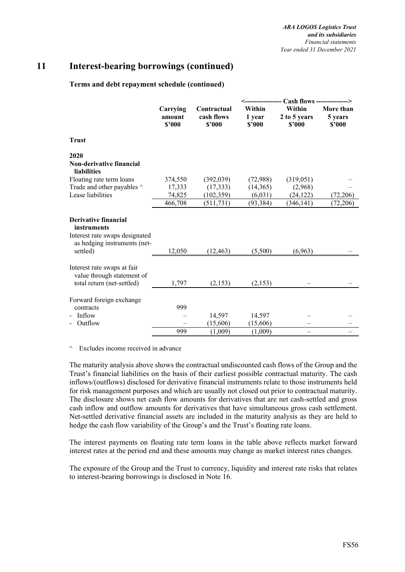#### **Terms and debt repayment schedule (continued)**

|                                                |                              |                                     |                            | Cash flows --------------->      |                                |
|------------------------------------------------|------------------------------|-------------------------------------|----------------------------|----------------------------------|--------------------------------|
|                                                | Carrying<br>amount<br>\$2000 | Contractual<br>cash flows<br>\$2000 | Within<br>1 year<br>\$'000 | Within<br>2 to 5 years<br>\$2000 | More than<br>5 years<br>\$2000 |
| <b>Trust</b>                                   |                              |                                     |                            |                                  |                                |
| 2020                                           |                              |                                     |                            |                                  |                                |
| Non-derivative financial<br><b>liabilities</b> |                              |                                     |                            |                                  |                                |
| Floating rate term loans                       | 374,550                      | (392,039)                           | (72,988)                   | (319, 051)                       |                                |
| Trade and other payables ^                     | 17,333                       | (17, 333)                           | (14,365)                   | (2,968)                          |                                |
| Lease liabilities                              | 74,825                       | (102, 359)                          | (6,031)                    | (24, 122)                        | (72, 206)                      |
|                                                | 466,708                      | (511, 731)                          | (93, 384)                  | (346, 141)                       | (72, 206)                      |
| <b>Derivative financial</b>                    |                              |                                     |                            |                                  |                                |
| instruments                                    |                              |                                     |                            |                                  |                                |
| Interest rate swaps designated                 |                              |                                     |                            |                                  |                                |
| as hedging instruments (net-                   |                              |                                     |                            |                                  |                                |
| settled)                                       | 12,050                       | (12, 463)                           | (5,500)                    | (6,963)                          |                                |
| Interest rate swaps at fair                    |                              |                                     |                            |                                  |                                |
| value through statement of                     |                              |                                     |                            |                                  |                                |
| total return (net-settled)                     | 1,797                        | (2,153)                             | (2,153)                    |                                  |                                |
| Forward foreign exchange                       |                              |                                     |                            |                                  |                                |
| contracts                                      | 999                          |                                     |                            |                                  |                                |
| Inflow                                         |                              | 14,597                              | 14,597                     |                                  |                                |
| Outflow                                        |                              | (15,606)                            | (15,606)                   |                                  |                                |
|                                                | 999                          | (1,009)                             | (1,009)                    |                                  |                                |

^ Excludes income received in advance

The maturity analysis above shows the contractual undiscounted cash flows of the Group and the Trust's financial liabilities on the basis of their earliest possible contractual maturity. The cash inflows/(outflows) disclosed for derivative financial instruments relate to those instruments held for risk management purposes and which are usually not closed out prior to contractual maturity. The disclosure shows net cash flow amounts for derivatives that are net cash-settled and gross cash inflow and outflow amounts for derivatives that have simultaneous gross cash settlement. Net-settled derivative financial assets are included in the maturity analysis as they are held to hedge the cash flow variability of the Group's and the Trust's floating rate loans.

The interest payments on floating rate term loans in the table above reflects market forward interest rates at the period end and these amounts may change as market interest rates changes.

The exposure of the Group and the Trust to currency, liquidity and interest rate risks that relates to interest-bearing borrowings is disclosed in Note 16.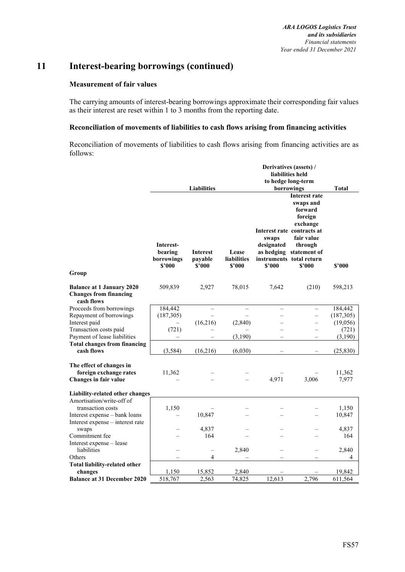#### **Measurement of fair values**

The carrying amounts of interest-bearing borrowings approximate their corresponding fair values as their interest are reset within 1 to 3 months from the reporting date.

#### **Reconciliation of movements of liabilities to cash flows arising from financing activities**

Reconciliation of movements of liabilities to cash flows arising from financing activities are as follows:

|                                                                                 | Derivatives (assets) /                       |                                      |                                |                      |                                                                                                                        |                 |
|---------------------------------------------------------------------------------|----------------------------------------------|--------------------------------------|--------------------------------|----------------------|------------------------------------------------------------------------------------------------------------------------|-----------------|
|                                                                                 |                                              |                                      |                                |                      | liabilities held                                                                                                       |                 |
|                                                                                 |                                              |                                      |                                |                      | to hedge long-term                                                                                                     |                 |
|                                                                                 |                                              | <b>Liabilities</b>                   |                                | swaps                | borrowings<br>Interest rate<br>swaps and<br>forward<br>foreign<br>exchange<br>Interest rate contracts at<br>fair value | <b>Total</b>    |
| Group                                                                           | Interest-<br>bearing<br>borrowings<br>\$'000 | <b>Interest</b><br>payable<br>\$'000 | Lease<br>liabilities<br>\$2000 | designated<br>\$'000 | through<br>as hedging statement of<br>instruments total return<br>\$2000                                               | \$'000          |
| <b>Balance at 1 January 2020</b><br><b>Changes from financing</b><br>cash flows | 509,839                                      | 2,927                                | 78,015                         | 7,642                | (210)                                                                                                                  | 598,213         |
| Proceeds from borrowings                                                        | 184,442                                      |                                      |                                |                      |                                                                                                                        | 184,442         |
| Repayment of borrowings                                                         | (187, 305)                                   |                                      |                                |                      | $\overline{\phantom{0}}$                                                                                               | (187, 305)      |
| Interest paid                                                                   |                                              | (16,216)                             | (2,840)                        |                      | —                                                                                                                      | (19,056)        |
| Transaction costs paid                                                          | (721)                                        |                                      |                                |                      |                                                                                                                        | (721)           |
| Payment of lease liabilities                                                    |                                              |                                      | (3,190)                        |                      |                                                                                                                        | (3,190)         |
| <b>Total changes from financing</b><br>cash flows                               | (3, 584)                                     | (16,216)                             | (6,030)                        |                      |                                                                                                                        | (25, 830)       |
| The effect of changes in<br>foreign exchange rates<br>Changes in fair value     | 11,362                                       |                                      |                                | 4,971                | 3,006                                                                                                                  | 11,362<br>7,977 |
| Liability-related other changes                                                 |                                              |                                      |                                |                      |                                                                                                                        |                 |
| Amortisation/write-off of                                                       |                                              |                                      |                                |                      |                                                                                                                        |                 |
| transaction costs                                                               | 1,150                                        |                                      |                                |                      |                                                                                                                        | 1,150           |
| Interest expense - bank loans                                                   |                                              | 10,847                               |                                |                      |                                                                                                                        | 10,847          |
| Interest expense – interest rate                                                |                                              |                                      |                                |                      |                                                                                                                        |                 |
| swaps                                                                           |                                              | 4,837                                |                                |                      |                                                                                                                        | 4,837           |
| Commitment fee                                                                  |                                              | 164                                  |                                |                      |                                                                                                                        | 164             |
| Interest expense - lease                                                        |                                              |                                      |                                |                      |                                                                                                                        |                 |
| liabilities                                                                     |                                              | $\equiv$                             | 2,840                          |                      |                                                                                                                        | 2,840           |
| Others                                                                          |                                              | 4                                    |                                |                      |                                                                                                                        | 4               |
| <b>Total liability-related other</b>                                            |                                              |                                      |                                |                      |                                                                                                                        |                 |
| changes                                                                         | 1,150                                        | 15,852                               | 2,840                          |                      |                                                                                                                        | 19,842          |
| <b>Balance at 31 December 2020</b>                                              | 518,767                                      | 2,563                                | 74,825                         | 12,613               | 2,796                                                                                                                  | 611,564         |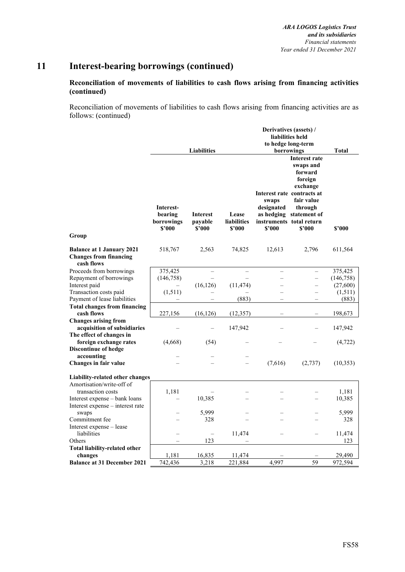## **Reconciliation of movements of liabilities to cash flows arising from financing activities (continued)**

Reconciliation of movements of liabilities to cash flows arising from financing activities are as follows: (continued)

|                                             | Derivatives (assets) /                       |                                      |                                       |                               |                                                                                                                                                                                             |            |  |
|---------------------------------------------|----------------------------------------------|--------------------------------------|---------------------------------------|-------------------------------|---------------------------------------------------------------------------------------------------------------------------------------------------------------------------------------------|------------|--|
|                                             |                                              |                                      |                                       |                               | liabilities held                                                                                                                                                                            |            |  |
|                                             |                                              |                                      |                                       |                               | to hedge long-term                                                                                                                                                                          |            |  |
|                                             |                                              | <b>Liabilities</b>                   |                                       |                               | borrowings                                                                                                                                                                                  | Total      |  |
| Group                                       | Interest-<br>bearing<br>borrowings<br>\$'000 | <b>Interest</b><br>payable<br>\$2000 | Lease<br><b>liabilities</b><br>\$'000 | swaps<br>designated<br>\$2000 | <b>Interest rate</b><br>swaps and<br>forward<br>foreign<br>exchange<br>Interest rate contracts at<br>fair value<br>through<br>as hedging statement of<br>instruments total return<br>\$'000 | \$'000     |  |
|                                             |                                              |                                      |                                       |                               |                                                                                                                                                                                             |            |  |
| <b>Balance at 1 January 2021</b>            | 518,767                                      | 2,563                                | 74,825                                | 12,613                        | 2,796                                                                                                                                                                                       | 611,564    |  |
| <b>Changes from financing</b><br>cash flows |                                              |                                      |                                       |                               |                                                                                                                                                                                             |            |  |
| Proceeds from borrowings                    | 375,425                                      | $\overline{\phantom{0}}$             |                                       |                               |                                                                                                                                                                                             | 375,425    |  |
| Repayment of borrowings                     | (146, 758)                                   |                                      |                                       |                               |                                                                                                                                                                                             | (146, 758) |  |
| Interest paid                               |                                              | (16, 126)                            | (11, 474)                             |                               |                                                                                                                                                                                             | (27,600)   |  |
| Transaction costs paid                      | (1,511)                                      |                                      |                                       |                               | $\equiv$                                                                                                                                                                                    | (1,511)    |  |
| Payment of lease liabilities                |                                              |                                      | (883)                                 |                               | $\equiv$                                                                                                                                                                                    | (883)      |  |
| <b>Total changes from financing</b>         |                                              |                                      |                                       |                               |                                                                                                                                                                                             |            |  |
| cash flows                                  | 227,156                                      | (16, 126)                            | (12, 357)                             |                               |                                                                                                                                                                                             | 198,673    |  |
| <b>Changes arising from</b>                 |                                              |                                      |                                       |                               |                                                                                                                                                                                             |            |  |
| acquisition of subsidiaries                 |                                              |                                      | 147,942                               |                               |                                                                                                                                                                                             | 147,942    |  |
| The effect of changes in                    |                                              |                                      |                                       |                               |                                                                                                                                                                                             |            |  |
| foreign exchange rates                      | (4,668)                                      | (54)                                 |                                       |                               |                                                                                                                                                                                             | (4, 722)   |  |
| <b>Discontinue of hedge</b><br>accounting   |                                              |                                      |                                       |                               |                                                                                                                                                                                             |            |  |
| Changes in fair value                       |                                              |                                      |                                       | (7,616)                       | (2,737)                                                                                                                                                                                     | (10,353)   |  |
|                                             |                                              |                                      |                                       |                               |                                                                                                                                                                                             |            |  |
| Liability-related other changes             |                                              |                                      |                                       |                               |                                                                                                                                                                                             |            |  |
| Amortisation/write-off of                   |                                              |                                      |                                       |                               |                                                                                                                                                                                             |            |  |
| transaction costs                           | 1,181                                        |                                      |                                       |                               |                                                                                                                                                                                             | 1,181      |  |
| Interest expense - bank loans               |                                              | 10,385                               |                                       |                               |                                                                                                                                                                                             | 10,385     |  |
| Interest expense - interest rate            |                                              |                                      |                                       |                               |                                                                                                                                                                                             |            |  |
| swaps                                       |                                              | 5.999                                |                                       |                               |                                                                                                                                                                                             | 5,999      |  |
| Commitment fee                              |                                              | 328                                  |                                       |                               |                                                                                                                                                                                             | 328        |  |
| Interest expense - lease                    |                                              |                                      |                                       |                               |                                                                                                                                                                                             |            |  |
| liabilities                                 |                                              |                                      | 11,474                                |                               |                                                                                                                                                                                             | 11,474     |  |
| Others                                      |                                              | 123                                  |                                       |                               |                                                                                                                                                                                             | 123        |  |
| Total liability-related other               |                                              |                                      |                                       |                               |                                                                                                                                                                                             |            |  |
| changes                                     | 1,181                                        | 16,835                               | 11,474                                |                               |                                                                                                                                                                                             | 29,490     |  |
| <b>Balance at 31 December 2021</b>          | 742,436                                      | 3,218                                | 221,884                               | 4,997                         | $\overline{59}$                                                                                                                                                                             | 972,594    |  |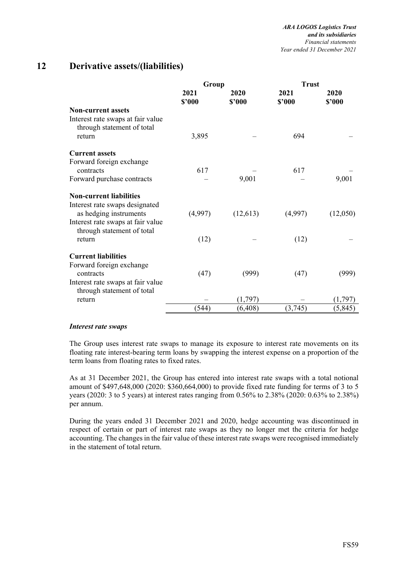# **12 Derivative assets/(liabilities)**

|                                                                 | Group          |                | <b>Trust</b>   |                |  |
|-----------------------------------------------------------------|----------------|----------------|----------------|----------------|--|
|                                                                 | 2021<br>\$'000 | 2020<br>\$2000 | 2021<br>\$'000 | 2020<br>\$2000 |  |
| <b>Non-current assets</b>                                       |                |                |                |                |  |
| Interest rate swaps at fair value<br>through statement of total |                |                |                |                |  |
| return                                                          | 3,895          |                | 694            |                |  |
| <b>Current assets</b>                                           |                |                |                |                |  |
| Forward foreign exchange                                        |                |                |                |                |  |
| contracts                                                       | 617            |                | 617            |                |  |
| Forward purchase contracts                                      |                | 9,001          |                | 9,001          |  |
| <b>Non-current liabilities</b>                                  |                |                |                |                |  |
| Interest rate swaps designated                                  |                |                |                |                |  |
| as hedging instruments                                          | (4,997)        | (12, 613)      | (4,997)        | (12,050)       |  |
| Interest rate swaps at fair value<br>through statement of total |                |                |                |                |  |
| return                                                          | (12)           |                | (12)           |                |  |
| <b>Current liabilities</b>                                      |                |                |                |                |  |
| Forward foreign exchange                                        |                |                |                |                |  |
| contracts                                                       | (47)           | (999)          | (47)           | (999)          |  |
| Interest rate swaps at fair value                               |                |                |                |                |  |
| through statement of total                                      |                |                |                |                |  |
| return                                                          |                | (1,797)        |                | (1,797)        |  |
|                                                                 | (544)          | (6, 408)       | (3,745)        | (5, 845)       |  |

#### *Interest rate swaps*

The Group uses interest rate swaps to manage its exposure to interest rate movements on its floating rate interest-bearing term loans by swapping the interest expense on a proportion of the term loans from floating rates to fixed rates.

As at 31 December 2021, the Group has entered into interest rate swaps with a total notional amount of \$497,648,000 (2020: \$360,664,000) to provide fixed rate funding for terms of 3 to 5 years (2020: 3 to 5 years) at interest rates ranging from 0.56% to 2.38% (2020: 0.63% to 2.38%) per annum.

During the years ended 31 December 2021 and 2020, hedge accounting was discontinued in respect of certain or part of interest rate swaps as they no longer met the criteria for hedge accounting. The changes in the fair value of these interest rate swaps were recognised immediately in the statement of total return.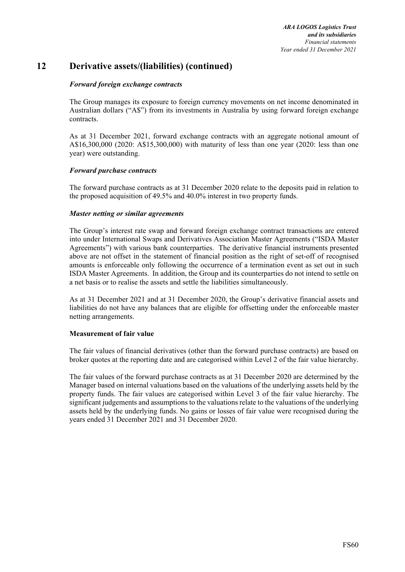# **12 Derivative assets/(liabilities) (continued)**

### *Forward foreign exchange contracts*

The Group manages its exposure to foreign currency movements on net income denominated in Australian dollars ("A\$") from its investments in Australia by using forward foreign exchange contracts.

As at 31 December 2021, forward exchange contracts with an aggregate notional amount of A\$16,300,000 (2020: A\$15,300,000) with maturity of less than one year (2020: less than one year) were outstanding.

#### *Forward purchase contracts*

The forward purchase contracts as at 31 December 2020 relate to the deposits paid in relation to the proposed acquisition of 49.5% and 40.0% interest in two property funds.

#### *Master netting or similar agreements*

The Group's interest rate swap and forward foreign exchange contract transactions are entered into under International Swaps and Derivatives Association Master Agreements ("ISDA Master Agreements") with various bank counterparties. The derivative financial instruments presented above are not offset in the statement of financial position as the right of set-off of recognised amounts is enforceable only following the occurrence of a termination event as set out in such ISDA Master Agreements. In addition, the Group and its counterparties do not intend to settle on a net basis or to realise the assets and settle the liabilities simultaneously.

As at 31 December 2021 and at 31 December 2020, the Group's derivative financial assets and liabilities do not have any balances that are eligible for offsetting under the enforceable master netting arrangements.

#### **Measurement of fair value**

The fair values of financial derivatives (other than the forward purchase contracts) are based on broker quotes at the reporting date and are categorised within Level 2 of the fair value hierarchy.

The fair values of the forward purchase contracts as at 31 December 2020 are determined by the Manager based on internal valuations based on the valuations of the underlying assets held by the property funds. The fair values are categorised within Level 3 of the fair value hierarchy. The significant judgements and assumptions to the valuations relate to the valuations of the underlying assets held by the underlying funds. No gains or losses of fair value were recognised during the years ended 31 December 2021 and 31 December 2020.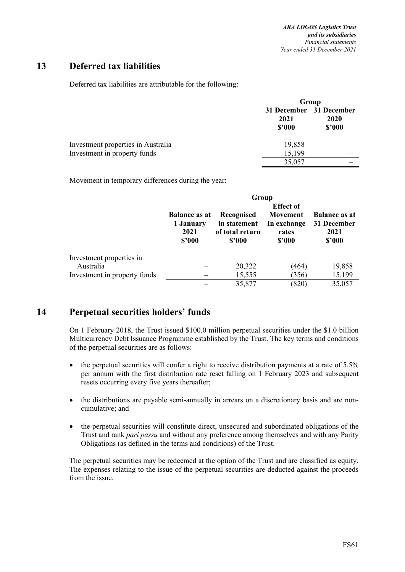## **13 Deferred tax liabilities**

Deferred tax liabilities are attributable for the following:

|                                    | Group          |                                                  |  |
|------------------------------------|----------------|--------------------------------------------------|--|
|                                    | 2021<br>\$2000 | 31 December 31 December<br><b>2020</b><br>\$2000 |  |
| Investment properties in Australia | 19,858         |                                                  |  |
| Investment in property funds       | 15,199         |                                                  |  |
|                                    | 35,057         |                                                  |  |

Movement in temporary differences during the year:

|                                       | Group                             |                            |                                             |                                     |  |  |  |
|---------------------------------------|-----------------------------------|----------------------------|---------------------------------------------|-------------------------------------|--|--|--|
|                                       | <b>Balance as at</b><br>1 January | Recognised<br>in statement | <b>Effect of</b><br>Movement<br>In exchange | <b>Balance as at</b><br>31 December |  |  |  |
|                                       | 2021<br>\$2000                    | of total return<br>\$'000  | rates<br>\$2000                             | 2021<br>\$2000                      |  |  |  |
| Investment properties in<br>Australia |                                   | 20,322                     | (464)                                       | 19,858                              |  |  |  |
| Investment in property funds          |                                   | 15,555                     | (356)                                       | 15,199                              |  |  |  |
|                                       |                                   | 35,877                     | (820)                                       | 35,057                              |  |  |  |

## **14 Perpetual securities holders' funds**

On 1 February 2018, the Trust issued \$100.0 million perpetual securities under the \$1.0 billion Multicurrency Debt Issuance Programme established by the Trust. The key terms and conditions of the perpetual securities are as follows:

- the perpetual securities will confer a right to receive distribution payments at a rate of 5.5% per annum with the first distribution rate reset falling on 1 February 2023 and subsequent resets occurring every five years thereafter;
- the distributions are payable semi-annually in arrears on a discretionary basis and are noncumulative; and
- the perpetual securities will constitute direct, unsecured and subordinated obligations of the Trust and rank *pari passu* and without any preference among themselves and with any Parity Obligations (as defined in the terms and conditions) of the Trust.

The perpetual securities may be redeemed at the option of the Trust and are classified as equity. The expenses relating to the issue of the perpetual securities are deducted against the proceeds from the issue.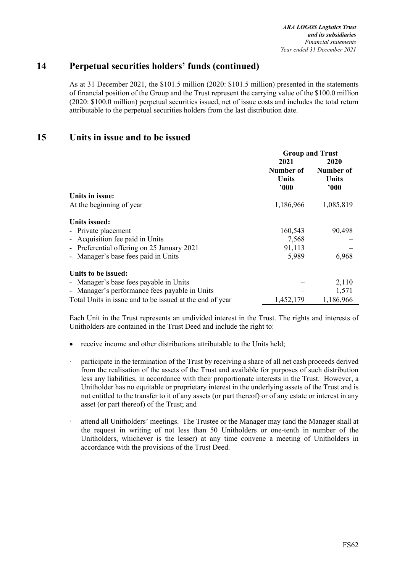# **14 Perpetual securities holders' funds (continued)**

As at 31 December 2021, the \$101.5 million (2020: \$101.5 million) presented in the statements of financial position of the Group and the Trust represent the carrying value of the \$100.0 million (2020: \$100.0 million) perpetual securities issued, net of issue costs and includes the total return attributable to the perpetual securities holders from the last distribution date.

## **15 Units in issue and to be issued**

|                                                          | <b>Group and Trust</b> |           |  |
|----------------------------------------------------------|------------------------|-----------|--|
|                                                          | 2021                   | 2020      |  |
|                                                          | Number of              | Number of |  |
|                                                          | Units                  | Units     |  |
|                                                          | 000                    | 000'      |  |
| Units in issue:                                          |                        |           |  |
| At the beginning of year                                 | 1,186,966              | 1,085,819 |  |
| Units issued:                                            |                        |           |  |
| - Private placement                                      | 160,543                | 90,498    |  |
| - Acquisition fee paid in Units                          | 7,568                  |           |  |
| - Preferential offering on 25 January 2021               | 91,113                 |           |  |
| - Manager's base fees paid in Units                      | 5,989                  | 6,968     |  |
| Units to be issued:                                      |                        |           |  |
| - Manager's base fees payable in Units                   |                        | 2,110     |  |
| - Manager's performance fees payable in Units            |                        | 1,571     |  |
| Total Units in issue and to be issued at the end of year | 1,452,179              | 1,186,966 |  |

Each Unit in the Trust represents an undivided interest in the Trust. The rights and interests of Unitholders are contained in the Trust Deed and include the right to:

- receive income and other distributions attributable to the Units held;
- ꞏ participate in the termination of the Trust by receiving a share of all net cash proceeds derived from the realisation of the assets of the Trust and available for purposes of such distribution less any liabilities, in accordance with their proportionate interests in the Trust. However, a Unitholder has no equitable or proprietary interest in the underlying assets of the Trust and is not entitled to the transfer to it of any assets (or part thereof) or of any estate or interest in any asset (or part thereof) of the Trust; and
- ꞏ attend all Unitholders' meetings. The Trustee or the Manager may (and the Manager shall at the request in writing of not less than 50 Unitholders or one-tenth in number of the Unitholders, whichever is the lesser) at any time convene a meeting of Unitholders in accordance with the provisions of the Trust Deed.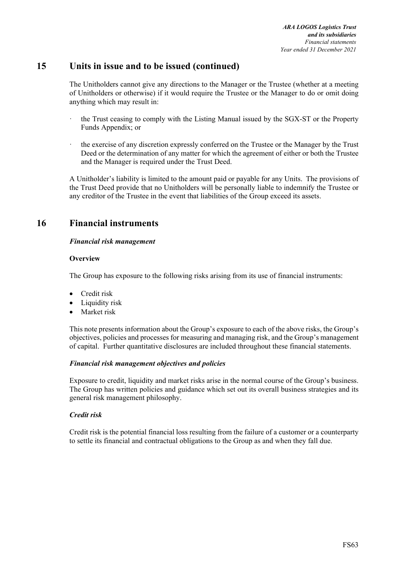# **15 Units in issue and to be issued (continued)**

The Unitholders cannot give any directions to the Manager or the Trustee (whether at a meeting of Unitholders or otherwise) if it would require the Trustee or the Manager to do or omit doing anything which may result in:

- the Trust ceasing to comply with the Listing Manual issued by the SGX-ST or the Property Funds Appendix; or
- the exercise of any discretion expressly conferred on the Trustee or the Manager by the Trust Deed or the determination of any matter for which the agreement of either or both the Trustee and the Manager is required under the Trust Deed.

A Unitholder's liability is limited to the amount paid or payable for any Units. The provisions of the Trust Deed provide that no Unitholders will be personally liable to indemnify the Trustee or any creditor of the Trustee in the event that liabilities of the Group exceed its assets.

# **16 Financial instruments**

## *Financial risk management*

#### **Overview**

The Group has exposure to the following risks arising from its use of financial instruments:

- Credit risk
- Liquidity risk
- Market risk

This note presents information about the Group's exposure to each of the above risks, the Group's objectives, policies and processes for measuring and managing risk, and the Group's management of capital. Further quantitative disclosures are included throughout these financial statements.

## *Financial risk management objectives and policies*

Exposure to credit, liquidity and market risks arise in the normal course of the Group's business. The Group has written policies and guidance which set out its overall business strategies and its general risk management philosophy.

## *Credit risk*

Credit risk is the potential financial loss resulting from the failure of a customer or a counterparty to settle its financial and contractual obligations to the Group as and when they fall due.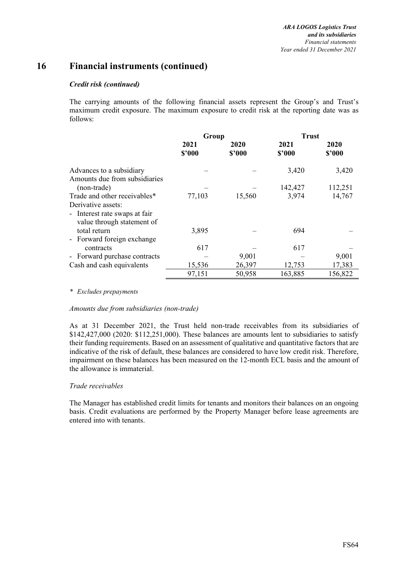#### *Credit risk (continued)*

The carrying amounts of the following financial assets represent the Group's and Trust's maximum credit exposure. The maximum exposure to credit risk at the reporting date was as follows:

|                                                                                   | Group          |                | <b>Trust</b>   |                |  |
|-----------------------------------------------------------------------------------|----------------|----------------|----------------|----------------|--|
|                                                                                   | 2021<br>\$'000 | 2020<br>\$'000 | 2021<br>\$'000 | 2020<br>\$2000 |  |
| Advances to a subsidiary<br>Amounts due from subsidiaries                         |                |                | 3,420          | 3,420          |  |
| (non-trade)                                                                       |                |                | 142,427        | 112,251        |  |
| Trade and other receivables*                                                      | 77,103         | 15,560         | 3,974          | 14,767         |  |
| Derivative assets:<br>- Interest rate swaps at fair<br>value through statement of |                |                |                |                |  |
| total return                                                                      | 3,895          |                | 694            |                |  |
| - Forward foreign exchange<br>contracts                                           | 617            |                | 617            |                |  |
| - Forward purchase contracts                                                      |                | 9,001          |                | 9,001          |  |
| Cash and cash equivalents                                                         | 15,536         | 26,397         | 12,753         | 17,383         |  |
|                                                                                   | 97,151         | 50,958         | 163,885        | 156,822        |  |

#### *\* Excludes prepayments*

#### *Amounts due from subsidiaries (non-trade)*

As at 31 December 2021, the Trust held non-trade receivables from its subsidiaries of \$142,427,000 (2020: \$112,251,000). These balances are amounts lent to subsidiaries to satisfy their funding requirements. Based on an assessment of qualitative and quantitative factors that are indicative of the risk of default, these balances are considered to have low credit risk. Therefore, impairment on these balances has been measured on the 12-month ECL basis and the amount of the allowance is immaterial.

#### *Trade receivables*

The Manager has established credit limits for tenants and monitors their balances on an ongoing basis. Credit evaluations are performed by the Property Manager before lease agreements are entered into with tenants.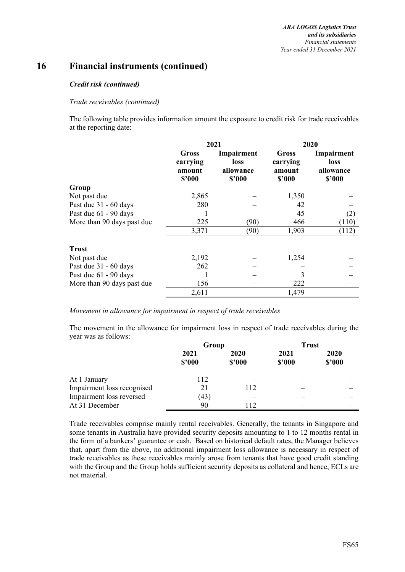#### *Credit risk (continued)*

#### *Trade receivables (continued)*

The following table provides information amount the exposure to credit risk for trade receivables at the reporting date:

|                            |                                       | 2021                                      | 2020                                  |                                                  |  |  |
|----------------------------|---------------------------------------|-------------------------------------------|---------------------------------------|--------------------------------------------------|--|--|
|                            | Gross<br>carrying<br>amount<br>\$2000 | Impairment<br>loss<br>allowance<br>\$2000 | Gross<br>carrying<br>amount<br>\$2000 | Impairment<br><b>loss</b><br>allowance<br>\$2000 |  |  |
| Group                      |                                       |                                           |                                       |                                                  |  |  |
| Not past due               | 2,865                                 |                                           | 1,350                                 |                                                  |  |  |
| Past due 31 - 60 days      | 280                                   |                                           | 42                                    |                                                  |  |  |
| Past due 61 - 90 days      |                                       |                                           | 45                                    | (2)                                              |  |  |
| More than 90 days past due | 225                                   | <b>(90)</b>                               | 466                                   | (110)                                            |  |  |
|                            | 3,371                                 | (90)                                      | 1,903                                 | (112)                                            |  |  |
| <b>Trust</b>               |                                       |                                           |                                       |                                                  |  |  |
| Not past due               | 2,192                                 |                                           | 1,254                                 |                                                  |  |  |
| Past due 31 - 60 days      | 262                                   |                                           |                                       |                                                  |  |  |
| Past due 61 - 90 days      |                                       |                                           | 3                                     |                                                  |  |  |
| More than 90 days past due | 156                                   |                                           | 222                                   |                                                  |  |  |
|                            | 2,611                                 |                                           | 1,479                                 |                                                  |  |  |

*Movement in allowance for impairment in respect of trade receivables* 

The movement in the allowance for impairment loss in respect of trade receivables during the year was as follows:

|                            | Group          |                | <b>Trust</b>   |                       |  |
|----------------------------|----------------|----------------|----------------|-----------------------|--|
|                            | 2021<br>\$2000 | 2020<br>\$2000 | 2021<br>\$2000 | <b>2020</b><br>\$2000 |  |
|                            |                |                |                |                       |  |
| At 1 January               | 112            |                |                |                       |  |
| Impairment loss recognised |                | 112            |                |                       |  |
| Impairment loss reversed   | (43)           |                |                |                       |  |
| At 31 December             | 90             | 112            |                |                       |  |

Trade receivables comprise mainly rental receivables. Generally, the tenants in Singapore and some tenants in Australia have provided security deposits amounting to 1 to 12 months rental in the form of a bankers' guarantee or cash. Based on historical default rates, the Manager believes that, apart from the above, no additional impairment loss allowance is necessary in respect of trade receivables as these receivables mainly arose from tenants that have good credit standing with the Group and the Group holds sufficient security deposits as collateral and hence, ECLs are not material.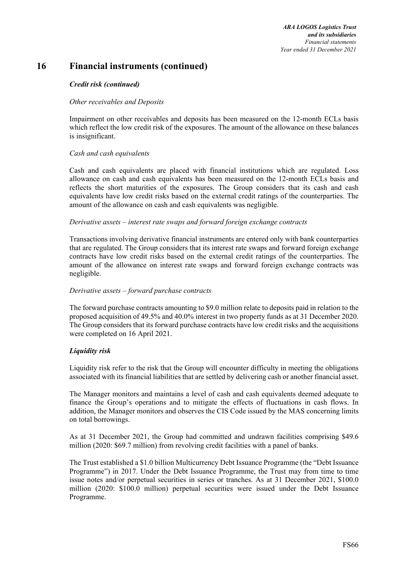*ARA LOGOS Logistics Trust and its subsidiaries Financial statements Year ended 31 December 2021* 

### **16 Financial instruments (continued)**

#### *Credit risk (continued)*

#### *Other receivables and Deposits*

Impairment on other receivables and deposits has been measured on the 12-month ECLs basis which reflect the low credit risk of the exposures. The amount of the allowance on these balances is insignificant.

#### *Cash and cash equivalents*

Cash and cash equivalents are placed with financial institutions which are regulated. Loss allowance on cash and cash equivalents has been measured on the 12-month ECLs basis and reflects the short maturities of the exposures. The Group considers that its cash and cash equivalents have low credit risks based on the external credit ratings of the counterparties. The amount of the allowance on cash and cash equivalents was negligible.

#### *Derivative assets – interest rate swaps and forward foreign exchange contracts*

Transactions involving derivative financial instruments are entered only with bank counterparties that are regulated. The Group considers that its interest rate swaps and forward foreign exchange contracts have low credit risks based on the external credit ratings of the counterparties. The amount of the allowance on interest rate swaps and forward foreign exchange contracts was negligible.

#### *Derivative assets – forward purchase contracts*

The forward purchase contracts amounting to \$9.0 million relate to deposits paid in relation to the proposed acquisition of 49.5% and 40.0% interest in two property funds as at 31 December 2020. The Group considers that its forward purchase contracts have low credit risks and the acquisitions were completed on 16 April 2021.

#### *Liquidity risk*

Liquidity risk refer to the risk that the Group will encounter difficulty in meeting the obligations associated with its financial liabilities that are settled by delivering cash or another financial asset.

The Manager monitors and maintains a level of cash and cash equivalents deemed adequate to finance the Group's operations and to mitigate the effects of fluctuations in cash flows. In addition, the Manager monitors and observes the CIS Code issued by the MAS concerning limits on total borrowings.

As at 31 December 2021, the Group had committed and undrawn facilities comprising \$49.6 million (2020: \$69.7 million) from revolving credit facilities with a panel of banks.

The Trust established a \$1.0 billion Multicurrency Debt Issuance Programme (the "Debt Issuance Programme") in 2017. Under the Debt Issuance Programme, the Trust may from time to time issue notes and/or perpetual securities in series or tranches. As at 31 December 2021, \$100.0 million (2020: \$100.0 million) perpetual securities were issued under the Debt Issuance Programme.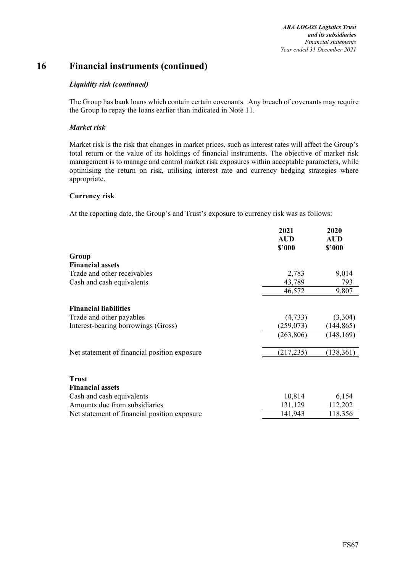*ARA LOGOS Logistics Trust and its subsidiaries Financial statements Year ended 31 December 2021* 

# **16 Financial instruments (continued)**

#### *Liquidity risk (continued)*

The Group has bank loans which contain certain covenants. Any breach of covenants may require the Group to repay the loans earlier than indicated in Note 11.

#### *Market risk*

Market risk is the risk that changes in market prices, such as interest rates will affect the Group's total return or the value of its holdings of financial instruments. The objective of market risk management is to manage and control market risk exposures within acceptable parameters, while optimising the return on risk, utilising interest rate and currency hedging strategies where appropriate.

#### **Currency risk**

At the reporting date, the Group's and Trust's exposure to currency risk was as follows:

|                                              | 2021<br><b>AUD</b><br>\$2000 | 2020<br>AUD<br>\$2000 |
|----------------------------------------------|------------------------------|-----------------------|
| Group                                        |                              |                       |
| <b>Financial assets</b>                      |                              |                       |
| Trade and other receivables                  | 2,783                        | 9,014                 |
| Cash and cash equivalents                    | 43,789                       | 793                   |
|                                              | 46,572                       | 9,807                 |
| <b>Financial liabilities</b>                 |                              |                       |
| Trade and other payables                     | (4,733)                      | (3,304)               |
| Interest-bearing borrowings (Gross)          | (259, 073)                   | (144, 865)            |
|                                              | (263, 806)                   | (148, 169)            |
| Net statement of financial position exposure | (217, 235)                   | (138, 361)            |
| <b>Trust</b>                                 |                              |                       |
| <b>Financial assets</b>                      |                              |                       |
| Cash and cash equivalents                    | 10,814                       | 6,154                 |
| Amounts due from subsidiaries                | 131,129                      | 112,202               |
| Net statement of financial position exposure | 141,943                      | 118,356               |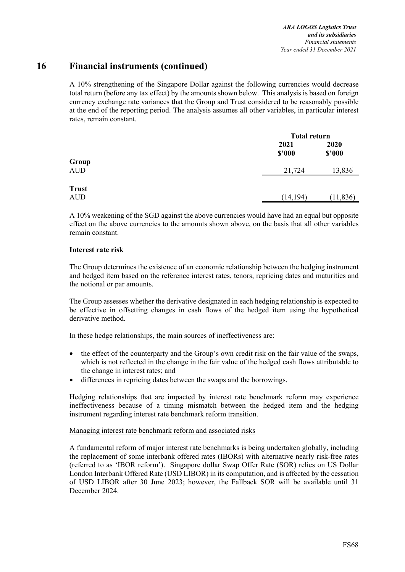A 10% strengthening of the Singapore Dollar against the following currencies would decrease total return (before any tax effect) by the amounts shown below. This analysis is based on foreign currency exchange rate variances that the Group and Trust considered to be reasonably possible at the end of the reporting period. The analysis assumes all other variables, in particular interest rates, remain constant.

|                     |                | <b>Total return</b> |
|---------------------|----------------|---------------------|
|                     | 2021<br>\$2000 | 2020<br>\$2000      |
| Group<br><b>AUD</b> | 21,724         | 13,836              |
| <b>Trust</b><br>AUD | (14, 194)      | (11, 836)           |

A 10% weakening of the SGD against the above currencies would have had an equal but opposite effect on the above currencies to the amounts shown above, on the basis that all other variables remain constant.

#### **Interest rate risk**

The Group determines the existence of an economic relationship between the hedging instrument and hedged item based on the reference interest rates, tenors, repricing dates and maturities and the notional or par amounts.

The Group assesses whether the derivative designated in each hedging relationship is expected to be effective in offsetting changes in cash flows of the hedged item using the hypothetical derivative method.

In these hedge relationships, the main sources of ineffectiveness are:

- the effect of the counterparty and the Group's own credit risk on the fair value of the swaps, which is not reflected in the change in the fair value of the hedged cash flows attributable to the change in interest rates; and
- differences in repricing dates between the swaps and the borrowings.

Hedging relationships that are impacted by interest rate benchmark reform may experience ineffectiveness because of a timing mismatch between the hedged item and the hedging instrument regarding interest rate benchmark reform transition.

#### Managing interest rate benchmark reform and associated risks

A fundamental reform of major interest rate benchmarks is being undertaken globally, including the replacement of some interbank offered rates (IBORs) with alternative nearly risk-free rates (referred to as 'IBOR reform'). Singapore dollar Swap Offer Rate (SOR) relies on US Dollar London Interbank Offered Rate (USD LIBOR) in its computation, and is affected by the cessation of USD LIBOR after 30 June 2023; however, the Fallback SOR will be available until 31 December 2024.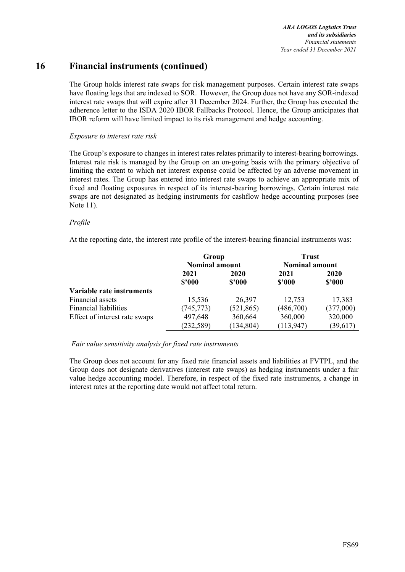*ARA LOGOS Logistics Trust and its subsidiaries Financial statements Year ended 31 December 2021* 

## **16 Financial instruments (continued)**

The Group holds interest rate swaps for risk management purposes. Certain interest rate swaps have floating legs that are indexed to SOR. However, the Group does not have any SOR-indexed interest rate swaps that will expire after 31 December 2024. Further, the Group has executed the adherence letter to the ISDA 2020 IBOR Fallbacks Protocol. Hence, the Group anticipates that IBOR reform will have limited impact to its risk management and hedge accounting.

#### *Exposure to interest rate risk*

The Group's exposure to changes in interest rates relates primarily to interest-bearing borrowings. Interest rate risk is managed by the Group on an on-going basis with the primary objective of limiting the extent to which net interest expense could be affected by an adverse movement in interest rates. The Group has entered into interest rate swaps to achieve an appropriate mix of fixed and floating exposures in respect of its interest-bearing borrowings. Certain interest rate swaps are not designated as hedging instruments for cashflow hedge accounting purposes (see Note 11).

#### *Profile*

At the reporting date, the interest rate profile of the interest-bearing financial instruments was:

|                               | Group<br><b>Nominal amount</b> |            | <b>Trust</b><br><b>Nominal amount</b> |           |  |
|-------------------------------|--------------------------------|------------|---------------------------------------|-----------|--|
|                               | 2021                           | 2020       | 2021                                  | 2020      |  |
|                               | \$2000                         | \$2000     | \$2000                                | \$3000    |  |
| Variable rate instruments     |                                |            |                                       |           |  |
| Financial assets              | 15,536                         | 26,397     | 12,753                                | 17,383    |  |
| <b>Financial liabilities</b>  | (745, 773)                     | (521, 865) | (486,700)                             | (377,000) |  |
| Effect of interest rate swaps | 497,648                        | 360,664    | 360,000                               | 320,000   |  |
|                               | (232, 589)                     | (134, 804) | (113, 947)                            | (39,617)  |  |

 *Fair value sensitivity analysis for fixed rate instruments* 

The Group does not account for any fixed rate financial assets and liabilities at FVTPL, and the Group does not designate derivatives (interest rate swaps) as hedging instruments under a fair value hedge accounting model. Therefore, in respect of the fixed rate instruments, a change in interest rates at the reporting date would not affect total return.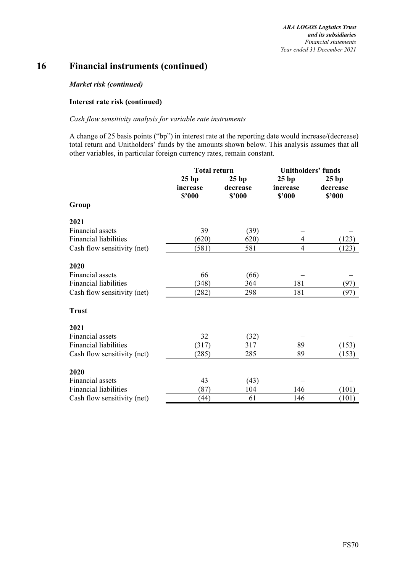#### *Market risk (continued)*

#### **Interest rate risk (continued)**

#### *Cash flow sensitivity analysis for variable rate instruments*

A change of 25 basis points ("bp") in interest rate at the reporting date would increase/(decrease) total return and Unitholders' funds by the amounts shown below. This analysis assumes that all other variables, in particular foreign currency rates, remain constant.

|                              | <b>Total return</b>         |                            | <b>Unitholders' funds</b>  |                            |  |  |
|------------------------------|-----------------------------|----------------------------|----------------------------|----------------------------|--|--|
|                              | 25 bp<br>increase<br>\$2000 | 25bp<br>decrease<br>\$2000 | 25bp<br>increase<br>\$2000 | 25bp<br>decrease<br>\$2000 |  |  |
| Group                        |                             |                            |                            |                            |  |  |
| 2021                         |                             |                            |                            |                            |  |  |
| Financial assets             | 39                          | (39)                       |                            |                            |  |  |
| <b>Financial liabilities</b> | (620)                       | 620)                       | 4                          | (123)                      |  |  |
| Cash flow sensitivity (net)  | (581)                       | 581                        | $\overline{4}$             | (123)                      |  |  |
| 2020                         |                             |                            |                            |                            |  |  |
| Financial assets             | 66                          | (66)                       |                            |                            |  |  |
| <b>Financial liabilities</b> | (348)                       | 364                        | 181                        | (97)                       |  |  |
| Cash flow sensitivity (net)  | (282)                       | 298                        | 181                        | (97)                       |  |  |
| <b>Trust</b>                 |                             |                            |                            |                            |  |  |
| 2021                         |                             |                            |                            |                            |  |  |
| <b>Financial</b> assets      | 32                          | (32)                       |                            |                            |  |  |
| <b>Financial liabilities</b> | (317)                       | 317                        | 89                         | (153)                      |  |  |
| Cash flow sensitivity (net)  | (285)                       | 285                        | 89                         | (153)                      |  |  |
| 2020                         |                             |                            |                            |                            |  |  |
| Financial assets             | 43                          | (43)                       |                            |                            |  |  |
| <b>Financial liabilities</b> | (87)                        | 104                        | 146                        | (101)                      |  |  |
| Cash flow sensitivity (net)  | (44)                        | 61                         | 146                        | (101)                      |  |  |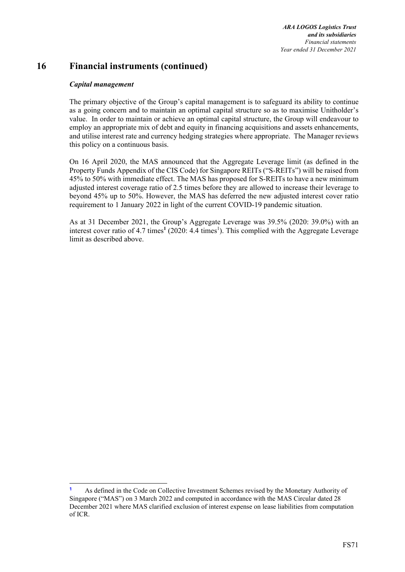*ARA LOGOS Logistics Trust and its subsidiaries Financial statements Year ended 31 December 2021* 

## **16 Financial instruments (continued)**

#### *Capital management*

The primary objective of the Group's capital management is to safeguard its ability to continue as a going concern and to maintain an optimal capital structure so as to maximise Unitholder's value. In order to maintain or achieve an optimal capital structure, the Group will endeavour to employ an appropriate mix of debt and equity in financing acquisitions and assets enhancements, and utilise interest rate and currency hedging strategies where appropriate. The Manager reviews this policy on a continuous basis.

On 16 April 2020, the MAS announced that the Aggregate Leverage limit (as defined in the Property Funds Appendix of the CIS Code) for Singapore REITs ("S-REITs") will be raised from 45% to 50% with immediate effect. The MAS has proposed for S-REITs to have a new minimum adjusted interest coverage ratio of 2.5 times before they are allowed to increase their leverage to beyond 45% up to 50%. However, the MAS has deferred the new adjusted interest cover ratio requirement to 1 January 2022 in light of the current COVID-19 pandemic situation.

As at 31 December 2021, the Group's Aggregate Leverage was 39.5% (2020: 39.0%) with an interest cover ratio of 4.7 times<sup>1</sup> (2020: 4.4 times<sup>1</sup>). This complied with the Aggregate Leverage limit as described above.

**<sup>1</sup>** As defined in the Code on Collective Investment Schemes revised by the Monetary Authority of Singapore ("MAS") on 3 March 2022 and computed in accordance with the MAS Circular dated 28 December 2021 where MAS clarified exclusion of interest expense on lease liabilities from computation of ICR.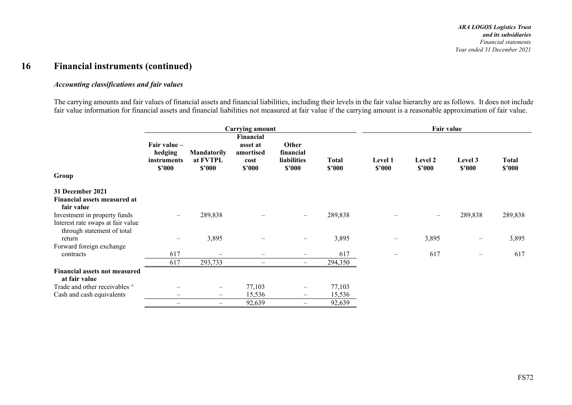#### *Accounting classifications and fair values*

The carrying amounts and fair values of financial assets and financial liabilities, including their levels in the fair value hierarchy are as follows. It does not include fair value information for financial assets and financial liabilities not measured at fair value if the carrying amount is a reasonable approximation of fair value.

|                                                       |                                                  |                                          | <b>Carrying amount</b>                               |                                             |                        | Fair value               |                   |                          |                        |  |
|-------------------------------------------------------|--------------------------------------------------|------------------------------------------|------------------------------------------------------|---------------------------------------------|------------------------|--------------------------|-------------------|--------------------------|------------------------|--|
| Group                                                 | Fair value –<br>hedging<br>instruments<br>\$2000 | <b>Mandatorily</b><br>at FVTPL<br>\$2000 | Financial<br>asset at<br>amortised<br>cost<br>\$2000 | Other<br>financial<br>liabilities<br>\$2000 | <b>Total</b><br>\$'000 | Level 1<br>\$2000        | Level 2<br>\$2000 | Level 3<br>\$2000        | <b>Total</b><br>\$2000 |  |
| 31 December 2021                                      |                                                  |                                          |                                                      |                                             |                        |                          |                   |                          |                        |  |
| Financial assets measured at                          |                                                  |                                          |                                                      |                                             |                        |                          |                   |                          |                        |  |
| fair value<br>Investment in property funds            |                                                  | 289,838                                  |                                                      | $\qquad \qquad -$                           | 289,838                |                          |                   | 289,838                  | 289,838                |  |
| Interest rate swaps at fair value                     |                                                  |                                          |                                                      |                                             |                        |                          |                   |                          |                        |  |
| through statement of total                            |                                                  |                                          |                                                      |                                             |                        |                          |                   |                          |                        |  |
| return                                                |                                                  | 3,895                                    | $\qquad \qquad \qquad$                               | $\overline{\phantom{m}}$                    | 3,895                  | $\overline{\phantom{0}}$ | 3,895             | $\overline{\phantom{m}}$ | 3,895                  |  |
| Forward foreign exchange                              |                                                  |                                          |                                                      |                                             |                        |                          |                   |                          |                        |  |
| contracts                                             | 617                                              |                                          |                                                      |                                             | 617                    | $\overline{\phantom{0}}$ | 617               | $\overline{\phantom{m}}$ | 617                    |  |
|                                                       | 617                                              | 293,733                                  |                                                      | $\qquad \qquad -$                           | 294,350                |                          |                   |                          |                        |  |
| <b>Financial assets not measured</b><br>at fair value |                                                  |                                          |                                                      |                                             |                        |                          |                   |                          |                        |  |
| Trade and other receivables ^                         |                                                  | —                                        | 77,103                                               | $\overline{\phantom{m}}$                    | 77,103                 |                          |                   |                          |                        |  |
| Cash and cash equivalents                             |                                                  | $\qquad \qquad \longleftarrow$           | 15,536                                               | $\overline{\phantom{m}}$                    | 15,536                 |                          |                   |                          |                        |  |
|                                                       |                                                  | $\overline{\phantom{m}}$                 | 92,639                                               | $\overline{\phantom{m}}$                    | 92,639                 |                          |                   |                          |                        |  |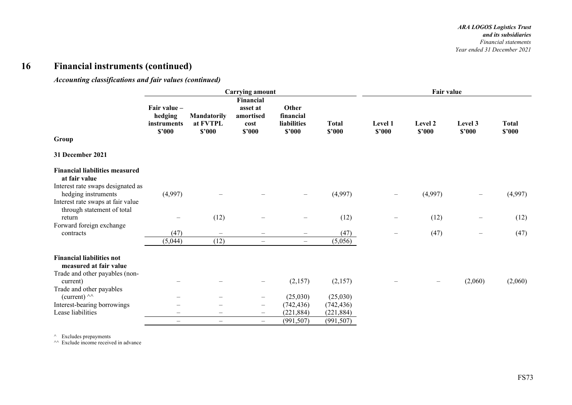*Accounting classifications and fair values (continued)* 

|                                                                                               |                                                  |                                          | <b>Carrying amount</b>                               |                                             |                        |                   | Fair value        |                   |                        |
|-----------------------------------------------------------------------------------------------|--------------------------------------------------|------------------------------------------|------------------------------------------------------|---------------------------------------------|------------------------|-------------------|-------------------|-------------------|------------------------|
| Group                                                                                         | Fair value -<br>hedging<br>instruments<br>\$'000 | <b>Mandatorily</b><br>at FVTPL<br>\$2000 | Financial<br>asset at<br>amortised<br>cost<br>\$2000 | Other<br>financial<br>liabilities<br>\$2000 | <b>Total</b><br>\$'000 | Level 1<br>\$2000 | Level 2<br>\$2000 | Level 3<br>\$2000 | <b>Total</b><br>\$'000 |
|                                                                                               |                                                  |                                          |                                                      |                                             |                        |                   |                   |                   |                        |
| 31 December 2021                                                                              |                                                  |                                          |                                                      |                                             |                        |                   |                   |                   |                        |
| <b>Financial liabilities measured</b><br>at fair value                                        |                                                  |                                          |                                                      |                                             |                        |                   |                   |                   |                        |
| Interest rate swaps designated as<br>hedging instruments<br>Interest rate swaps at fair value | (4,997)                                          |                                          |                                                      | $\overline{\phantom{m}}$                    | (4,997)                | $\qquad \qquad -$ | (4,997)           |                   | (4,997)                |
| through statement of total<br>return                                                          |                                                  | (12)                                     |                                                      |                                             | (12)                   |                   | (12)              |                   | (12)                   |
| Forward foreign exchange                                                                      |                                                  |                                          |                                                      |                                             |                        |                   |                   |                   |                        |
| contracts                                                                                     | (47)                                             | $\overline{\phantom{m}}$                 |                                                      |                                             | (47)                   |                   | (47)              |                   | (47)                   |
|                                                                                               | (5,044)                                          | (12)                                     | $\overline{\phantom{0}}$                             | $\qquad \qquad -$                           | (5,056)                |                   |                   |                   |                        |
| <b>Financial liabilities not</b><br>measured at fair value<br>Trade and other payables (non-  |                                                  |                                          |                                                      |                                             |                        |                   |                   |                   |                        |
| current)                                                                                      |                                                  |                                          |                                                      | (2,157)                                     | (2,157)                |                   |                   | (2,060)           | (2,060)                |
| Trade and other payables<br>(current) $\wedge\wedge$                                          |                                                  |                                          | $\overline{\phantom{m}}$                             | (25,030)                                    | (25,030)               |                   |                   |                   |                        |
| Interest-bearing borrowings                                                                   |                                                  |                                          | $\overline{\phantom{m}}$                             | (742, 436)                                  | (742, 436)             |                   |                   |                   |                        |
| Lease liabilities                                                                             |                                                  |                                          | -                                                    | (221, 884)                                  | (221, 884)             |                   |                   |                   |                        |
|                                                                                               | $\overline{\phantom{0}}$                         | $\overline{\phantom{m}}$                 | $\qquad \qquad -$                                    | (991, 507)                                  | (991, 507)             |                   |                   |                   |                        |

^ Excludes prepayments ^^ Exclude income received in advance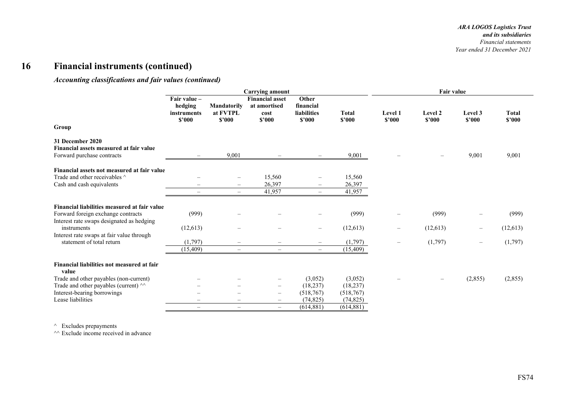#### *Accounting classifications and fair values (continued)*

|                                                                                                                                 | <b>Carrying amount</b>                           |                                               |                                                          |                                                                  |                            | Fair value               |                          |                          |                        |
|---------------------------------------------------------------------------------------------------------------------------------|--------------------------------------------------|-----------------------------------------------|----------------------------------------------------------|------------------------------------------------------------------|----------------------------|--------------------------|--------------------------|--------------------------|------------------------|
| Group                                                                                                                           | Fair value -<br>hedging<br>instruments<br>\$2000 | Mandatorily<br>at FVTPL<br>\$2000             | <b>Financial asset</b><br>at amortised<br>cost<br>\$'000 | Other<br>financial<br><b>liabilities</b><br>\$2000               | <b>Total</b><br>\$2000     | Level 1<br>\$2000        | Level 2<br>\$2000        | Level 3<br>\$2000        | <b>Total</b><br>\$2000 |
| 31 December 2020<br>Financial assets measured at fair value<br>Forward purchase contracts                                       |                                                  | 9,001                                         |                                                          | $\overline{\phantom{m}}$                                         | 9,001                      |                          |                          | 9,001                    | 9,001                  |
| Financial assets not measured at fair value<br>Trade and other receivables ^<br>Cash and cash equivalents                       | $\overline{\phantom{0}}$                         | $\overline{\phantom{0}}$<br>$\qquad \qquad -$ | 15,560<br>26,397<br>41,957                               | $\overline{\phantom{0}}$<br>$\overline{\phantom{0}}$<br>$\equiv$ | 15,560<br>26,397<br>41,957 |                          |                          |                          |                        |
| Financial liabilities measured at fair value<br>Forward foreign exchange contracts<br>Interest rate swaps designated as hedging | (999)                                            | $\overline{\phantom{0}}$                      |                                                          | $\overline{\phantom{0}}$                                         | (999)                      |                          | (999)                    |                          | (999)                  |
| instruments                                                                                                                     | (12,613)                                         | $\overline{\phantom{0}}$                      |                                                          | $\overline{\phantom{m}}$                                         | (12, 613)                  | $\overline{\phantom{m}}$ | (12,613)                 | $\qquad \qquad -$        | (12, 613)              |
| Interest rate swaps at fair value through<br>statement of total return                                                          | (1,797)<br>(15, 409)                             | $\overline{\phantom{0}}$<br>$\equiv$          | $\frac{1}{2}$                                            | $\overline{\phantom{0}}$<br>$\equiv$                             | (1,797)<br>(15,409)        |                          | (1,797)                  | $\overline{\phantom{0}}$ | (1,797)                |
| Financial liabilities not measured at fair<br>value                                                                             |                                                  |                                               |                                                          |                                                                  |                            |                          |                          |                          |                        |
| Trade and other payables (non-current)<br>Trade and other payables (current) ^^                                                 |                                                  | $\overline{\phantom{0}}$                      | -<br>$\qquad \qquad -$                                   | (3,052)<br>(18, 237)                                             | (3,052)<br>(18, 237)       |                          | $\overline{\phantom{0}}$ | (2,855)                  | (2,855)                |
| Interest-bearing borrowings                                                                                                     |                                                  |                                               | $\qquad \qquad -$                                        | (518, 767)                                                       | (518, 767)                 |                          |                          |                          |                        |
| Lease liabilities                                                                                                               |                                                  | $\qquad \qquad \longleftarrow$                | $\qquad \qquad -$                                        | (74, 825)<br>(614, 881)                                          | (74, 825)<br>(614, 881)    |                          |                          |                          |                        |
|                                                                                                                                 | $\overline{\phantom{0}}$                         | $\overline{\phantom{0}}$                      | $\equiv$                                                 |                                                                  |                            |                          |                          |                          |                        |

^ Excludes prepayments

 $\sim$  Exclude income received in advance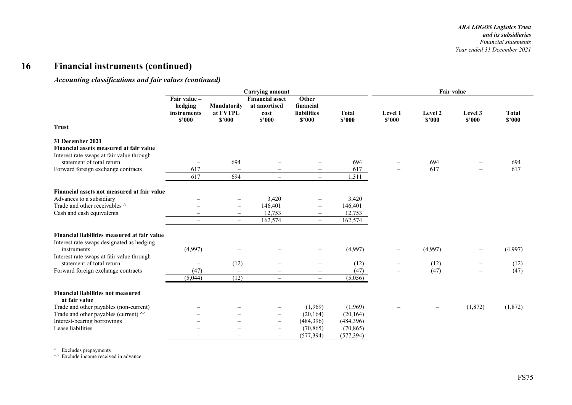#### *Accounting classifications and fair values (continued)*

|                                                                                                          | <b>Carrying amount</b>                           |                                   |                                                          |                                             |                        | <b>Fair value</b> |                   |                   |                        |
|----------------------------------------------------------------------------------------------------------|--------------------------------------------------|-----------------------------------|----------------------------------------------------------|---------------------------------------------|------------------------|-------------------|-------------------|-------------------|------------------------|
| <b>Trust</b>                                                                                             | Fair value -<br>hedging<br>instruments<br>\$2000 | Mandatorily<br>at FVTPL<br>\$2000 | <b>Financial asset</b><br>at amortised<br>cost<br>\$'000 | Other<br>financial<br>liabilities<br>\$2000 | <b>Total</b><br>\$2000 | Level 1<br>\$2000 | Level 2<br>\$2000 | Level 3<br>\$2000 | <b>Total</b><br>\$2000 |
| 31 December 2021<br>Financial assets measured at fair value<br>Interest rate swaps at fair value through |                                                  |                                   |                                                          |                                             |                        |                   |                   |                   |                        |
| statement of total return                                                                                | $\overline{\phantom{m}}$                         | 694                               |                                                          | $\overline{\phantom{m}}$                    | 694                    |                   | 694               |                   | 694                    |
| Forward foreign exchange contracts                                                                       | 617                                              |                                   |                                                          | $\qquad \qquad -$                           | 617                    |                   | 617               |                   | 617                    |
|                                                                                                          | 617                                              | 694                               | $\overline{\phantom{m}}$                                 | $\qquad \qquad -$                           | 1,311                  |                   |                   |                   |                        |
| Financial assets not measured at fair value                                                              |                                                  |                                   |                                                          |                                             |                        |                   |                   |                   |                        |
| Advances to a subsidiary                                                                                 |                                                  |                                   | 3,420                                                    | $\overline{\phantom{m}}$                    | 3,420                  |                   |                   |                   |                        |
| Trade and other receivables ^                                                                            |                                                  | $\overline{\phantom{m}}$          | 146,401                                                  | $\overline{\phantom{m}}$                    | 146,401                |                   |                   |                   |                        |
| Cash and cash equivalents                                                                                |                                                  | $\overline{\phantom{m}}$          | 12,753                                                   | $\qquad \qquad -$                           | 12,753                 |                   |                   |                   |                        |
|                                                                                                          | $\qquad \qquad -$                                | $\overline{\phantom{m}}$          | 162,574                                                  | $\equiv$                                    | 162,574                |                   |                   |                   |                        |
| Financial liabilities measured at fair value<br>Interest rate swaps designated as hedging<br>instruments | (4,997)                                          |                                   |                                                          | $\overline{\phantom{0}}$                    | (4,997)                |                   | (4,997)           |                   | (4,997)                |
| Interest rate swaps at fair value through                                                                |                                                  |                                   |                                                          |                                             |                        |                   |                   |                   |                        |
| statement of total return                                                                                | $\overline{\phantom{m}}$                         | (12)                              | $\overline{\phantom{0}}$                                 | $\overline{\phantom{0}}$                    | (12)                   |                   | (12)              |                   | (12)                   |
| Forward foreign exchange contracts                                                                       | (47)                                             | $\overline{\phantom{m}}$          |                                                          | $\equiv$                                    | (47)                   |                   | (47)              |                   | (47)                   |
|                                                                                                          | (5,044)                                          | (12)                              | $\frac{1}{2}$                                            | $\overline{\phantom{0}}$                    | (5,056)                |                   |                   |                   |                        |
| <b>Financial liabilities not measured</b><br>at fair value                                               |                                                  |                                   |                                                          |                                             |                        |                   |                   |                   |                        |
| Trade and other payables (non-current)                                                                   |                                                  |                                   |                                                          | (1,969)                                     | (1,969)                |                   |                   | (1,872)           | (1,872)                |
| Trade and other payables (current) ^^                                                                    |                                                  |                                   | $\qquad \qquad -$                                        | (20, 164)                                   | (20, 164)              |                   |                   |                   |                        |
| Interest-bearing borrowings                                                                              |                                                  | $\overline{\phantom{0}}$          | $\qquad \qquad -$                                        | (484, 396)                                  | (484, 396)             |                   |                   |                   |                        |
| Lease liabilities                                                                                        | $\overline{\phantom{a}}$                         | $\overline{\phantom{m}}$          | $\hspace{0.1mm}-\hspace{0.1mm}$                          | (70, 865)                                   | (70, 865)              |                   |                   |                   |                        |
|                                                                                                          | $\overline{\phantom{0}}$                         | $\overline{\phantom{m}}$          | $\equiv$                                                 | (577, 394)                                  | (577, 394)             |                   |                   |                   |                        |

^ Excludes prepayments ^^ Exclude income received in advance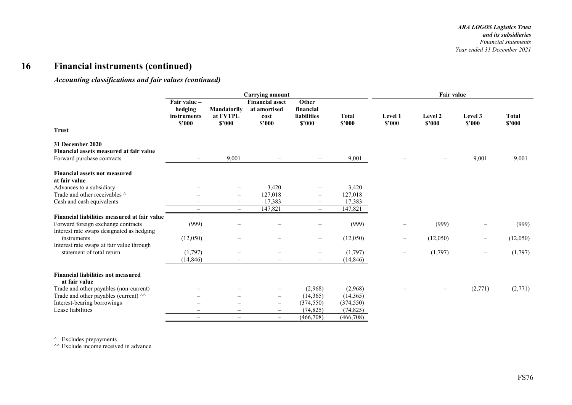#### *Accounting classifications and fair values (continued)*

|                                                                                                                                 | <b>Carrying amount</b>                           |                                          |                                                          |                                             |                        | Fair value        |                   |                   |                        |
|---------------------------------------------------------------------------------------------------------------------------------|--------------------------------------------------|------------------------------------------|----------------------------------------------------------|---------------------------------------------|------------------------|-------------------|-------------------|-------------------|------------------------|
|                                                                                                                                 | Fair value -<br>hedging<br>instruments<br>\$2000 | <b>Mandatorily</b><br>at FVTPL<br>\$2000 | <b>Financial asset</b><br>at amortised<br>cost<br>\$'000 | Other<br>financial<br>liabilities<br>\$2000 | <b>Total</b><br>\$2000 | Level 1<br>\$2000 | Level 2<br>\$2000 | Level 3<br>\$2000 | <b>Total</b><br>\$2000 |
| <b>Trust</b>                                                                                                                    |                                                  |                                          |                                                          |                                             |                        |                   |                   |                   |                        |
| 31 December 2020<br>Financial assets measured at fair value<br>Forward purchase contracts                                       |                                                  | 9,001                                    |                                                          | $\overline{\phantom{a}}$                    | 9,001                  |                   |                   | 9,001             | 9,001                  |
| <b>Financial assets not measured</b><br>at fair value                                                                           |                                                  |                                          |                                                          |                                             |                        |                   |                   |                   |                        |
| Advances to a subsidiary                                                                                                        |                                                  |                                          | 3,420                                                    |                                             | 3,420                  |                   |                   |                   |                        |
| Trade and other receivables ^                                                                                                   |                                                  | $\overline{\phantom{0}}$                 | 127,018                                                  | ÷                                           | 127,018                |                   |                   |                   |                        |
| Cash and cash equivalents                                                                                                       |                                                  | $\overline{\phantom{0}}$                 | 17,383                                                   | $\qquad \qquad -$                           | 17,383                 |                   |                   |                   |                        |
|                                                                                                                                 | $\overline{\phantom{m}}$                         | $\overline{\phantom{0}}$                 | 147,821                                                  | $\overline{\phantom{0}}$                    | 147,821                |                   |                   |                   |                        |
| Financial liabilities measured at fair value<br>Forward foreign exchange contracts<br>Interest rate swaps designated as hedging | (999)                                            |                                          |                                                          |                                             | (999)                  |                   | (999)             | -                 | (999)                  |
| instruments<br>Interest rate swaps at fair value through                                                                        | (12,050)                                         |                                          |                                                          | $\overline{\phantom{0}}$                    | (12,050)               |                   | (12,050)          | $\qquad \qquad -$ | (12,050)               |
| statement of total return                                                                                                       | (1,797)                                          |                                          | $\qquad \qquad -$                                        |                                             | (1,797)                |                   | (1,797)           | $\qquad \qquad -$ | (1,797)                |
|                                                                                                                                 | (14, 846)                                        | $\overline{\phantom{0}}$                 | $\overline{\phantom{0}}$                                 | $\overline{\phantom{0}}$                    | (14, 846)              |                   |                   |                   |                        |
| <b>Financial liabilities not measured</b><br>at fair value                                                                      |                                                  |                                          |                                                          |                                             |                        |                   |                   |                   |                        |
| Trade and other payables (non-current)                                                                                          |                                                  |                                          | $\qquad \qquad -$                                        | (2,968)                                     | (2,968)                |                   |                   | (2,771)           | (2,771)                |
| Trade and other payables (current) ^^                                                                                           |                                                  |                                          | $\qquad \qquad -$                                        | (14,365)                                    | (14,365)               |                   |                   |                   |                        |
| Interest-bearing borrowings                                                                                                     |                                                  |                                          | $\overline{\phantom{0}}$                                 | (374, 550)                                  | (374, 550)             |                   |                   |                   |                        |
| Lease liabilities                                                                                                               |                                                  |                                          | $\frac{1}{2}$                                            | (74, 825)                                   | (74, 825)              |                   |                   |                   |                        |
|                                                                                                                                 | $\qquad \qquad -$                                | $\overline{\phantom{0}}$                 | $\frac{1}{2}$                                            | (466,708)                                   | (466,708)              |                   |                   |                   |                        |

 $\wedge$  Excludes prepayments

 $\sim$  Exclude income received in advance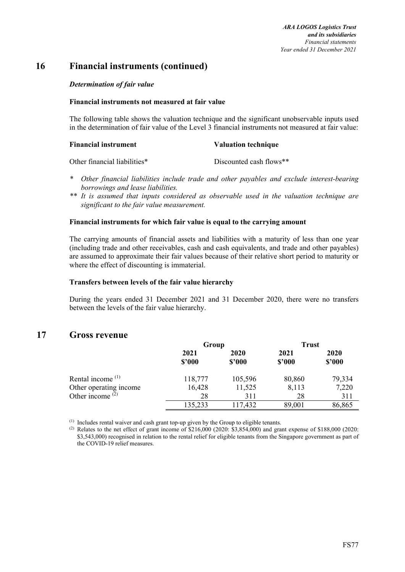#### *Determination of fair value*

#### **Financial instruments not measured at fair value**

The following table shows the valuation technique and the significant unobservable inputs used in the determination of fair value of the Level 3 financial instruments not measured at fair value:

| <b>Financial instrument</b> | <b>Valuation technique</b> |
|-----------------------------|----------------------------|
|-----------------------------|----------------------------|

| Other financial liabilities* | Discounted cash flows** |
|------------------------------|-------------------------|
|                              |                         |

- *\* Other financial liabilities include trade and other payables and exclude interest-bearing borrowings and lease liabilities.*
- *\*\* It is assumed that inputs considered as observable used in the valuation technique are significant to the fair value measurement.*

#### **Financial instruments for which fair value is equal to the carrying amount**

The carrying amounts of financial assets and liabilities with a maturity of less than one year (including trade and other receivables, cash and cash equivalents, and trade and other payables) are assumed to approximate their fair values because of their relative short period to maturity or where the effect of discounting is immaterial.

#### **Transfers between levels of the fair value hierarchy**

During the years ended 31 December 2021 and 31 December 2020, there were no transfers between the levels of the fair value hierarchy.

### **17 Gross revenue**

|                              | Group          |                | <b>Trust</b>   |                |
|------------------------------|----------------|----------------|----------------|----------------|
|                              | 2021<br>\$2000 | 2020<br>\$2000 | 2021<br>\$2000 | 2020<br>\$2000 |
| Rental income <sup>(1)</sup> | 118,777        | 105,596        | 80,860         | 79,334         |
| Other operating income       | 16,428         | 11,525         | 8,113          | 7,220          |
| Other income $(2)$           | 28             | 311            | 28             | 311            |
|                              | 135,233        | 117,432        | 89,001         | 86,865         |

(1) Includes rental waiver and cash grant top-up given by the Group to eligible tenants.

<sup>(2)</sup> Relates to the net effect of grant income of \$216,000 (2020: \$3,854,000) and grant expense of \$188,000 (2020: \$3,543,000) recognised in relation to the rental relief for eligible tenants from the Singapore government as part of the COVID-19 relief measures.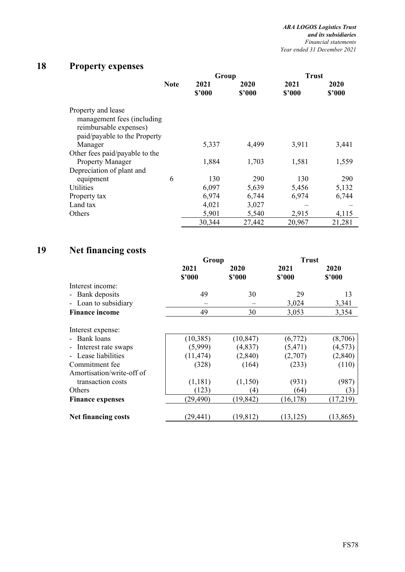# **18 Property expenses**

|                                                                                                            |             | Group          |                | <b>Trust</b>   |                |
|------------------------------------------------------------------------------------------------------------|-------------|----------------|----------------|----------------|----------------|
|                                                                                                            | <b>Note</b> | 2021<br>\$'000 | 2020<br>\$2000 | 2021<br>\$2000 | 2020<br>\$2000 |
| Property and lease<br>management fees (including<br>reimbursable expenses)<br>paid/payable to the Property |             |                |                |                |                |
| Manager                                                                                                    |             | 5,337          | 4,499          | 3,911          | 3,441          |
| Other fees paid/payable to the                                                                             |             |                |                |                |                |
| <b>Property Manager</b>                                                                                    |             | 1,884          | 1,703          | 1,581          | 1,559          |
| Depreciation of plant and                                                                                  |             |                |                |                |                |
| equipment                                                                                                  | 6           | 130            | 290            | 130            | 290            |
| Utilities                                                                                                  |             | 6,097          | 5,639          | 5,456          | 5,132          |
| Property tax                                                                                               |             | 6,974          | 6,744          | 6,974          | 6,744          |
| Land tax                                                                                                   |             | 4,021          | 3,027          |                |                |
| Others                                                                                                     |             | 5,901          | 5,540          | 2,915          | 4,115          |
|                                                                                                            |             | 30,344         | 27,442         | 20,967         | 21,281         |

# **19 Net financing costs**

|                                               | Group          |                | <b>Trust</b>   |                |
|-----------------------------------------------|----------------|----------------|----------------|----------------|
|                                               | 2021<br>\$2000 | 2020<br>\$'000 | 2021<br>\$'000 | 2020<br>\$2000 |
| Interest income:                              |                |                |                |                |
| Bank deposits<br>$\qquad \qquad \blacksquare$ | 49             | 30             | 29             | 13             |
| Loan to subsidiary<br>-                       |                |                | 3,024          | 3,341          |
| <b>Finance income</b>                         | 49             | 30             | 3,053          | 3,354          |
| Interest expense:                             |                |                |                |                |
| Bank loans                                    | (10, 385)      | (10, 847)      | (6,772)        | (8,706)        |
| Interest rate swaps                           | (5,999)        | (4,837)        | (5, 471)       | (4,573)        |
| Lease liabilities                             | (11, 474)      | (2,840)        | (2,707)        | (2, 840)       |
| Commitment fee                                | (328)          | (164)          | (233)          | (110)          |
| Amortisation/write-off of                     |                |                |                |                |
| transaction costs                             | (1,181)        | (1,150)        | (931)          | (987)          |
| Others                                        | (123)          | (4)            | (64)           | (3)            |
| <b>Finance expenses</b>                       | (29, 490)      | (19, 842)      | (16, 178)      | (17,219)       |
| <b>Net financing costs</b>                    | (29,441)       | (19, 812)      | (13, 125)      | (13, 865)      |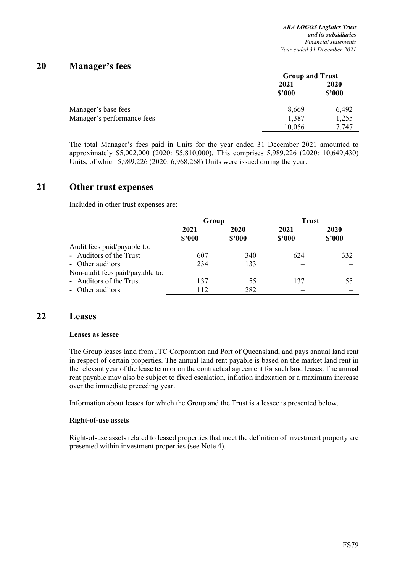## **20 Manager's fees**

|                            | <b>Group and Trust</b> |                       |  |
|----------------------------|------------------------|-----------------------|--|
|                            | 2021<br>\$2000         | <b>2020</b><br>\$2000 |  |
| Manager's base fees        | 8,669                  | 6,492                 |  |
| Manager's performance fees | 1,387                  | 1,255                 |  |
|                            | 10,056                 | 7.747                 |  |

The total Manager's fees paid in Units for the year ended 31 December 2021 amounted to approximately \$5,002,000 (2020: \$5,810,000). This comprises 5,989,226 (2020: 10,649,430) Units, of which 5,989,226 (2020: 6,968,268) Units were issued during the year.

### **21 Other trust expenses**

Included in other trust expenses are:

|                                 |        | Group  |        | <b>Trust</b> |
|---------------------------------|--------|--------|--------|--------------|
|                                 | 2021   | 2020   | 2021   | 2020         |
|                                 | \$2000 | \$2000 | \$2000 | \$2000       |
| Audit fees paid/payable to:     |        |        |        |              |
| - Auditors of the Trust         | 607    | 340    | 624    | 332          |
| - Other auditors                | 234    | 133    |        |              |
| Non-audit fees paid/payable to: |        |        |        |              |
| - Auditors of the Trust         | 137    | 55     | 137    | 55           |
| - Other auditors                | 112    | 282    |        |              |

### **22 Leases**

#### **Leases as lessee**

The Group leases land from JTC Corporation and Port of Queensland, and pays annual land rent in respect of certain properties. The annual land rent payable is based on the market land rent in the relevant year of the lease term or on the contractual agreement for such land leases. The annual rent payable may also be subject to fixed escalation, inflation indexation or a maximum increase over the immediate preceding year.

Information about leases for which the Group and the Trust is a lessee is presented below.

#### **Right-of-use assets**

Right-of-use assets related to leased properties that meet the definition of investment property are presented within investment properties (see Note 4).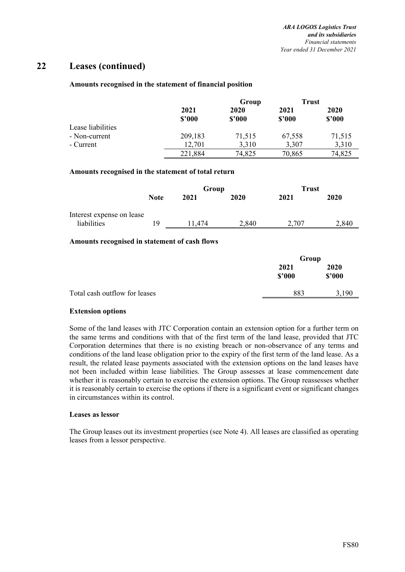## **22 Leases (continued)**

#### **Amounts recognised in the statement of financial position**

|                   |                | Group          | <b>Trust</b>   |                |
|-------------------|----------------|----------------|----------------|----------------|
|                   | 2021<br>\$2000 | 2020<br>\$2000 | 2021<br>\$2000 | 2020<br>\$2000 |
| Lease liabilities |                |                |                |                |
| - Non-current     | 209,183        | 71,515         | 67,558         | 71,515         |
| - Current         | 12,701         | 3,310          | 3,307          | 3,310          |
|                   | 221,884        | 74,825         | 70,865         | 74,825         |

#### **Amounts recognised in the statement of total return**

|                                          |             | Group  |       | Trust |       |
|------------------------------------------|-------------|--------|-------|-------|-------|
|                                          | <b>Note</b> | 2021   | 2020  | 2021  | 2020  |
| Interest expense on lease<br>liabilities | 19          | 11.474 | 2,840 | 2.707 | 2.840 |

#### **Amounts recognised in statement of cash flows**

|                               | Group          |                |
|-------------------------------|----------------|----------------|
|                               | 2021<br>\$3000 | 2020<br>\$2000 |
| Total cash outflow for leases | 883            | 3.190          |

#### **Extension options**

Some of the land leases with JTC Corporation contain an extension option for a further term on the same terms and conditions with that of the first term of the land lease, provided that JTC Corporation determines that there is no existing breach or non-observance of any terms and conditions of the land lease obligation prior to the expiry of the first term of the land lease. As a result, the related lease payments associated with the extension options on the land leases have not been included within lease liabilities. The Group assesses at lease commencement date whether it is reasonably certain to exercise the extension options. The Group reassesses whether it is reasonably certain to exercise the options if there is a significant event or significant changes in circumstances within its control.

#### **Leases as lessor**

The Group leases out its investment properties (see Note 4). All leases are classified as operating leases from a lessor perspective.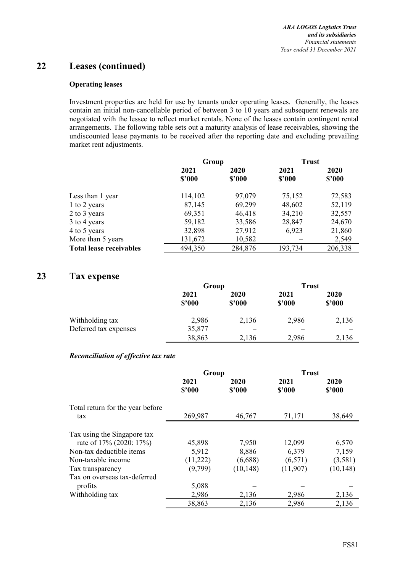## **22 Leases (continued)**

#### **Operating leases**

Investment properties are held for use by tenants under operating leases. Generally, the leases contain an initial non-cancellable period of between 3 to 10 years and subsequent renewals are negotiated with the lessee to reflect market rentals. None of the leases contain contingent rental arrangements. The following table sets out a maturity analysis of lease receivables, showing the undiscounted lease payments to be received after the reporting date and excluding prevailing market rent adjustments.

|                                | Group   |         | <b>Trust</b> |         |
|--------------------------------|---------|---------|--------------|---------|
|                                | 2021    | 2020    | 2021         | 2020    |
|                                | \$2000  | \$2000  | \$2000       | \$2000  |
| Less than 1 year               | 114,102 | 97,079  | 75,152       | 72,583  |
| 1 to 2 years                   | 87,145  | 69,299  | 48,602       | 52,119  |
| 2 to 3 years                   | 69,351  | 46,418  | 34,210       | 32,557  |
| 3 to 4 years                   | 59,182  | 33,586  | 28,847       | 24,670  |
| 4 to 5 years                   | 32,898  | 27,912  | 6,923        | 21,860  |
| More than 5 years              | 131,672 | 10,582  |              | 2,549   |
| <b>Total lease receivables</b> | 494,350 | 284,876 | 193,734      | 206,338 |

## **23 Tax expense**

|                       |                | Group          |                | <b>Trust</b>   |
|-----------------------|----------------|----------------|----------------|----------------|
|                       | 2021<br>\$2000 | 2020<br>\$2000 | 2021<br>\$2000 | 2020<br>\$2000 |
| Withholding tax       | 2,986          | 2,136          | 2,986          | 2,136          |
| Deferred tax expenses | 35,877         |                |                |                |
|                       | 38,863         | 2,136          | 2,986          | 2,136          |

#### *Reconciliation of effective tax rate*

|                                                        | Group          |                | <b>Trust</b>   |                |
|--------------------------------------------------------|----------------|----------------|----------------|----------------|
|                                                        | 2021<br>\$2000 | 2020<br>\$'000 | 2021<br>\$'000 | 2020<br>\$2000 |
| Total return for the year before<br>tax                | 269,987        | 46,767         | 71,171         | 38,649         |
| Tax using the Singapore tax<br>rate of 17% (2020: 17%) | 45,898         | 7,950          | 12,099         | 6,570          |
| Non-tax deductible items                               | 5,912          | 8,886          | 6,379          | 7,159          |
| Non-taxable income                                     | (11,222)       | (6,688)        | (6,571)        | (3,581)        |
| Tax transparency                                       | (9,799)        | (10, 148)      | (11,907)       | (10, 148)      |
| Tax on overseas tax-deferred                           |                |                |                |                |
| profits                                                | 5,088          |                |                |                |
| Withholding tax                                        | 2,986          | 2,136          | 2,986          | 2,136          |
|                                                        | 38,863         | 2,136          | 2,986          | 2,136          |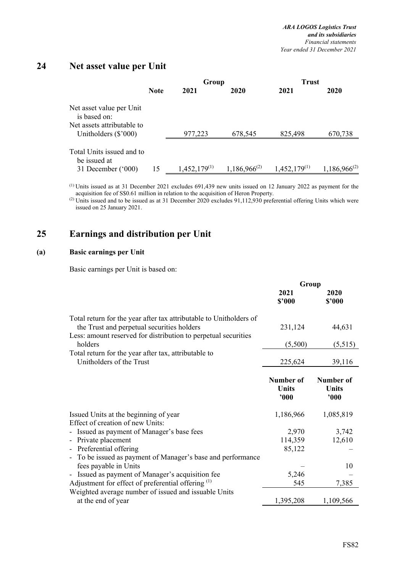## **24 Net asset value per Unit**

|                                                      |             | Group             |                   | <b>Trust</b>      |                   |
|------------------------------------------------------|-------------|-------------------|-------------------|-------------------|-------------------|
|                                                      | <b>Note</b> | 2021              | 2020              | 2021              | 2020              |
| Net asset value per Unit<br>is based on:             |             |                   |                   |                   |                   |
| Net assets attributable to<br>Unitholders $(\$'000)$ |             | 977,223           | 678,545           | 825,498           | 670,738           |
| Total Units issued and to<br>be issued at            |             |                   |                   |                   |                   |
| 31 December $('000)$                                 | 15          | $1,452,179^{(1)}$ | $1,186,966^{(2)}$ | $1,452,179^{(1)}$ | $1,186,966^{(2)}$ |

 (1) Units issued as at 31 December 2021 excludes 691,439 new units issued on 12 January 2022 as payment for the acquisition fee of S\$0.61 million in relation to the acquisition of Heron Property.

(2) Units issued and to be issued as at 31 December 2020 excludes 91,112,930 preferential offering Units which were issued on 25 January 2021.

## **25 Earnings and distribution per Unit**

#### **(a) Basic earnings per Unit**

Basic earnings per Unit is based on:

|                                                                                                                                                                                               | Group                      |                                  |
|-----------------------------------------------------------------------------------------------------------------------------------------------------------------------------------------------|----------------------------|----------------------------------|
|                                                                                                                                                                                               | 2021<br>\$2000             | 2020<br>\$2000                   |
| Total return for the year after tax attributable to Unitholders of<br>the Trust and perpetual securities holders<br>Less: amount reserved for distribution to perpetual securities<br>holders | 231,124<br>(5,500)         | 44,631<br>(5,515)                |
| Total return for the year after tax, attributable to<br>Unitholders of the Trust                                                                                                              | 225,624                    | 39,116                           |
|                                                                                                                                                                                               | Number of<br>Units<br>900  | Number of<br><b>Units</b><br>000 |
| Issued Units at the beginning of year<br>Effect of creation of new Units:                                                                                                                     | 1,186,966                  | 1,085,819                        |
| - Issued as payment of Manager's base fees<br>- Private placement<br>- Preferential offering                                                                                                  | 2,970<br>114,359<br>85,122 | 3,742<br>12,610                  |
| To be issued as payment of Manager's base and performance<br>fees payable in Units<br>Issued as payment of Manager's acquisition fee<br>$\qquad \qquad \blacksquare$                          | 5,246                      | 10                               |
| Adjustment for effect of preferential offering $(1)$<br>Weighted average number of issued and issuable Units                                                                                  | 545                        | 7,385                            |
| at the end of year                                                                                                                                                                            | 1,395,208                  | 1,109,566                        |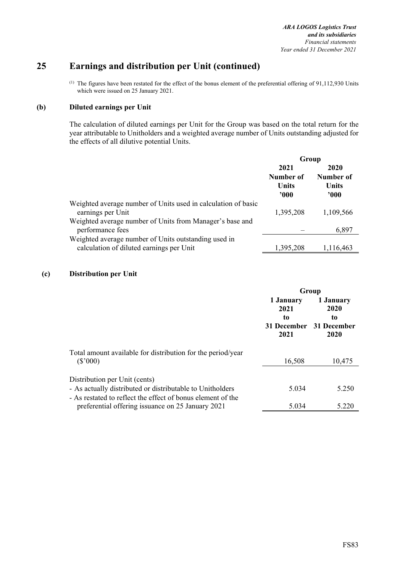## **25 Earnings and distribution per Unit (continued)**

 $(1)$  The figures have been restated for the effect of the bonus element of the preferential offering of 91,112,930 Units which were issued on 25 January 2021.

#### **(b) Diluted earnings per Unit**

The calculation of diluted earnings per Unit for the Group was based on the total return for the year attributable to Unitholders and a weighted average number of Units outstanding adjusted for the effects of all dilutive potential Units.

|                                                                                    | Group                       |               |  |
|------------------------------------------------------------------------------------|-----------------------------|---------------|--|
|                                                                                    | 2021                        | 2020          |  |
|                                                                                    | Number of                   | Number of     |  |
|                                                                                    | <b>Units</b><br>$900^\circ$ | Units<br>'000 |  |
| Weighted average number of Units used in calculation of basic<br>earnings per Unit | 1,395,208                   | 1,109,566     |  |
| Weighted average number of Units from Manager's base and<br>performance fees       |                             | 6,897         |  |
| Weighted average number of Units outstanding used in                               |                             |               |  |
| calculation of diluted earnings per Unit                                           | 1,395,208                   | 1,116,463     |  |

#### **(c) Distribution per Unit**

|                                                                                                                                                           | Group                                                      |                                 |
|-----------------------------------------------------------------------------------------------------------------------------------------------------------|------------------------------------------------------------|---------------------------------|
|                                                                                                                                                           | 1 January<br>2021<br>to<br>31 December 31 December<br>2021 | 1 January<br>2020<br>to<br>2020 |
| Total amount available for distribution for the period/year<br>$(\$'000)$                                                                                 | 16,508                                                     | 10,475                          |
| Distribution per Unit (cents)<br>- As actually distributed or distributable to Unitholders<br>- As restated to reflect the effect of bonus element of the | 5.034                                                      | 5.250                           |
| preferential offering issuance on 25 January 2021                                                                                                         | 5.034                                                      | 5.220                           |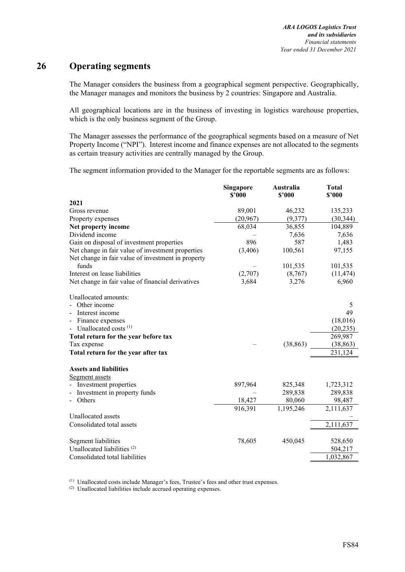## **26 Operating segments**

The Manager considers the business from a geographical segment perspective. Geographically, the Manager manages and monitors the business by 2 countries: Singapore and Australia.

All geographical locations are in the business of investing in logistics warehouse properties, which is the only business segment of the Group.

The Manager assesses the performance of the geographical segments based on a measure of Net Property Income ("NPI"). Interest income and finance expenses are not allocated to the segments as certain treasury activities are centrally managed by the Group.

The segment information provided to the Manager for the reportable segments are as follows:

|                                                    | Singapore<br>\$2000 | Australia<br>\$'000 | <b>Total</b><br>\$'000 |
|----------------------------------------------------|---------------------|---------------------|------------------------|
| 2021                                               |                     |                     |                        |
| Gross revenue                                      | 89,001              | 46,232              | 135,233                |
| Property expenses                                  | (20, 967)           | (9,377)             | (30, 344)              |
| Net property income                                | 68,034              | 36,855              | 104,889                |
| Dividend income                                    |                     | 7,636               | 7,636                  |
| Gain on disposal of investment properties          | 896                 | 587                 | 1,483                  |
| Net change in fair value of investment properties  | (3,406)             | 100,561             | 97,155                 |
| Net change in fair value of investment in property |                     |                     |                        |
| funds                                              |                     | 101,535             | 101,535                |
| Interest on lease liabilities                      | (2,707)             | (8,767)             | (11, 474)              |
| Net change in fair value of financial derivatives  | 3,684               | 3,276               | 6,960                  |
| Unallocated amounts:                               |                     |                     |                        |
| Other income                                       |                     |                     | 5                      |
| Interest income                                    |                     |                     | 49                     |
| Finance expenses                                   |                     |                     | (18,016)               |
| Unallocated costs $(1)$                            |                     |                     | (20, 235)              |
| Total return for the year before tax               |                     |                     | 269,987                |
| Tax expense                                        |                     | (38, 863)           | (38, 863)              |
| Total return for the year after tax                |                     |                     | 231,124                |
| <b>Assets and liabilities</b>                      |                     |                     |                        |
| Segment assets                                     |                     |                     |                        |
| Investment properties                              | 897,964             | 825,348             | 1,723,312              |
| Investment in property funds                       |                     | 289,838             | 289,838                |
| Others                                             | 18,427              | 80,060              | 98,487                 |
|                                                    | 916,391             | 1,195,246           | 2,111,637              |
| Unallocated assets                                 |                     |                     |                        |
| Consolidated total assets                          |                     |                     | 2,111,637              |
| Segment liabilities                                | 78,605              | 450,045             | 528,650                |
| Unallocated liabilities <sup>(2)</sup>             |                     |                     | 504,217                |
| Consolidated total liabilities                     |                     |                     | 1,032,867              |

(1) Unallocated costs include Manager's fees, Trustee's fees and other trust expenses.

(2) Unallocated liabilities include accrued operating expenses.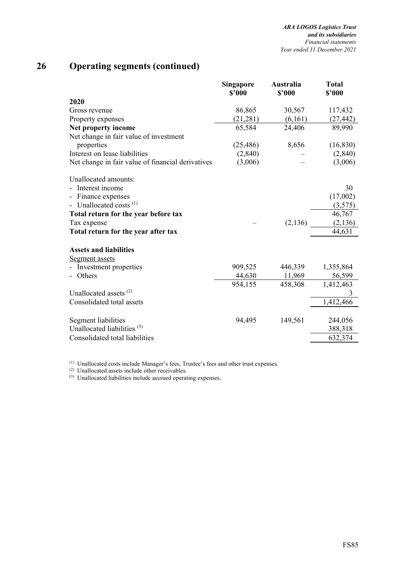# **26 Operating segments (continued)**

|                                                   | Singapore | Australia | <b>Total</b> |
|---------------------------------------------------|-----------|-----------|--------------|
|                                                   | \$'000    | \$2000    | \$'000       |
| 2020                                              |           |           |              |
| Gross revenue                                     | 86,865    | 30,567    | 117,432      |
| Property expenses                                 | (21, 281) | (6,161)   | (27, 442)    |
| Net property income                               | 65,584    | 24,406    | 89,990       |
| Net change in fair value of investment            |           |           |              |
| properties                                        | (25, 486) | 8,656     | (16, 830)    |
| Interest on lease liabilities                     | (2,840)   |           | (2,840)      |
| Net change in fair value of financial derivatives | (3,006)   |           | (3,006)      |
| Unallocated amounts:                              |           |           |              |
| Interest income                                   |           |           | 30           |
| Finance expenses                                  |           |           | (17,002)     |
| Unallocated costs $^{(1)}$                        |           |           | (3,575)      |
| Total return for the year before tax              |           |           | 46,767       |
| Tax expense                                       |           | (2, 136)  | (2, 136)     |
| Total return for the year after tax               |           |           | 44,631       |
| <b>Assets and liabilities</b>                     |           |           |              |
| Segment assets                                    |           |           |              |
| Investment properties                             | 909,525   | 446,339   | 1,355,864    |
| Others                                            | 44,630    | 11,969    | 56,599       |
|                                                   | 954,155   | 458,308   | 1,412,463    |
| Unallocated assets <sup>(2)</sup>                 |           |           | 3            |
| Consolidated total assets                         |           |           | 1,412,466    |
| Segment liabilities                               | 94,495    | 149,561   | 244,056      |
| Unallocated liabilities <sup>(3)</sup>            |           |           | 388,318      |
| Consolidated total liabilities                    |           |           | 632,374      |
|                                                   |           |           |              |

 $<sup>(1)</sup>$  Unallocated costs include Manager's fees, Trustee's fees and other trust expenses.</sup>

(2) Unallocated assets include other receivables.

(3) Unallocated liabilities include accrued operating expenses.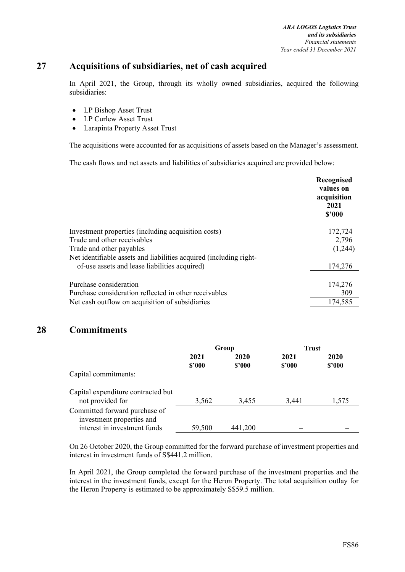## **27 Acquisitions of subsidiaries, net of cash acquired**

In April 2021, the Group, through its wholly owned subsidiaries, acquired the following subsidiaries:

- LP Bishop Asset Trust
- LP Curlew Asset Trust
- Larapinta Property Asset Trust

The acquisitions were accounted for as acquisitions of assets based on the Manager's assessment.

The cash flows and net assets and liabilities of subsidiaries acquired are provided below:

|                                                                    | Recognised<br>values on<br>acquisition<br>2021<br>\$3000 |
|--------------------------------------------------------------------|----------------------------------------------------------|
| Investment properties (including acquisition costs)                | 172,724                                                  |
| Trade and other receivables                                        | 2,796                                                    |
| Trade and other payables                                           | (1,244)                                                  |
| Net identifiable assets and liabilities acquired (including right- |                                                          |
| of-use assets and lease liabilities acquired)                      | 174,276                                                  |
| Purchase consideration                                             | 174,276                                                  |
| Purchase consideration reflected in other receivables              | 309                                                      |
| Net cash outflow on acquisition of subsidiaries                    | 174,585                                                  |

## **28 Commitments**

|                                                                                            | Group          |                | <b>Trust</b>   |                |
|--------------------------------------------------------------------------------------------|----------------|----------------|----------------|----------------|
|                                                                                            | 2021<br>\$2000 | 2020<br>\$2000 | 2021<br>\$2000 | 2020<br>\$'000 |
| Capital commitments:                                                                       |                |                |                |                |
| Capital expenditure contracted but<br>not provided for                                     | 3,562          | 3,455          | 3,441          | 1.575          |
| Committed forward purchase of<br>investment properties and<br>interest in investment funds | 59,500         | 441,200        |                |                |
|                                                                                            |                |                |                |                |

On 26 October 2020, the Group committed for the forward purchase of investment properties and interest in investment funds of S\$441.2 million.

In April 2021, the Group completed the forward purchase of the investment properties and the interest in the investment funds, except for the Heron Property. The total acquisition outlay for the Heron Property is estimated to be approximately S\$59.5 million.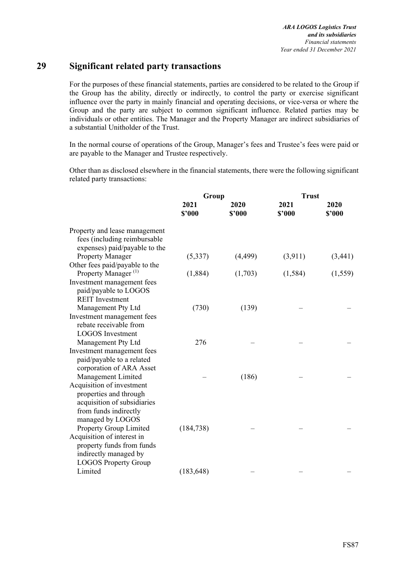## **29 Significant related party transactions**

For the purposes of these financial statements, parties are considered to be related to the Group if the Group has the ability, directly or indirectly, to control the party or exercise significant influence over the party in mainly financial and operating decisions, or vice-versa or where the Group and the party are subject to common significant influence. Related parties may be individuals or other entities. The Manager and the Property Manager are indirect subsidiaries of a substantial Unitholder of the Trust.

In the normal course of operations of the Group, Manager's fees and Trustee's fees were paid or are payable to the Manager and Trustee respectively.

Other than as disclosed elsewhere in the financial statements, there were the following significant related party transactions:

|                                                                                                                                 | Group          |                | <b>Trust</b>   |                |
|---------------------------------------------------------------------------------------------------------------------------------|----------------|----------------|----------------|----------------|
|                                                                                                                                 | 2021<br>\$2000 | 2020<br>\$2000 | 2021<br>\$2000 | 2020<br>\$2000 |
| Property and lease management<br>fees (including reimbursable<br>expenses) paid/payable to the                                  |                |                |                |                |
| <b>Property Manager</b>                                                                                                         | (5, 337)       | (4, 499)       | (3,911)        | (3,441)        |
| Other fees paid/payable to the                                                                                                  |                |                |                |                |
| Property Manager <sup>(1)</sup>                                                                                                 | (1,884)        | (1,703)        | (1, 584)       | (1, 559)       |
| Investment management fees<br>paid/payable to LOGOS<br><b>REIT</b> Investment                                                   |                |                |                |                |
| Management Pty Ltd                                                                                                              | (730)          | (139)          |                |                |
| Investment management fees<br>rebate receivable from<br><b>LOGOS</b> Investment                                                 |                |                |                |                |
| Management Pty Ltd                                                                                                              | 276            |                |                |                |
| Investment management fees<br>paid/payable to a related<br>corporation of ARA Asset<br>Management Limited                       |                | (186)          |                |                |
| Acquisition of investment<br>properties and through<br>acquisition of subsidiaries<br>from funds indirectly<br>managed by LOGOS |                |                |                |                |
| Property Group Limited                                                                                                          | (184, 738)     |                |                |                |
| Acquisition of interest in<br>property funds from funds<br>indirectly managed by<br><b>LOGOS Property Group</b>                 |                |                |                |                |
| Limited                                                                                                                         | (183, 648)     |                |                |                |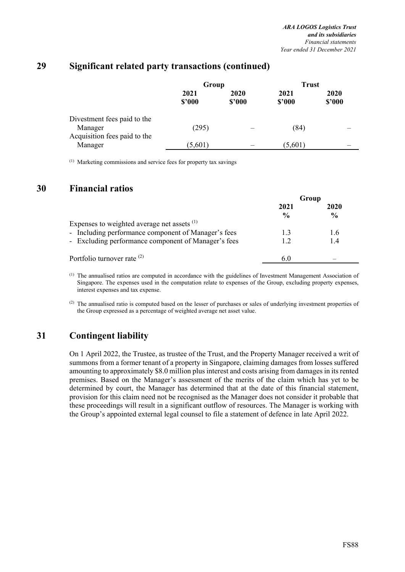|                                                                        | Group          |                | <b>Trust</b>   |                |
|------------------------------------------------------------------------|----------------|----------------|----------------|----------------|
|                                                                        | 2021<br>\$2000 | 2020<br>\$2000 | 2021<br>\$2000 | 2020<br>\$2000 |
| Divestment fees paid to the<br>Manager<br>Acquisition fees paid to the | (295)          |                | (84)           |                |
| Manager                                                                | (5,601)        |                | (5,601)        |                |

## **29 Significant related party transactions (continued)**

(1) Marketing commissions and service fees for property tax savings

### **30 Financial ratios**

|                                                     | Group         |               |
|-----------------------------------------------------|---------------|---------------|
|                                                     | 2021          | 2020          |
|                                                     | $\frac{0}{0}$ | $\frac{0}{0}$ |
| Expenses to weighted average net assets $(1)$       |               |               |
| - Including performance component of Manager's fees | 1.3           | 1.6           |
| - Excluding performance component of Manager's fees | 1.2           | 1.4           |
| Portfolio turnover rate $(2)$                       | 6.U           |               |

(1) The annualised ratios are computed in accordance with the guidelines of Investment Management Association of Singapore. The expenses used in the computation relate to expenses of the Group, excluding property expenses, interest expenses and tax expense.

(2) The annualised ratio is computed based on the lesser of purchases or sales of underlying investment properties of the Group expressed as a percentage of weighted average net asset value.

## **31 Contingent liability**

On 1 April 2022, the Trustee, as trustee of the Trust, and the Property Manager received a writ of summons from a former tenant of a property in Singapore, claiming damages from losses suffered amounting to approximately \$8.0 million plus interest and costs arising from damages in its rented premises. Based on the Manager's assessment of the merits of the claim which has yet to be determined by court, the Manager has determined that at the date of this financial statement, provision for this claim need not be recognised as the Manager does not consider it probable that these proceedings will result in a significant outflow of resources. The Manager is working with the Group's appointed external legal counsel to file a statement of defence in late April 2022.